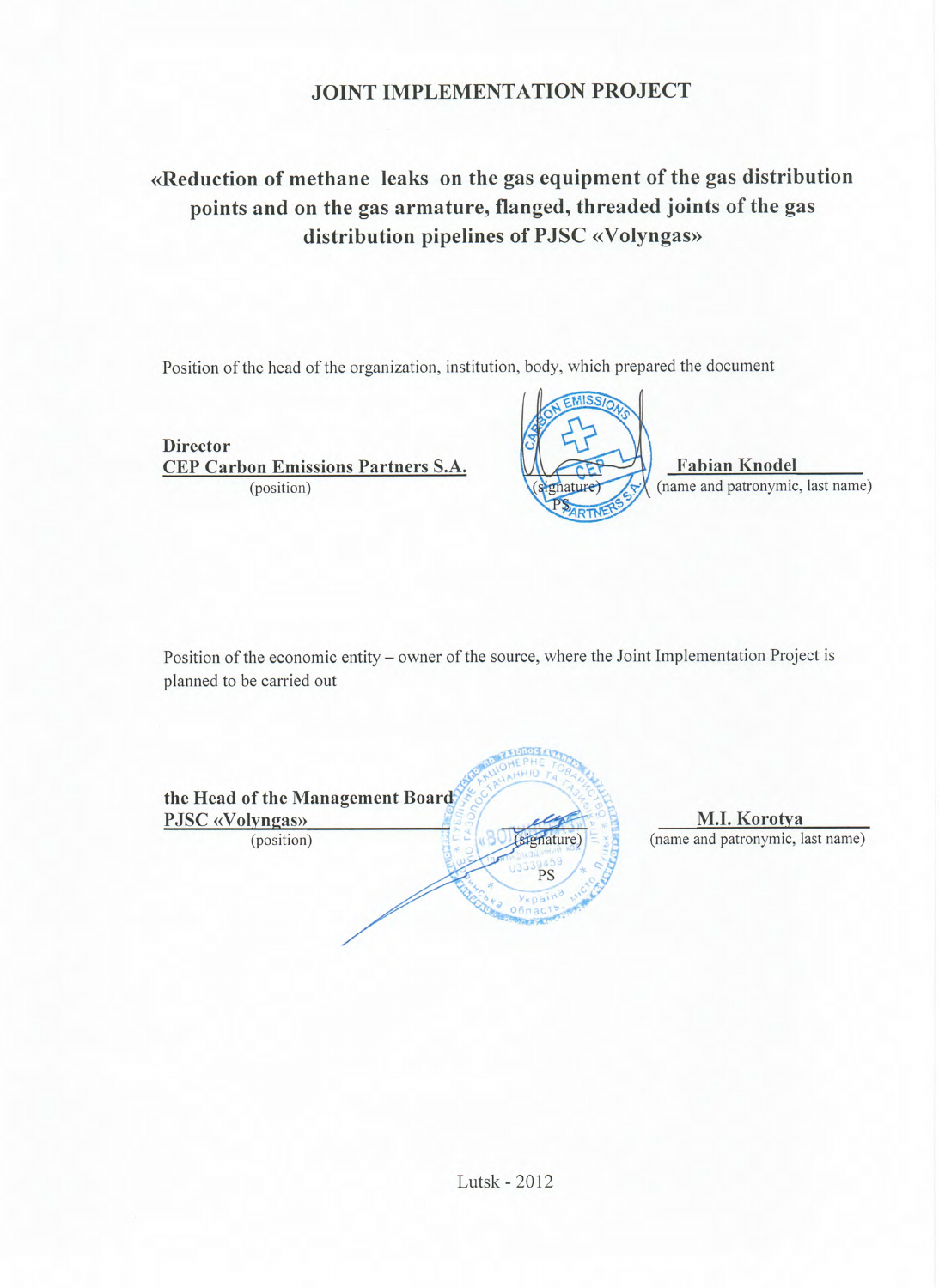## **JOINT IMPLEMENTATION PROJECT**

# «Reduction of methane leaks on the gas equipment of the gas distribution points and on the gas armature, flanged, threaded joints of the gas distribution pipelines of PJSC «Volyngas»

Position of the head of the organization, institution, body, which prepared the document

**Director CEP Carbon Emissions Partners S.A.** (position)



**Fabian Knodel** (name and patronymic, last name)

Position of the economic entity - owner of the source, where the Joint Implementation Project is planned to be carried out

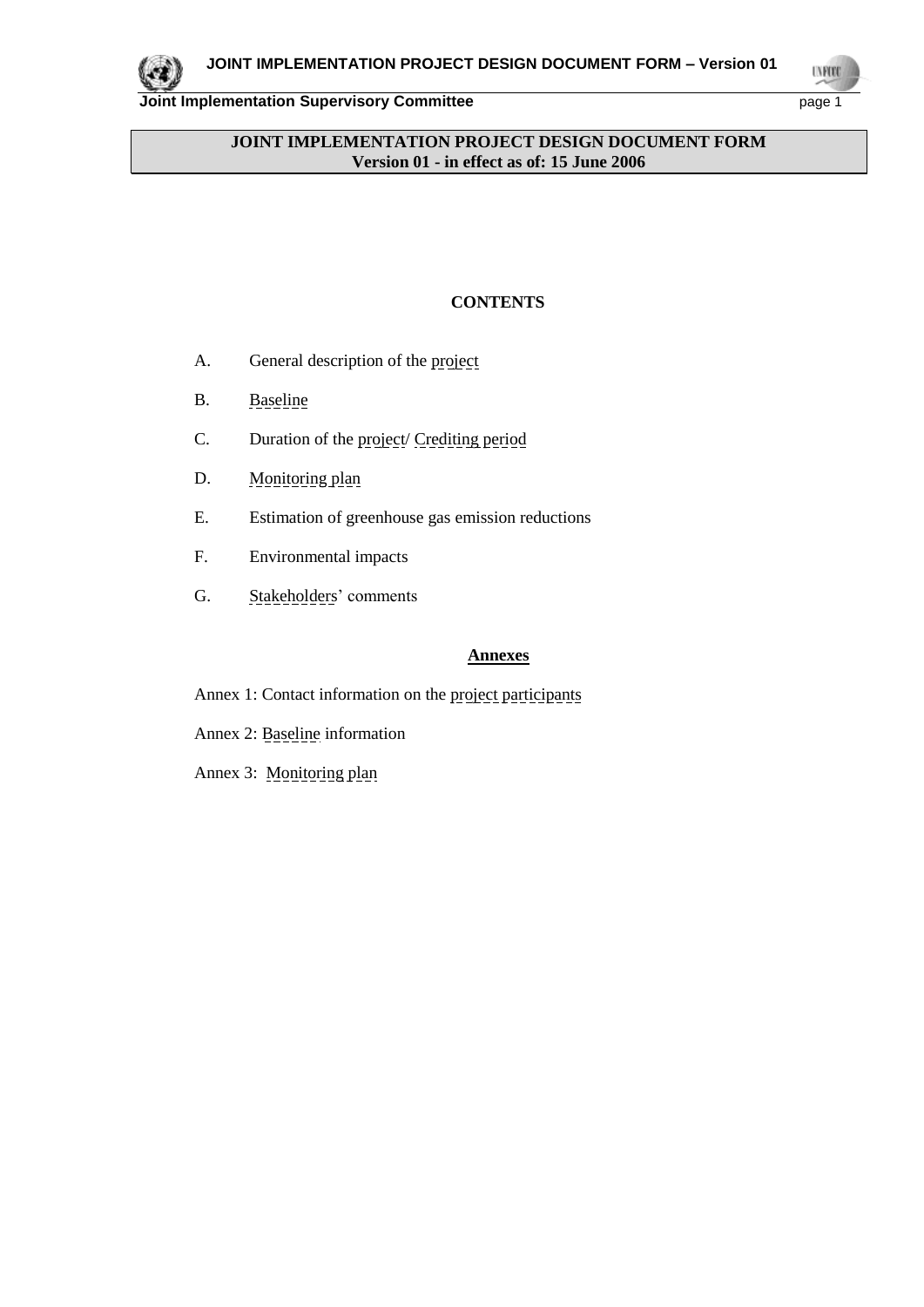

**UNFORD** 

### **JOINT IMPLEMENTATION PROJECT DESIGN DOCUMENT FORM Version 01 - in effect as of: 15 June 2006**

## **CONTENTS**

- A. General description of the project
- B. Baseline
- C. Duration of the project/ Crediting period
- D. Monitoring plan
- E. Estimation of greenhouse gas emission reductions
- F. Environmental impacts
- G. Stakeholders' comments

### **Annexes**

- Annex 1: Contact information on the project participants
- Annex 2: Baseline information
- Annex 3: Monitoring plan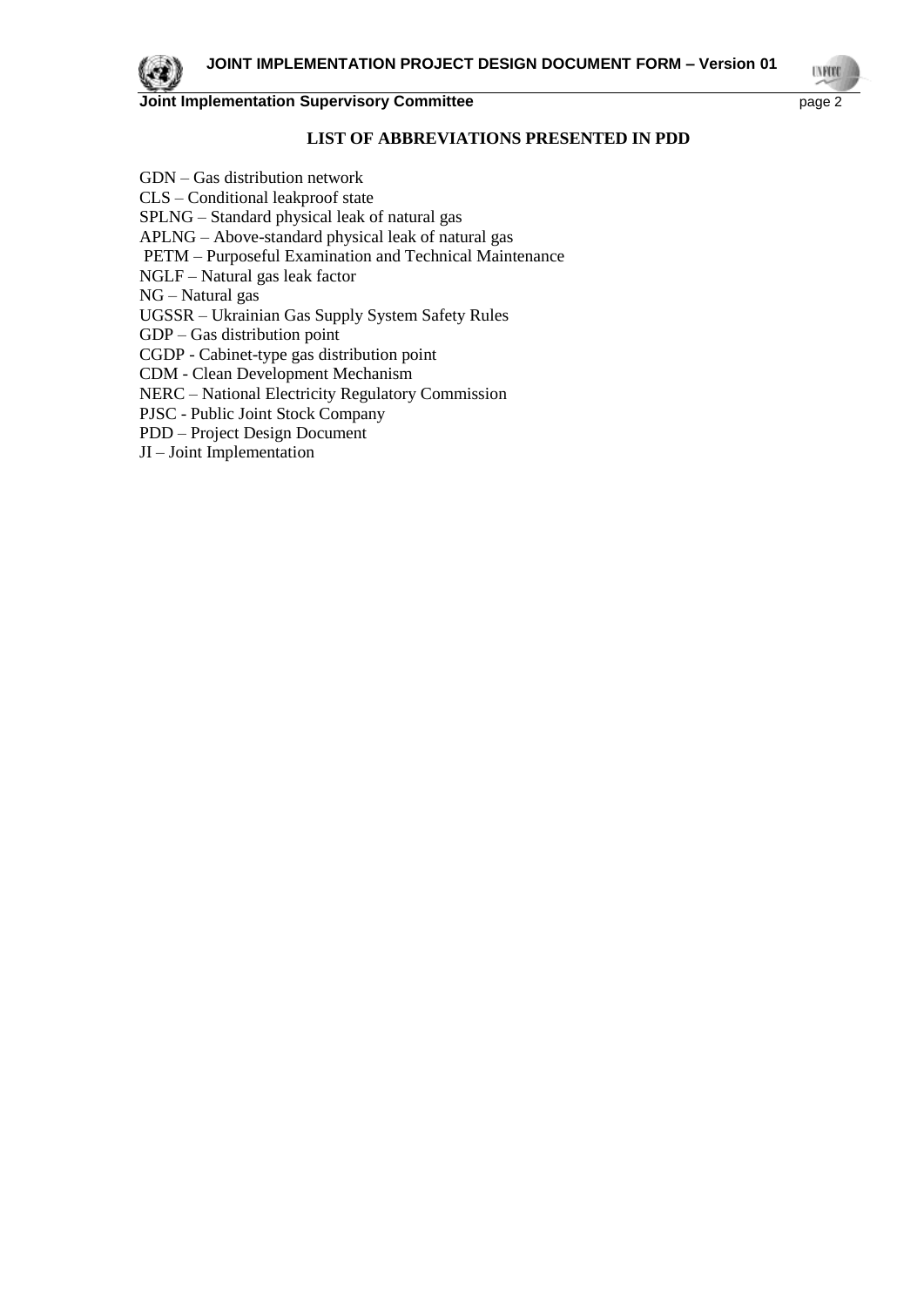

#### **LIST OF ABBREVIATIONS PRESENTED IN PDD**

GDN – Gas distribution network CLS – Conditional leakproof state SPLNG – Standard physical leak of natural gas APLNG – Above-standard physical leak of natural gas PETM – Purposeful Examination and Technical Maintenance NGLF – Natural gas leak factor NG – Natural gas UGSSR – Ukrainian Gas Supply System Safety Rules GDP – Gas distribution point CGDP - Cabinet-type gas distribution point CDM - Clean Development Mechanism NERC – National Electricity Regulatory Commission PJSC - Public Joint Stock Company PDD – Project Design Document JI – Joint Implementation

**IN ROD**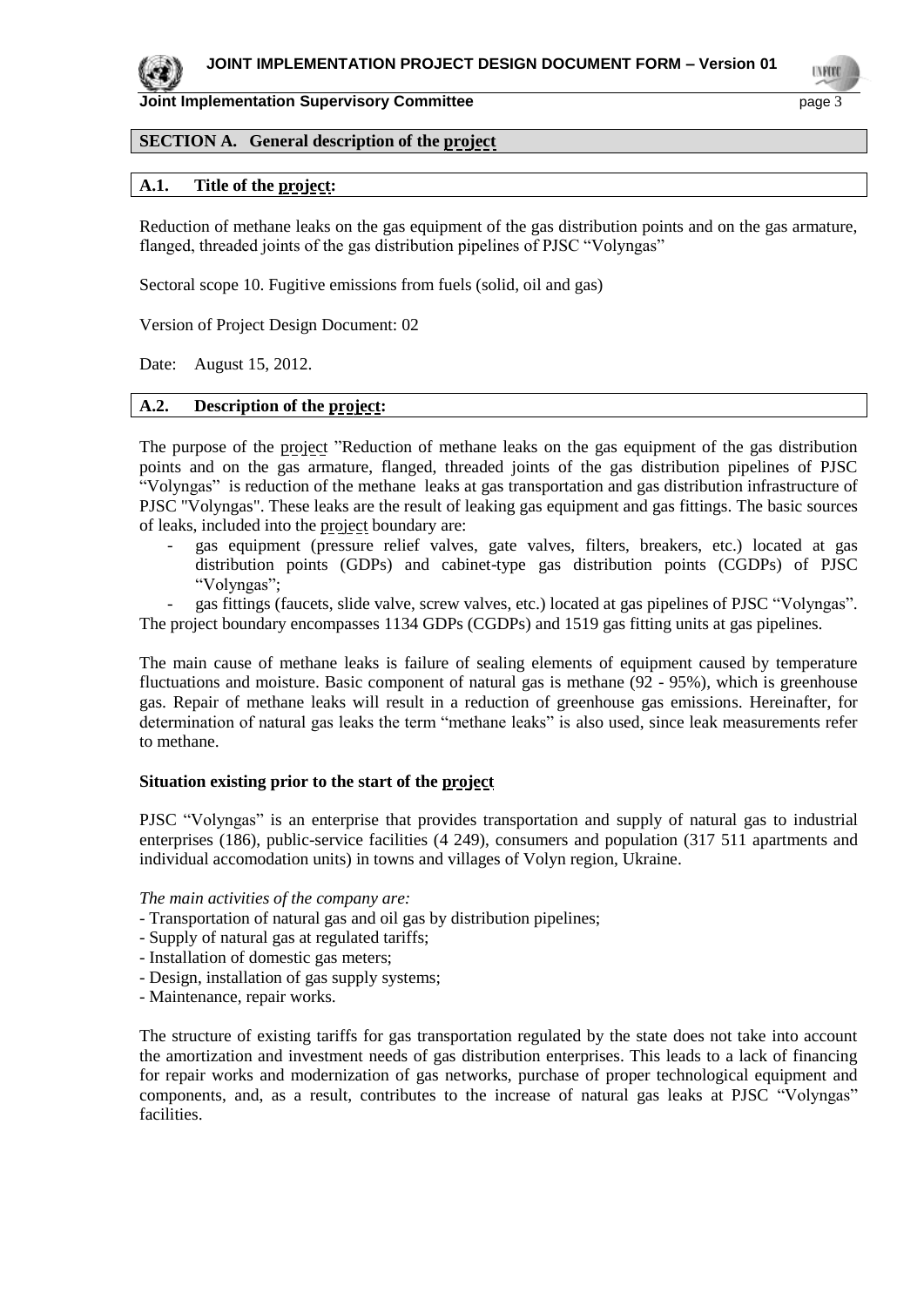

**TYPE** 

## **SECTION A. General description of the project**

#### **A.1. Title of the project:**

Reduction of methane leaks on the gas equipment of the gas distribution points and on the gas armature, flanged, threaded joints of the gas distribution pipelines of PJSC "Volyngas"

Sectoral scope 10. Fugitive emissions from fuels (solid, oil and gas)

Version of Project Design Document: 02

Date: August 15, 2012.

#### **A.2. Description of the project:**

The purpose of the project "Reduction of methane leaks on the gas equipment of the gas distribution points and on the gas armature, flanged, threaded joints of the gas distribution pipelines of PJSC "Volyngas" is reduction of the methane leaks at gas transportation and gas distribution infrastructure of PJSC "Volyngas". These leaks are the result of leaking gas equipment and gas fittings. The basic sources of leaks, included into the project boundary are:

*-* gas equipment (pressure relief valves, gate valves, filters, breakers, etc.) located at gas distribution points (GDPs) and cabinet-type gas distribution points (CGDPs) of PJSC "Volyngas";

*-* gas fittings (faucets, slide valve, screw valves, etc.) located at gas pipelines of PJSC "Volyngas". The project boundary encompasses 1134 GDPs (CGDPs) and 1519 gas fitting units at gas pipelines.

The main cause of methane leaks is failure of sealing elements of equipment caused by temperature fluctuations and moisture. Basic component of natural gas is methane (92 - 95%), which is greenhouse gas. Repair of methane leaks will result in a reduction of greenhouse gas emissions. Hereinafter, for determination of natural gas leaks the term "methane leaks" is also used, since leak measurements refer to methane.

#### **Situation existing prior to the start of the project**

PJSC "Volyngas" is an enterprise that provides transportation and supply of natural gas to industrial enterprises (186), public-service facilities (4 249), consumers and population (317 511 apartments and individual accomodation units) in towns and villages of Volyn region, Ukraine.

*The main activities of the company are:*

- Transportation of natural gas and oil gas by distribution pipelines;
- Supply of natural gas at regulated tariffs;
- Installation of domestic gas meters;
- Design, installation of gas supply systems;
- Maintenance, repair works.

The structure of existing tariffs for gas transportation regulated by the state does not take into account the amortization and investment needs of gas distribution enterprises. This leads to a lack of financing for repair works and modernization of gas networks, purchase of proper technological equipment and components, and, as a result, contributes to the increase of natural gas leaks at PJSC "Volyngas" facilities.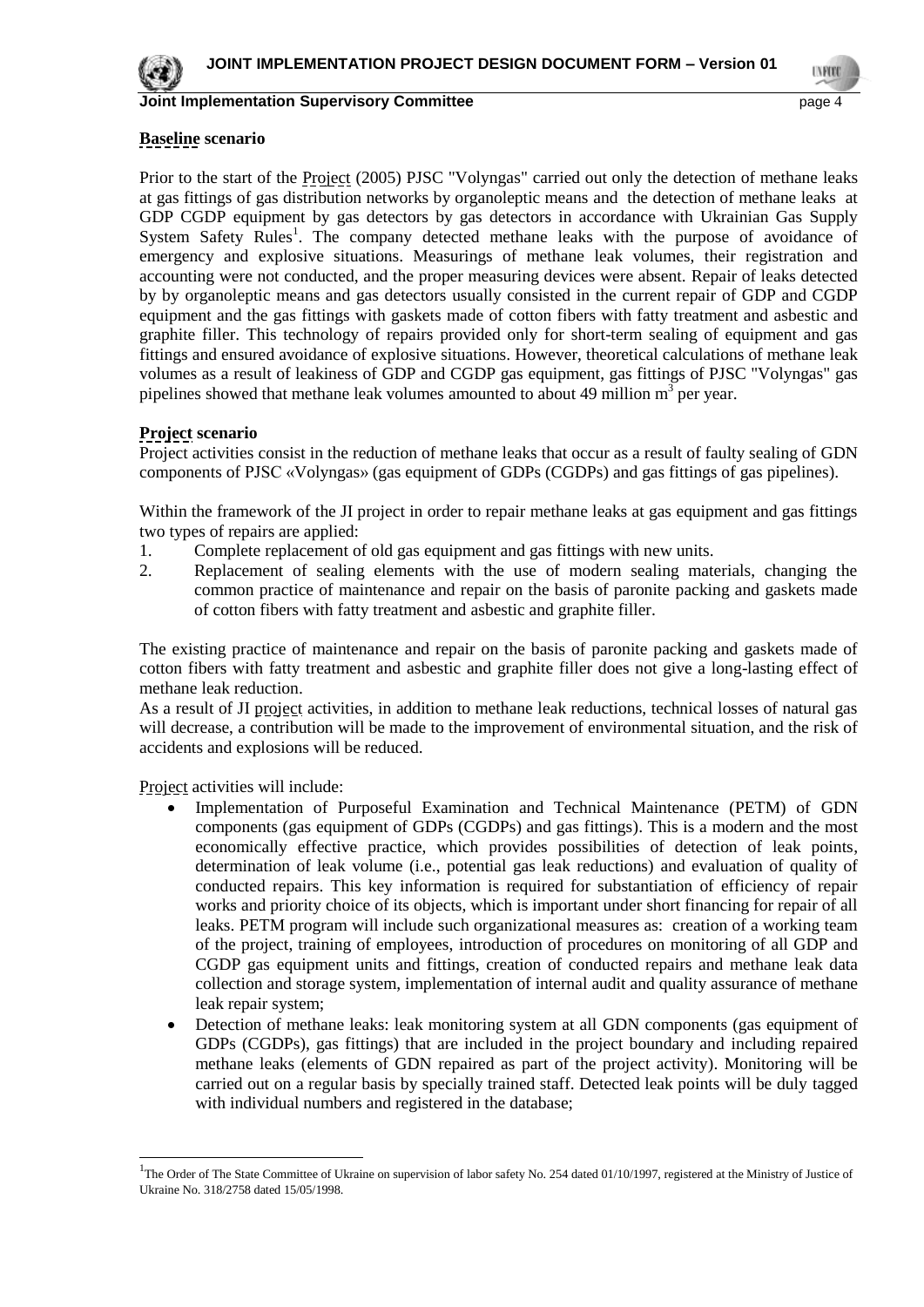

#### **Baseline scenario**

Prior to the start of the Project (2005) PJSC "Volyngas" carried out only the detection of methane leaks at gas fittings of gas distribution networks by organoleptic means and the detection of methane leaks at GDP CGDP equipment by gas detectors by gas detectors in accordance with Ukrainian Gas Supply System Safety Rules<sup>1</sup>. The company detected methane leaks with the purpose of avoidance of emergency and explosive situations. Measurings of methane leak volumes, their registration and accounting were not conducted, and the proper measuring devices were absent. Repair of leaks detected by by organoleptic means and gas detectors usually consisted in the current repair of GDP and CGDP equipment and the gas fittings with gaskets made of cotton fibers with fatty treatment and asbestic and graphite filler. This technology of repairs provided only for short-term sealing of equipment and gas fittings and ensured avoidance of explosive situations. However, theoretical calculations of methane leak volumes as a result of leakiness of GDP and CGDP gas equipment, gas fittings of PJSC "Volyngas" gas pipelines showed that methane leak volumes amounted to about 49 million  $m<sup>3</sup>$  per year.

## **Project scenario**

Project activities consist in the reduction of methane leaks that occur as a result of faulty sealing of GDN components of PJSC «Volyngas» (gas equipment of GDPs (CGDPs) and gas fittings of gas pipelines).

Within the framework of the JI project in order to repair methane leaks at gas equipment and gas fittings two types of repairs are applied:

- 1. Complete replacement of old gas equipment and gas fittings with new units.
- 2. Replacement of sealing elements with the use of modern sealing materials, changing the common practice of maintenance and repair on the basis of paronite packing and gaskets made of cotton fibers with fatty treatment and asbestic and graphite filler.

The existing practice of maintenance and repair on the basis of paronite packing and gaskets made of cotton fibers with fatty treatment and asbestic and graphite filler does not give a long-lasting effect of methane leak reduction.

As a result of JI project activities, in addition to methane leak reductions, technical losses of natural gas will decrease, a contribution will be made to the improvement of environmental situation, and the risk of accidents and explosions will be reduced.

Project activities will include:

l

- Implementation of Purposeful Examination and Technical Maintenance (PETM) of GDN components (gas equipment of GDPs (CGDPs) and gas fittings). This is a modern and the most economically effective practice, which provides possibilities of detection of leak points, determination of leak volume (i.e., potential gas leak reductions) and evaluation of quality of conducted repairs. This key information is required for substantiation of efficiency of repair works and priority choice of its objects, which is important under short financing for repair of all leaks. PETM program will include such organizational measures as: creation of a working team of the project, training of employees, introduction of procedures on monitoring of all GDP and CGDP gas equipment units and fittings, creation of conducted repairs and methane leak data collection and storage system, implementation of internal audit and quality assurance of methane leak repair system;
- Detection of methane leaks: leak monitoring system at all GDN components (gas equipment of GDPs (CGDPs), gas fittings) that are included in the project boundary and including repaired methane leaks (elements of GDN repaired as part of the project activity). Monitoring will be carried out on a regular basis by specially trained staff. Detected leak points will be duly tagged with individual numbers and registered in the database;

<sup>&</sup>lt;sup>1</sup>The Order of The State Committee of Ukraine on supervision of labor safety No. 254 dated 01/10/1997, registered at the Ministry of Justice of Ukraine No. 318/2758 dated 15/05/1998.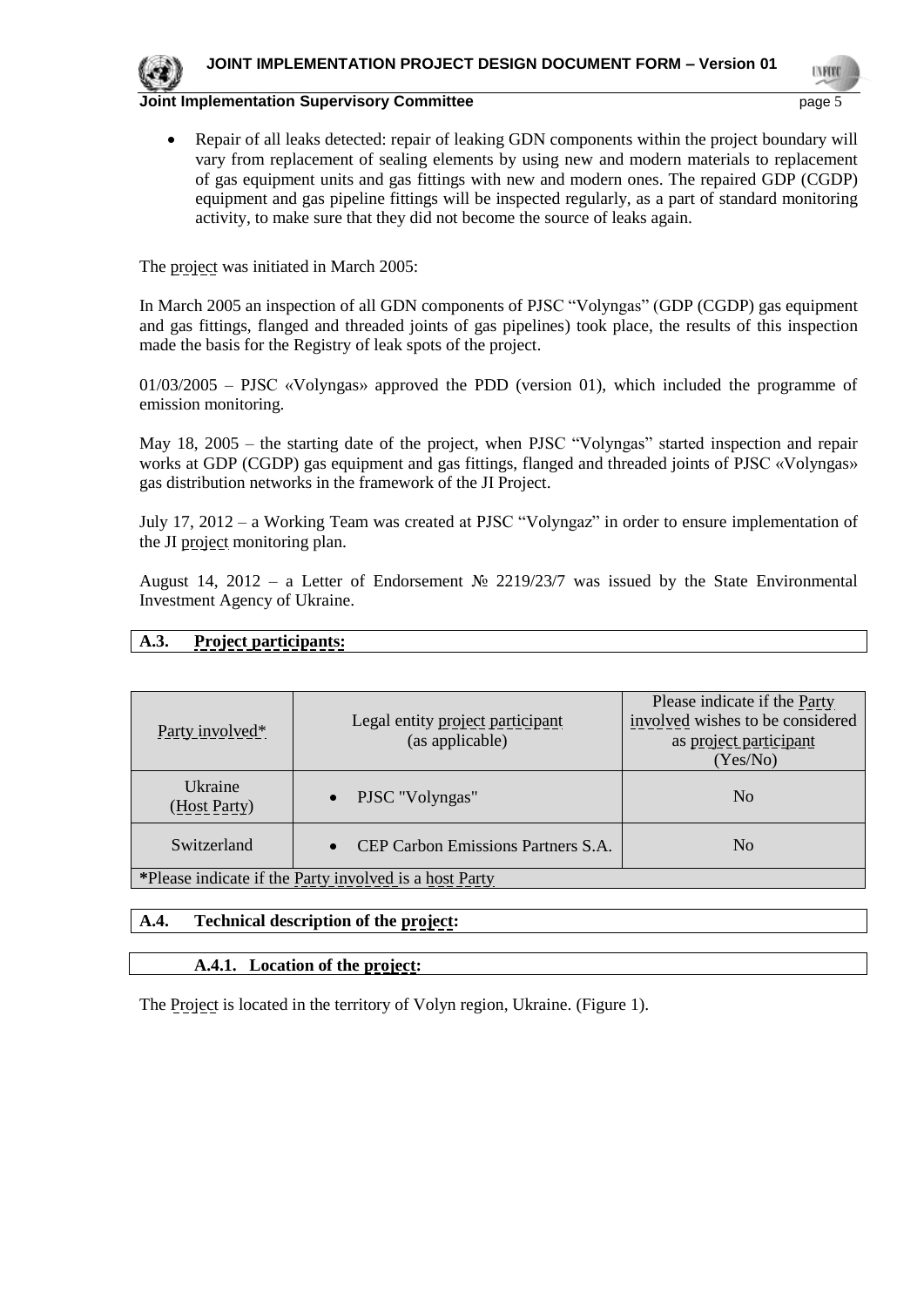

**INFOR** 

**Joint Implementation Supervisory Committee** page 5

- 
- Repair of all leaks detected: repair of leaking GDN components within the project boundary will vary from replacement of sealing elements by using new and modern materials to replacement of gas equipment units and gas fittings with new and modern ones. The repaired GDP (CGDP) equipment and gas pipeline fittings will be inspected regularly, as a part of standard monitoring activity, to make sure that they did not become the source of leaks again.

The project was initiated in March 2005:

In March 2005 an inspection of all GDN components of PJSC "Volyngas" (GDP (CGDP) gas equipment and gas fittings, flanged and threaded joints of gas pipelines) took place, the results of this inspection made the basis for the Registry of leak spots of the project.

01/03/2005 – PJSC «Volyngas» approved the PDD (version 01), which included the programme of emission monitoring.

May 18, 2005 – the starting date of the project, when PJSC "Volyngas" started inspection and repair works at GDP (CGDP) gas equipment and gas fittings, flanged and threaded joints of PJSC «Volyngas» gas distribution networks in the framework of the JI Project.

July 17, 2012 – a Working Team was created at PJSC "Volyngaz" in order to ensure implementation of the JI project monitoring plan.

August 14, 2012 – a Letter of Endorsement № 2219/23/7 was issued by the State Environmental Investment Agency of Ukraine.

## **A.3. Project participants:**

| Party involved <sup>*</sup>                            | Legal entity project participant<br>(as applicable) | Please indicate if the Party<br>involved wishes to be considered<br>as project participant<br>(Yes/No) |  |
|--------------------------------------------------------|-----------------------------------------------------|--------------------------------------------------------------------------------------------------------|--|
| Ukraine<br>(Host Party)                                | • PJSC "Volyngas"                                   | N <sub>0</sub>                                                                                         |  |
| Switzerland                                            | CEP Carbon Emissions Partners S.A.                  | N <sub>0</sub>                                                                                         |  |
| *Please indicate if the Party involved is a host Party |                                                     |                                                                                                        |  |

## **A.4. Technical description of the project:**

## **A.4.1. Location of the project:**

The Project is located in the territory of Volyn region, Ukraine. (Figure 1).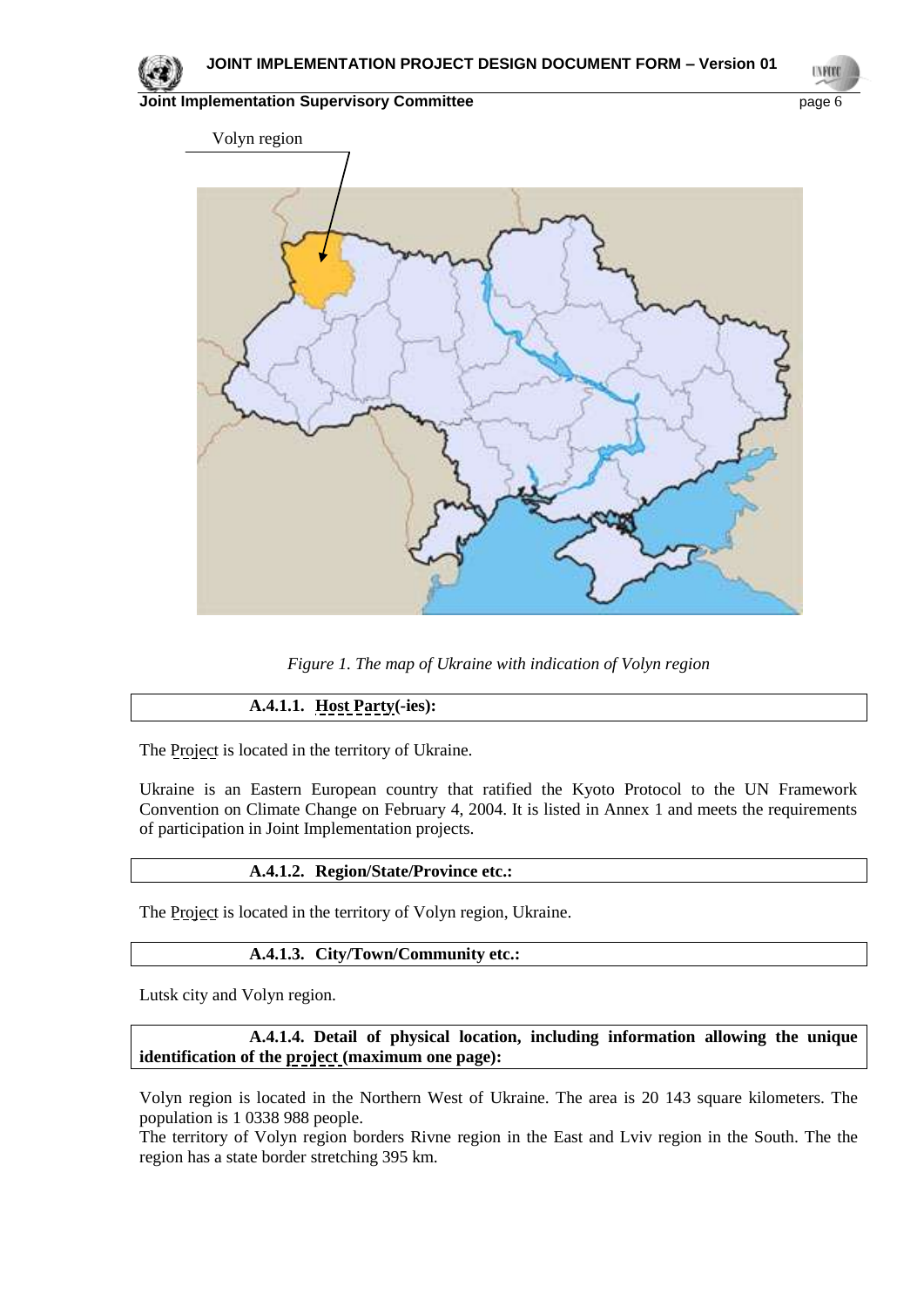**TVRD** 



*Figure 1. The map of Ukraine with indication of Volyn region*

## **A.4.1.1. Host Party(-ies):**

The Project is located in the territory of Ukraine.

Ukraine is an Eastern European country that ratified the Kyoto Protocol to the UN Framework Convention on Climate Change on February 4, 2004. It is listed in Annex 1 and meets the requirements of participation in Joint Implementation projects.

#### **A.4.1.2. Region/State/Province etc.:**

The Project is located in the territory of Volyn region, Ukraine.

#### **A.4.1.3. City/Town/Community etc.:**

Lutsk city and Volyn region.

**A.4.1.4. Detail of physical location, including information allowing the unique identification of the project (maximum one page):**

Volyn region is located in the Northern West of Ukraine. The area is 20 143 square kilometers. The population is 1 0338 988 people.

The territory of Volyn region borders Rivne region in the East and Lviv region in the South. The the region has a state border stretching 395 km.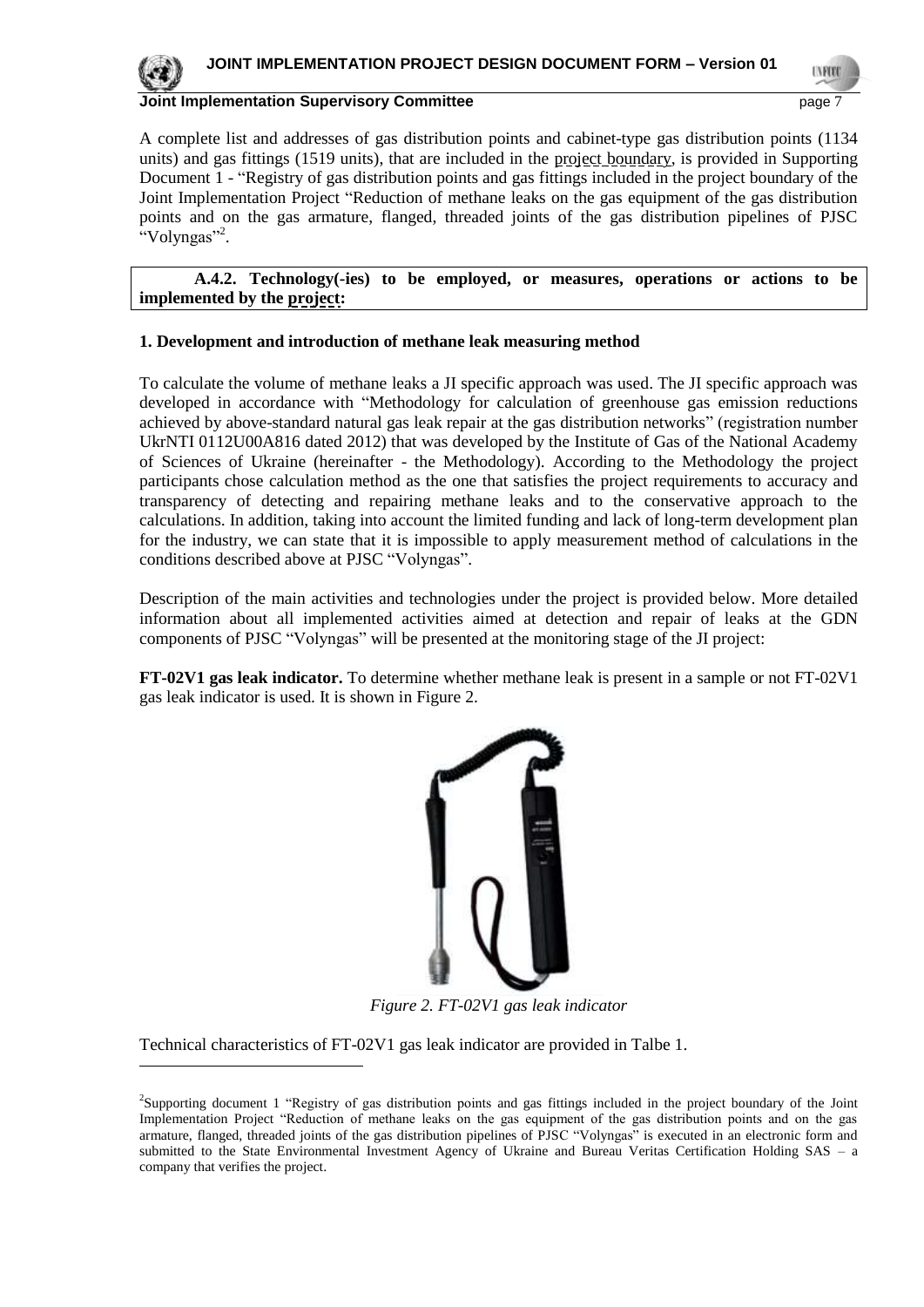

-

#### **Joint Implementation Supervisory Committee** *page* **7 and 7 and 7 and 7 and 7 and 7 and 7 and 7 and 7 and 7 and 7 and 7 and 7 and 7 and 7 and 7 and 7 and 7 and 7 and 7 and 7 and 7 and 7 and 7 and 7 and 7 and 7 and 7 and 7 a**

A complete list and addresses of gas distribution points and cabinet-type gas distribution points (1134 units) and gas fittings (1519 units), that are included in the project boundary, is provided in Supporting Document 1 - "Registry of gas distribution points and gas fittings included in the project boundary of the Joint Implementation Project "Reduction of methane leaks on the gas equipment of the gas distribution points and on the gas armature, flanged, threaded joints of the gas distribution pipelines of PJSC "Volyngas"<sup>2</sup>.

| A.4.2. Technology(-ies) to be employed, or measures, operations or actions to be |  |  |  |  |  |
|----------------------------------------------------------------------------------|--|--|--|--|--|
| implemented by the <u>project</u> :                                              |  |  |  |  |  |

#### **1. Development and introduction of methane leak measuring method**

To calculate the volume of methane leaks a JI specific approach was used. The JI specific approach was developed in accordance with "Methodology for calculation of greenhouse gas emission reductions achieved by above-standard natural gas leak repair at the gas distribution networks" (registration number UkrNTI 0112U00A816 dated 2012) that was developed by the Institute of Gas of the National Academy of Sciences of Ukraine (hereinafter - the Methodology). According to the Methodology the project participants chose calculation method as the one that satisfies the project requirements to accuracy and transparency of detecting and repairing methane leaks and to the conservative approach to the calculations. In addition, taking into account the limited funding and lack of long-term development plan for the industry, we can state that it is impossible to apply measurement method of calculations in the conditions described above at PJSC "Volyngas".

Description of the main activities and technologies under the project is provided below. More detailed information about all implemented activities aimed at detection and repair of leaks at the GDN components of PJSC "Volyngas" will be presented at the monitoring stage of the JI project:

**FT-02V1 gas leak indicator.** To determine whether methane leak is present in a sample or not FT-02V1 gas leak indicator is used. It is shown in Figure 2.



*Figure 2. FT-02V1 gas leak indicator*

Technical characteristics of FT-02V1 gas leak indicator are provided in Talbe 1.

<sup>2</sup> Supporting document 1 "Registry of gas distribution points and gas fittings included in the project boundary of the Joint Implementation Project "Reduction of methane leaks on the gas equipment of the gas distribution points and on the gas armature, flanged, threaded joints of the gas distribution pipelines of PJSC "Volyngas" is executed in an electronic form and submitted to the State Environmental Investment Agency of Ukraine and Bureau Veritas Certification Holding SAS – a company that verifies the project.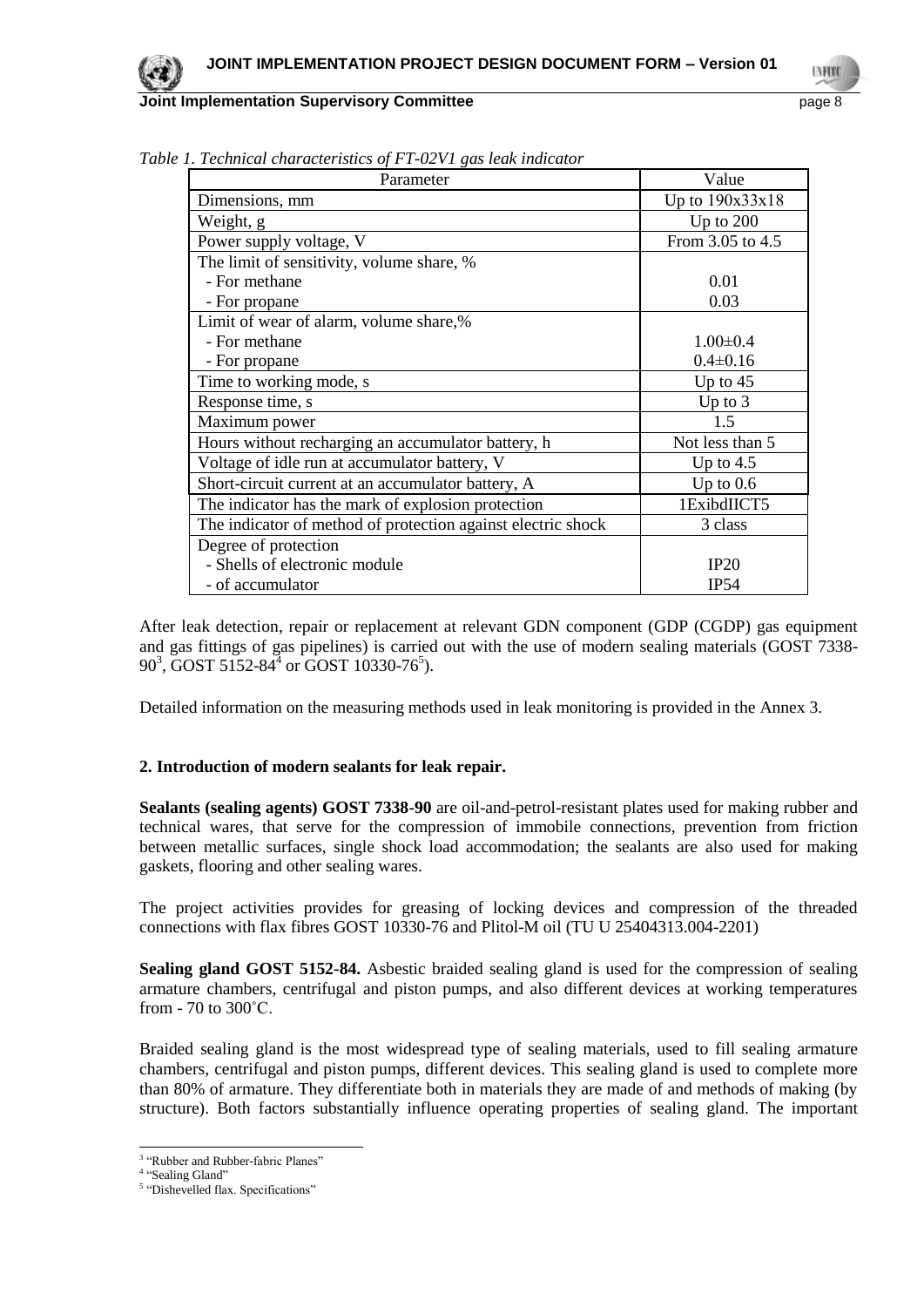| $1 \pm 0 = 1 \pm 0.00$ retain interesting<br>Parameter       | Value            |
|--------------------------------------------------------------|------------------|
| Dimensions, mm                                               | Up to 190x33x18  |
| Weight, g                                                    | Up to $200$      |
| Power supply voltage, V                                      | From 3.05 to 4.5 |
| The limit of sensitivity, volume share, %                    |                  |
| - For methane                                                | 0.01             |
| - For propane                                                | 0.03             |
| Limit of wear of alarm, volume share,%                       |                  |
| - For methane                                                | $1.00 \pm 0.4$   |
| - For propane                                                | $0.4 \pm 0.16$   |
| Time to working mode, s                                      | Up to $45$       |
| Response time, s                                             | Up to $3$        |
| Maximum power                                                | 1.5              |
| Hours without recharging an accumulator battery, h           | Not less than 5  |
| Voltage of idle run at accumulator battery, V                | Up to $4.5$      |
| Short-circuit current at an accumulator battery, A           | Up to $0.6$      |
| The indicator has the mark of explosion protection           | 1ExibdIICT5      |
| The indicator of method of protection against electric shock | 3 class          |
| Degree of protection                                         |                  |
| - Shells of electronic module                                | IP20             |
| - of accumulator                                             | IP54             |

*Table 1. Technical characteristics of FT-02V1 gas leak indicator*

After leak detection, repair or replacement at relevant GDN component (GDP (CGDP) gas equipment and gas fittings of gas pipelines) is carried out with the use of modern sealing materials (GOST 7338-  $90^3$ , GOST 5152-84<sup>4</sup> or GOST 10330-76<sup>5</sup>).

Detailed information on the measuring methods used in leak monitoring is provided in the Annex 3.

## **2. Introduction of modern sealants for leak repair.**

**Sealants (sealing agents) GOST 7338-90** are oil-and-petrol-resistant plates used for making rubber and technical wares, that serve for the compression of immobile connections, prevention from friction between metallic surfaces, single shock load accommodation; the sealants are also used for making gaskets, flooring and other sealing wares.

The project activities provides for greasing of locking devices and compression of the threaded connections with flax fibres GOST 10330-76 and Plitol-M oil (TU U 25404313.004-2201)

**Sealing gland GOST 5152-84.** Asbestic braided sealing gland is used for the compression of sealing armature chambers, centrifugal and piston pumps, and also different devices at working temperatures from - 70 to 300˚С.

Braided sealing gland is the most widespread type of sealing materials, used to fill sealing armature chambers, centrifugal and piston pumps, different devices. This sealing gland is used to complete more than 80% of armature. They differentiate both in materials they are made of and methods of making (by structure). Both factors substantially influence operating properties of sealing gland. The important

<sup>&</sup>lt;sup>3</sup> "Rubber and Rubber-fabric Planes"

<sup>&</sup>lt;sup>4</sup> "Sealing Gland"

<sup>&</sup>lt;sup>5</sup> "Dishevelled flax. Specifications"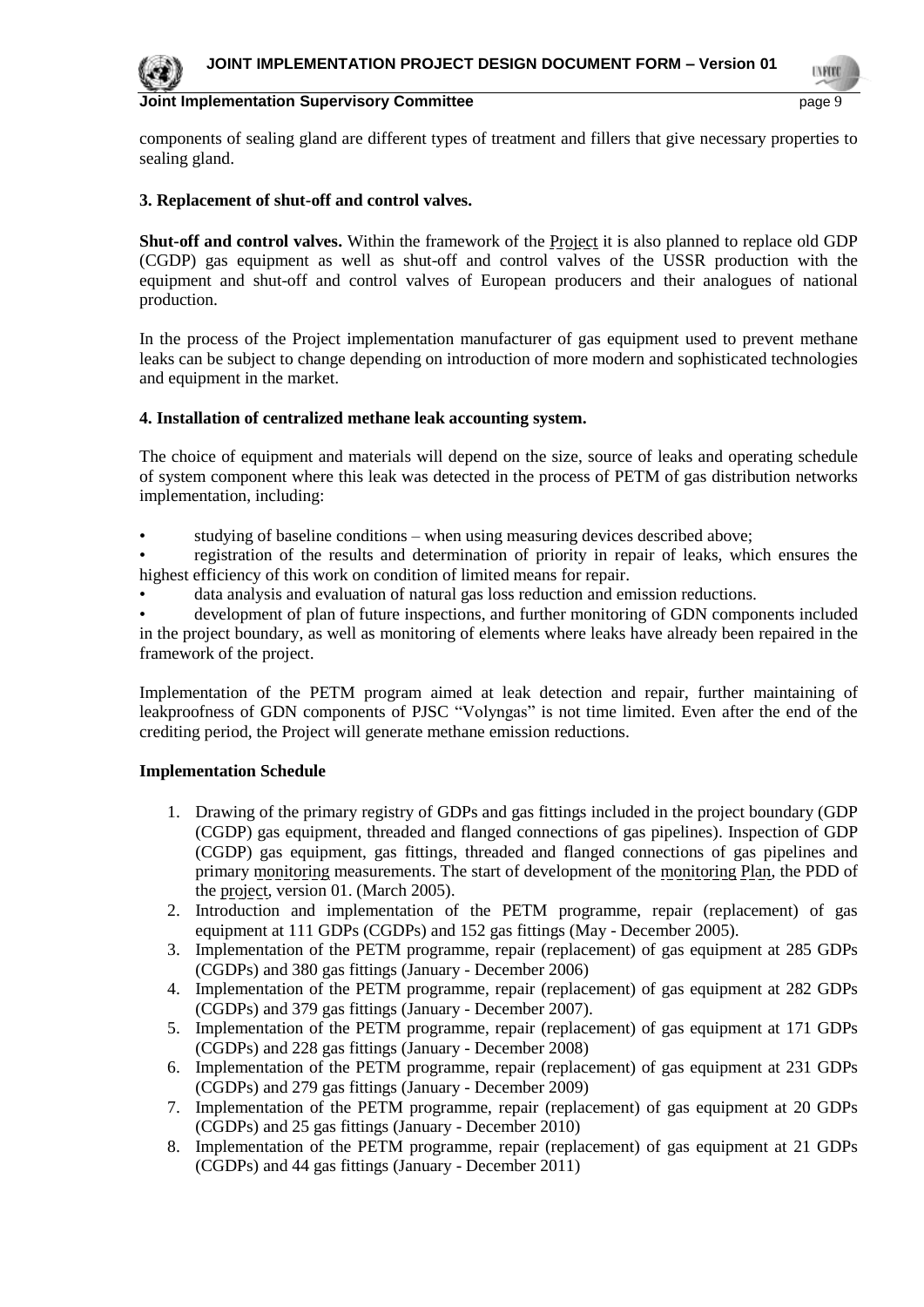

components of sealing gland are different types of treatment and fillers that give necessary properties to sealing gland.

#### **3. Replacement of shut-off and control valves.**

**Shut-off and control valves.** Within the framework of the Project it is also planned to replace old GDP (CGDP) gas equipment as well as shut-off and control valves of the USSR production with the equipment and shut-off and control valves of European producers and their analogues of national production.

In the process of the Project implementation manufacturer of gas equipment used to prevent methane leaks can be subject to change depending on introduction of more modern and sophisticated technologies and equipment in the market.

#### **4. Installation of centralized methane leak accounting system.**

The choice of equipment and materials will depend on the size, source of leaks and operating schedule of system component where this leak was detected in the process of PETM of gas distribution networks implementation, including:

• studying of baseline conditions – when using measuring devices described above;

• registration of the results and determination of priority in repair of leaks, which ensures the highest efficiency of this work on condition of limited means for repair.

data analysis and evaluation of natural gas loss reduction and emission reductions.

• development of plan of future inspections, and further monitoring of GDN components included in the project boundary, as well as monitoring of elements where leaks have already been repaired in the framework of the project.

Implementation of the PETM program aimed at leak detection and repair, further maintaining of leakproofness of GDN components of PJSC "Volyngas" is not time limited. Even after the end of the crediting period, the Project will generate methane emission reductions.

#### **Implementation Schedule**

- 1. Drawing of the primary registry of GDPs and gas fittings included in the project boundary (GDP (CGDP) gas equipment, threaded and flanged connections of gas pipelines). Inspection of GDP (CGDP) gas equipment, gas fittings, threaded and flanged connections of gas pipelines and primary monitoring measurements. The start of development of the monitoring Plan, the PDD of the project, version 01. (March 2005).
- 2. Introduction and implementation of the PETM programme, repair (replacement) of gas equipment at 111 GDPs (CGDPs) and 152 gas fittings (May - December 2005).
- 3. Implementation of the PETM programme, repair (replacement) of gas equipment at 285 GDPs (CGDPs) and 380 gas fittings (January - December 2006)
- 4. Implementation of the PETM programme, repair (replacement) of gas equipment at 282 GDPs (CGDPs) and 379 gas fittings (January - December 2007).
- 5. Implementation of the PETM programme, repair (replacement) of gas equipment at 171 GDPs (CGDPs) and 228 gas fittings (January - December 2008)
- 6. Implementation of the PETM programme, repair (replacement) of gas equipment at 231 GDPs (CGDPs) and 279 gas fittings (January - December 2009)
- 7. Implementation of the PETM programme, repair (replacement) of gas equipment at 20 GDPs (CGDPs) and 25 gas fittings (January - December 2010)
- 8. Implementation of the PETM programme, repair (replacement) of gas equipment at 21 GDPs (CGDPs) and 44 gas fittings (January - December 2011)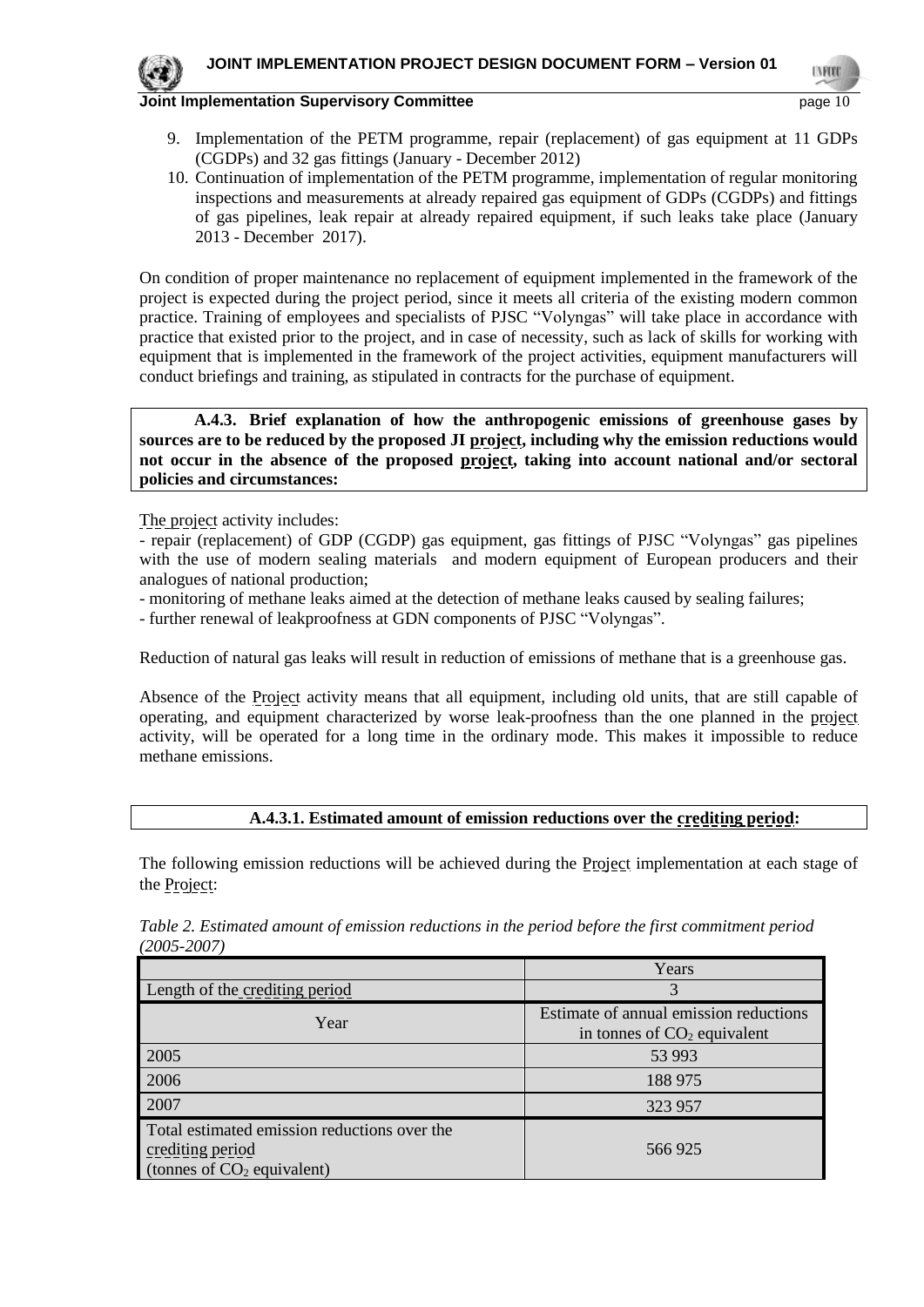

- 9. Implementation of the PETM programme, repair (replacement) of gas equipment at 11 GDPs (CGDPs) and 32 gas fittings (January - December 2012)
- 10. Continuation of implementation of the PETM programme, implementation of regular monitoring inspections and measurements at already repaired gas equipment of GDPs (CGDPs) and fittings of gas pipelines, leak repair at already repaired equipment, if such leaks take place (January 2013 - December 2017).

On condition of proper maintenance no replacement of equipment implemented in the framework of the project is expected during the project period, since it meets all criteria of the existing modern common practice. Training of employees and specialists of PJSC "Volyngas" will take place in accordance with practice that existed prior to the project, and in case of necessity, such as lack of skills for working with equipment that is implemented in the framework of the project activities, equipment manufacturers will conduct briefings and training, as stipulated in contracts for the purchase of equipment.

**A.4.3. Brief explanation of how the anthropogenic emissions of greenhouse gases by sources are to be reduced by the proposed JI project, including why the emission reductions would not occur in the absence of the proposed project, taking into account national and/or sectoral policies and circumstances:**

The project activity includes:

- repair (replacement) of GDP (CGDP) gas equipment, gas fittings of PJSC "Volyngas" gas pipelines with the use of modern sealing materials and modern equipment of European producers and their analogues of national production;

- monitoring of methane leaks aimed at the detection of methane leaks caused by sealing failures;

- further renewal of leakproofness at GDN components of PJSC "Volyngas".

Reduction of natural gas leaks will result in reduction of emissions of methane that is a greenhouse gas.

Absence of the Project activity means that all equipment, including old units, that are still capable of operating, and equipment characterized by worse leak-proofness than the one planned in the project activity, will be operated for a long time in the ordinary mode. This makes it impossible to reduce methane emissions.

#### **A.4.3.1. Estimated amount of emission reductions over the crediting period:**

The following emission reductions will be achieved during the Project implementation at each stage of the Project:

|                                                                                                  | Years                                                                   |
|--------------------------------------------------------------------------------------------------|-------------------------------------------------------------------------|
| Length of the crediting period                                                                   | 3                                                                       |
| Year                                                                                             | Estimate of annual emission reductions<br>in tonnes of $CO2$ equivalent |
| 2005                                                                                             | 53 993                                                                  |
| 2006                                                                                             | 188 975                                                                 |
| 2007                                                                                             | 323 957                                                                 |
| Total estimated emission reductions over the<br>crediting period<br>(tonnes of $CO2$ equivalent) | 566925                                                                  |

*Table 2. Estimated amount of emission reductions in the period before the first commitment period (2005-2007)*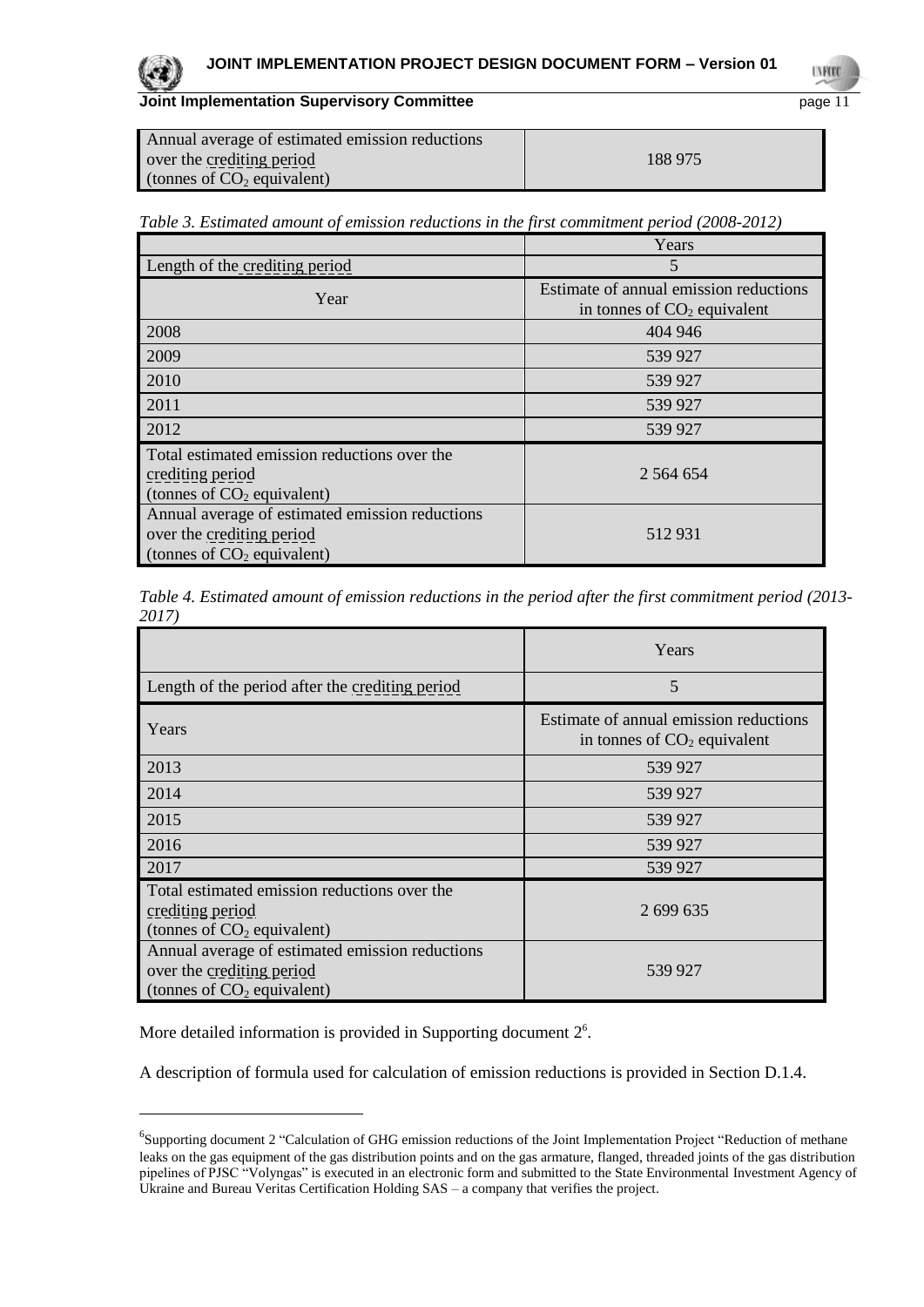

l

**Joint Implementation Supervisory Committee** page 11

| Annual average of estimated emission reductions |         |
|-------------------------------------------------|---------|
| over the crediting period                       | 188 975 |
| (tonnes of $CO2$ equivalent)                    |         |

|  | Table 3. Estimated amount of emission reductions in the first commitment period (2008-2012) |  |
|--|---------------------------------------------------------------------------------------------|--|
|  |                                                                                             |  |

|                                                 | Years                                  |
|-------------------------------------------------|----------------------------------------|
| Length of the crediting period                  | 5                                      |
| Year                                            | Estimate of annual emission reductions |
|                                                 | in tonnes of $CO2$ equivalent          |
| 2008                                            | 404 946                                |
| 2009                                            | 539 927                                |
| 2010                                            | 539 927                                |
| 2011                                            | 539 927                                |
| 2012                                            | 539 927                                |
| Total estimated emission reductions over the    |                                        |
| crediting period                                | 2 564 654                              |
| (tonnes of $CO2$ equivalent)                    |                                        |
| Annual average of estimated emission reductions |                                        |
| over the crediting period                       | 512931                                 |
| (tonnes of $CO2$ equivalent)                    |                                        |

*Table 4. Estimated amount of emission reductions in the period after the first commitment period (2013- 2017)*

|                                                                                                              | Years                                                                   |
|--------------------------------------------------------------------------------------------------------------|-------------------------------------------------------------------------|
| Length of the period after the crediting period                                                              | 5                                                                       |
| Years                                                                                                        | Estimate of annual emission reductions<br>in tonnes of $CO2$ equivalent |
| 2013                                                                                                         | 539 927                                                                 |
| 2014                                                                                                         | 539 927                                                                 |
| 2015                                                                                                         | 539 927                                                                 |
| 2016                                                                                                         | 539 927                                                                 |
| 2017                                                                                                         | 539 927                                                                 |
| Total estimated emission reductions over the<br>crediting period<br>(tonnes of $CO2$ equivalent)             | 2 699 635                                                               |
| Annual average of estimated emission reductions<br>over the crediting period<br>(tonnes of $CO2$ equivalent) | 539 927                                                                 |

More detailed information is provided in Supporting document  $2^6$ .

A description of formula used for calculation of emission reductions is provided in Section D.1.4.

<sup>&</sup>lt;sup>6</sup>Supporting document 2 "Calculation of GHG emission reductions of the Joint Implementation Project "Reduction of methane leaks on the gas equipment of the gas distribution points and on the gas armature, flanged, threaded joints of the gas distribution pipelines of PJSC "Volyngas" is executed in an electronic form and submitted to the State Environmental Investment Agency of Ukraine and Bureau Veritas Certification Holding SAS – a company that verifies the project.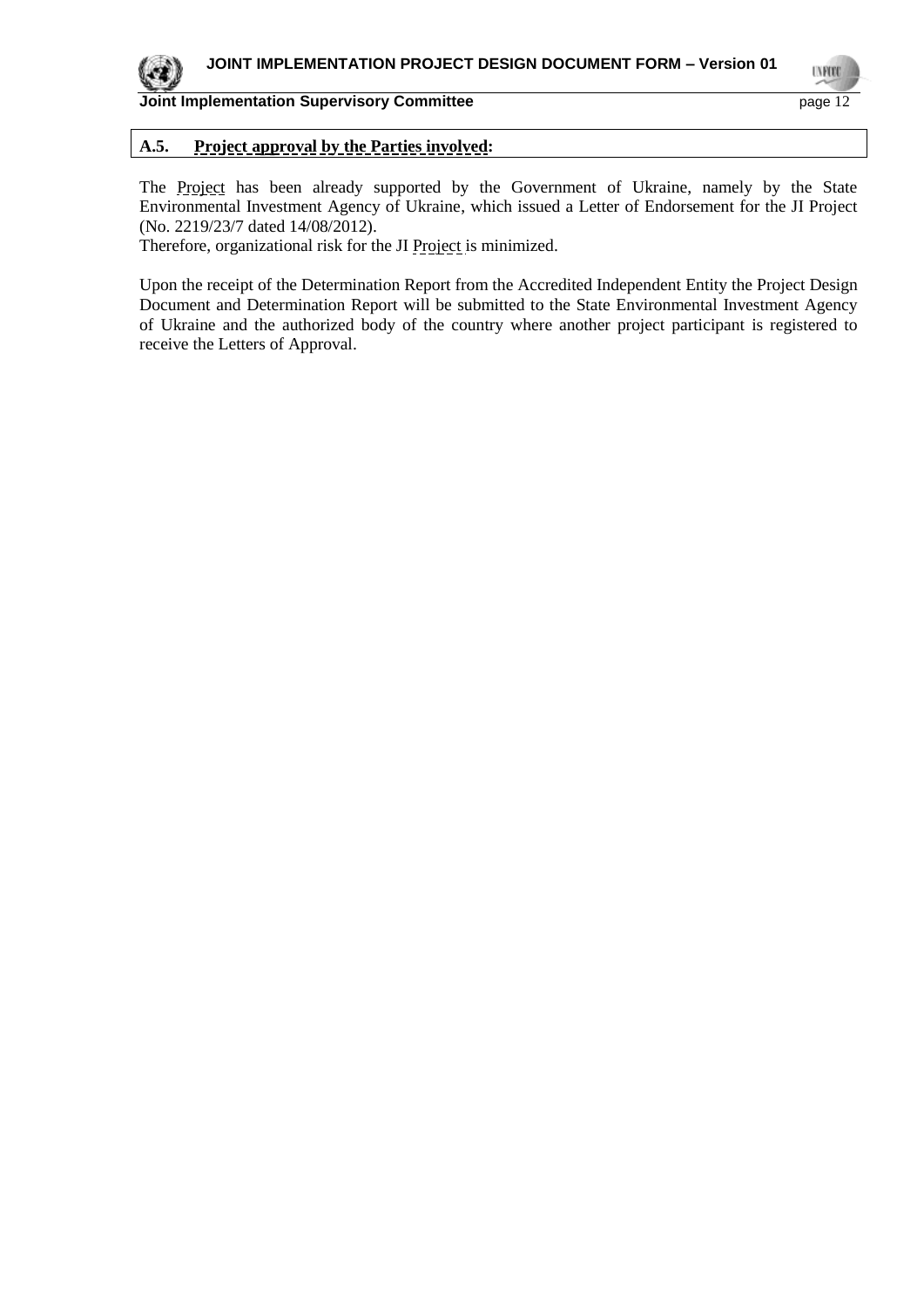I NFOT

## **Joint Implementation Supervisory Committee** page 12

## **A.5. Project approval by the Parties involved:**

The Project has been already supported by the Government of Ukraine, namely by the State Environmental Investment Agency of Ukraine, which issued a Letter of Endorsement for the JI Project (No. 2219/23/7 dated 14/08/2012).

Therefore, organizational risk for the JI Project is minimized.

Upon the receipt of the Determination Report from the Accredited Independent Entity the Project Design Document and Determination Report will be submitted to the State Environmental Investment Agency of Ukraine and the authorized body of the country where another project participant is registered to receive the Letters of Approval.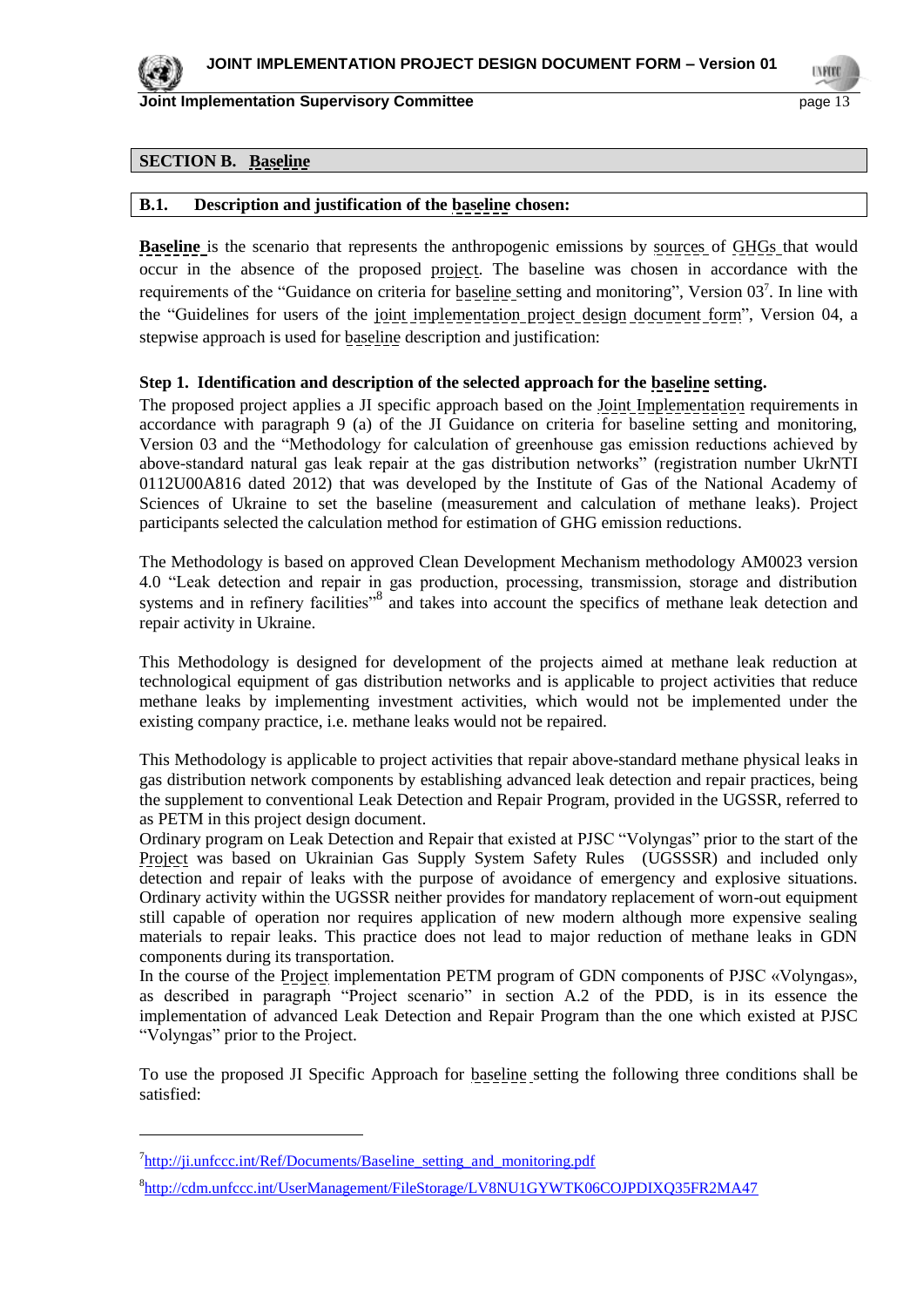

l

**Joint Implementation Supervisory Committee** *page 13* **page 13** 

## **SECTION B. Baseline**

#### **B.1. Description and justification of the baseline chosen:**

**Baseline** is the scenario that represents the anthropogenic emissions by sources of GHGs that would occur in the absence of the proposed project. The baseline was chosen in accordance with the requirements of the "Guidance on criteria for **baseline** setting and monitoring", Version 03<sup>7</sup>. In line with the "Guidelines for users of the joint implementation project design document form", Version 04, a stepwise approach is used for baseline description and justification:

#### **Step 1. Identification and description of the selected approach for the baseline setting.**

The proposed project applies a JI specific approach based on the Joint Implementation requirements in accordance with paragraph 9 (a) of the JI Guidance on criteria for baseline setting and monitoring, Version 03 and the "Methodology for calculation of greenhouse gas emission reductions achieved by above-standard natural gas leak repair at the gas distribution networks" (registration number UkrNTI 0112U00A816 dated 2012) that was developed by the Institute of Gas of the National Academy of Sciences of Ukraine to set the baseline (measurement and calculation of methane leaks). Project participants selected the calculation method for estimation of GHG emission reductions.

The Methodology is based on approved Clean Development Mechanism methodology AM0023 version 4.0 "Leak detection and repair in gas production, processing, transmission, storage and distribution systems and in refinery facilities"<sup>8</sup> and takes into account the specifics of methane leak detection and repair activity in Ukraine.

This Methodology is designed for development of the projects aimed at methane leak reduction at technological equipment of gas distribution networks and is applicable to project activities that reduce methane leaks by implementing investment activities, which would not be implemented under the existing company practice, i.e. methane leaks would not be repaired.

This Methodology is applicable to project activities that repair above-standard methane physical leaks in gas distribution network components by establishing advanced leak detection and repair practices, being the supplement to conventional Leak Detection and Repair Program, provided in the UGSSR, referred to as PETM in this project design document.

Ordinary program on Leak Detection and Repair that existed at PJSC "Volyngas" prior to the start of the Project was based on Ukrainian Gas Supply System Safety Rules (UGSSSR) and included only detection and repair of leaks with the purpose of avoidance of emergency and explosive situations. Ordinary activity within the UGSSR neither provides for mandatory replacement of worn-out equipment still capable of operation nor requires application of new modern although more expensive sealing materials to repair leaks. This practice does not lead to major reduction of methane leaks in GDN components during its transportation.

In the course of the Project implementation PETM program of GDN components of PJSC «Volyngas», as described in paragraph "Project scenario" in section A.2 of the PDD, is in its essence the implementation of advanced Leak Detection and Repair Program than the one which existed at PJSC "Volyngas" prior to the Project.

To use the proposed JI Specific Approach for baseline setting the following three conditions shall be satisfied:

<sup>&</sup>lt;sup>7</sup>http://ji.unfccc.int/Ref/Documents/Baseline setting and monitoring.pdf

<sup>8</sup> <http://cdm.unfccc.int/UserManagement/FileStorage/LV8NU1GYWTK06COJPDIXQ35FR2MA47>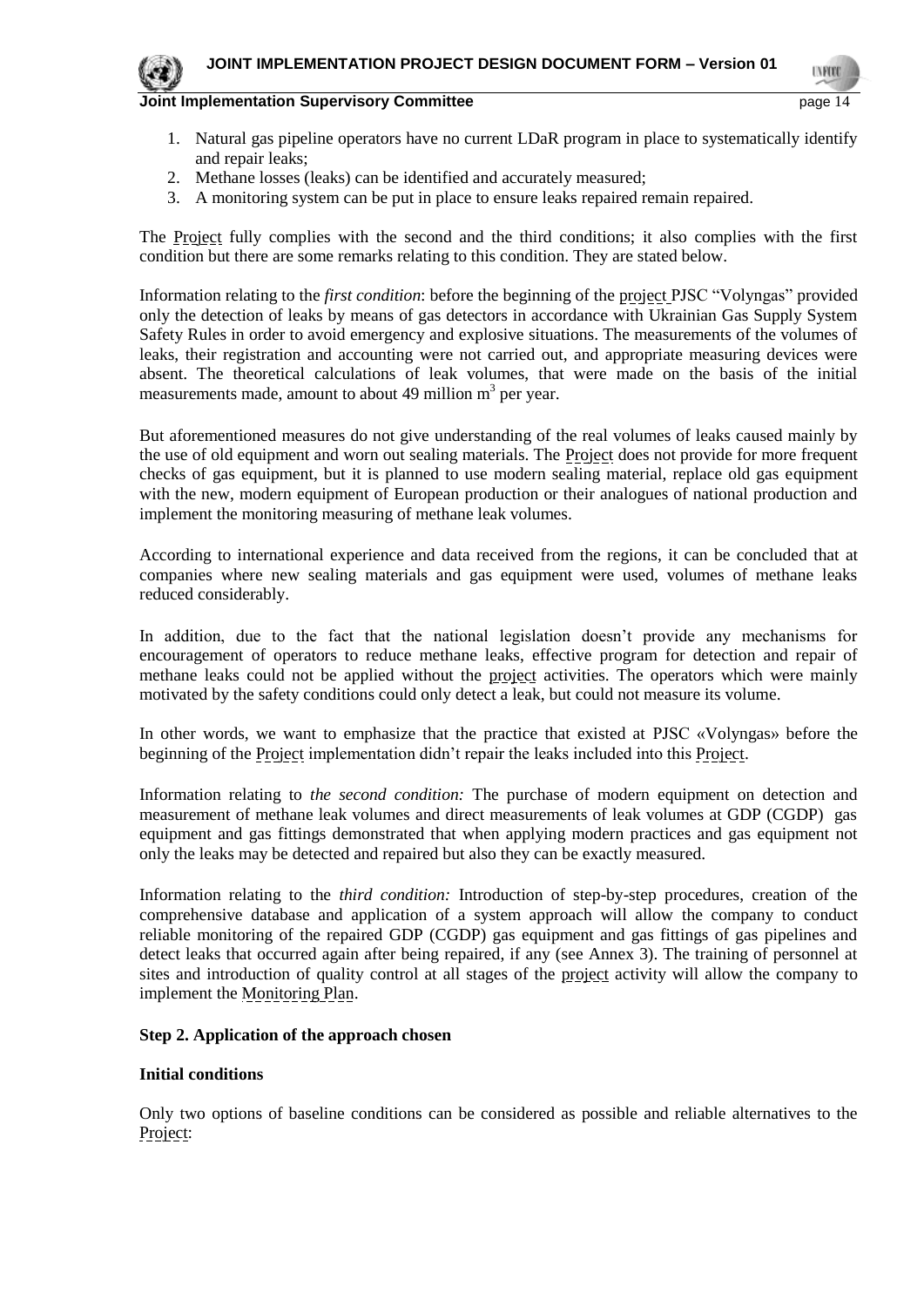- 1. Natural gas pipeline operators have no current LDaR program in place to systematically identify and repair leaks;
- 2. Methane losses (leaks) can be identified and accurately measured;
- 3. A monitoring system can be put in place to ensure leaks repaired remain repaired.

The Project fully complies with the second and the third conditions; it also complies with the first condition but there are some remarks relating to this condition. They are stated below.

Information relating to the *first condition*: before the beginning of the project PJSC "Volyngas" provided only the detection of leaks by means of gas detectors in accordance with Ukrainian Gas Supply System Safety Rules in order to avoid emergency and explosive situations. The measurements of the volumes of leaks, their registration and accounting were not carried out, and appropriate measuring devices were absent. The theoretical calculations of leak volumes, that were made on the basis of the initial measurements made, amount to about 49 million  $m<sup>3</sup>$  per year.

But aforementioned measures do not give understanding of the real volumes of leaks caused mainly by the use of old equipment and worn out sealing materials. The Project does not provide for more frequent checks of gas equipment, but it is planned to use modern sealing material, replace old gas equipment with the new, modern equipment of European production or their analogues of national production and implement the monitoring measuring of methane leak volumes.

According to international experience and data received from the regions, it can be concluded that at companies where new sealing materials and gas equipment were used, volumes of methane leaks reduced considerably.

In addition, due to the fact that the national legislation doesn't provide any mechanisms for encouragement of operators to reduce methane leaks, effective program for detection and repair of methane leaks could not be applied without the project activities. The operators which were mainly motivated by the safety conditions could only detect a leak, but could not measure its volume.

In other words, we want to emphasize that the practice that existed at PJSC «Volyngas» before the beginning of the Project implementation didn't repair the leaks included into this Project.

Information relating to *the second condition:* The purchase of modern equipment on detection and measurement of methane leak volumes and direct measurements of leak volumes at GDP (CGDP) gas equipment and gas fittings demonstrated that when applying modern practices and gas equipment not only the leaks may be detected and repaired but also they can be exactly measured.

Information relating to the *third condition:* Introduction of step-by-step procedures, creation of the comprehensive database and application of a system approach will allow the company to conduct reliable monitoring of the repaired GDP (CGDP) gas equipment and gas fittings of gas pipelines and detect leaks that occurred again after being repaired, if any (see Annex 3). The training of personnel at sites and introduction of quality control at all stages of the project activity will allow the company to implement the Monitoring Plan.

#### **Step 2. Application of the approach chosen**

#### **Initial conditions**

Only two options of baseline conditions can be considered as possible and reliable alternatives to the Project: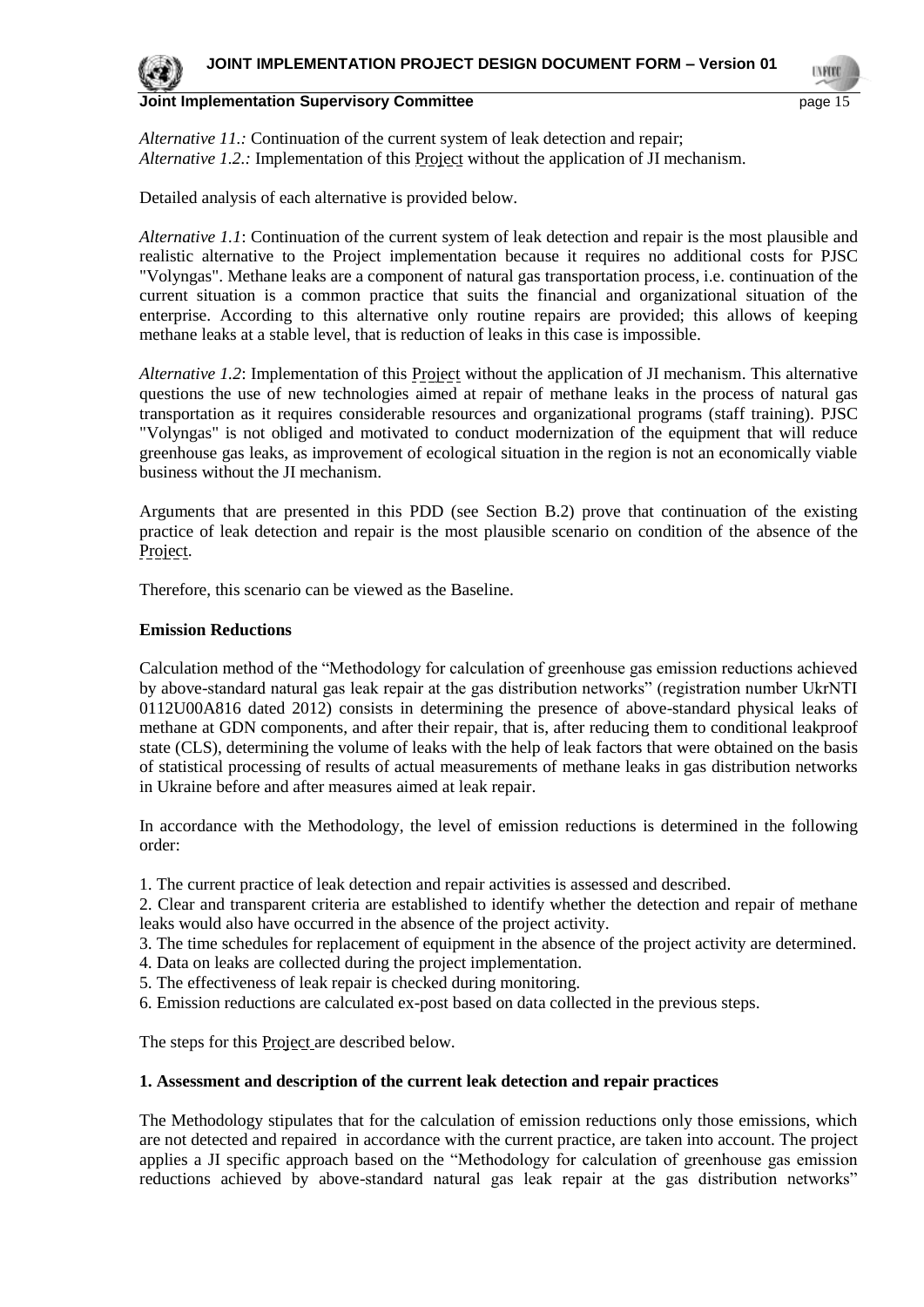

*Alternative 11.:* Continuation of the current system of leak detection and repair; *Alternative 1.2.:* Implementation of this Project without the application of JI mechanism.

Detailed analysis of each alternative is provided below.

*Alternative 1.1*: Continuation of the current system of leak detection and repair is the most plausible and realistic alternative to the Project implementation because it requires no additional costs for PJSC "Volyngas". Methane leaks are a component of natural gas transportation process, i.e. continuation of the current situation is a common practice that suits the financial and organizational situation of the enterprise. According to this alternative only routine repairs are provided; this allows of keeping methane leaks at a stable level, that is reduction of leaks in this case is impossible.

*Alternative 1.2*: Implementation of this Project without the application of JI mechanism. This alternative questions the use of new technologies aimed at repair of methane leaks in the process of natural gas transportation as it requires considerable resources and organizational programs (staff training). PJSC "Volyngas" is not obliged and motivated to conduct modernization of the equipment that will reduce greenhouse gas leaks, as improvement of ecological situation in the region is not an economically viable business without the JI mechanism.

Arguments that are presented in this PDD (see Section B.2) prove that continuation of the existing practice of leak detection and repair is the most plausible scenario on condition of the absence of the Project.

Therefore, this scenario can be viewed as the Baseline.

#### **Emission Reductions**

Calculation method of the "Methodology for calculation of greenhouse gas emission reductions achieved by above-standard natural gas leak repair at the gas distribution networks" (registration number UkrNTI 0112U00A816 dated 2012) consists in determining the presence of above-standard physical leaks of methane at GDN components, and after their repair, that is, after reducing them to conditional leakproof state (CLS), determining the volume of leaks with the help of leak factors that were obtained on the basis of statistical processing of results of actual measurements of methane leaks in gas distribution networks in Ukraine before and after measures aimed at leak repair.

In accordance with the Methodology, the level of emission reductions is determined in the following order:

1. The current practice of leak detection and repair activities is assessed and described.

2. Clear and transparent criteria are established to identify whether the detection and repair of methane leaks would also have occurred in the absence of the project activity.

3. The time schedules for replacement of equipment in the absence of the project activity are determined.

- 4. Data on leaks are collected during the project implementation.
- 5. The effectiveness of leak repair is checked during monitoring.
- 6. Emission reductions are calculated ex-post based on data collected in the previous steps.

The steps for this **Project** are described below.

#### **1. Assessment and description of the current leak detection and repair practices**

The Methodology stipulates that for the calculation of emission reductions only those emissions, which are not detected and repaired in accordance with the current practice, are taken into account. The project applies a JI specific approach based on the "Methodology for calculation of greenhouse gas emission reductions achieved by above-standard natural gas leak repair at the gas distribution networks"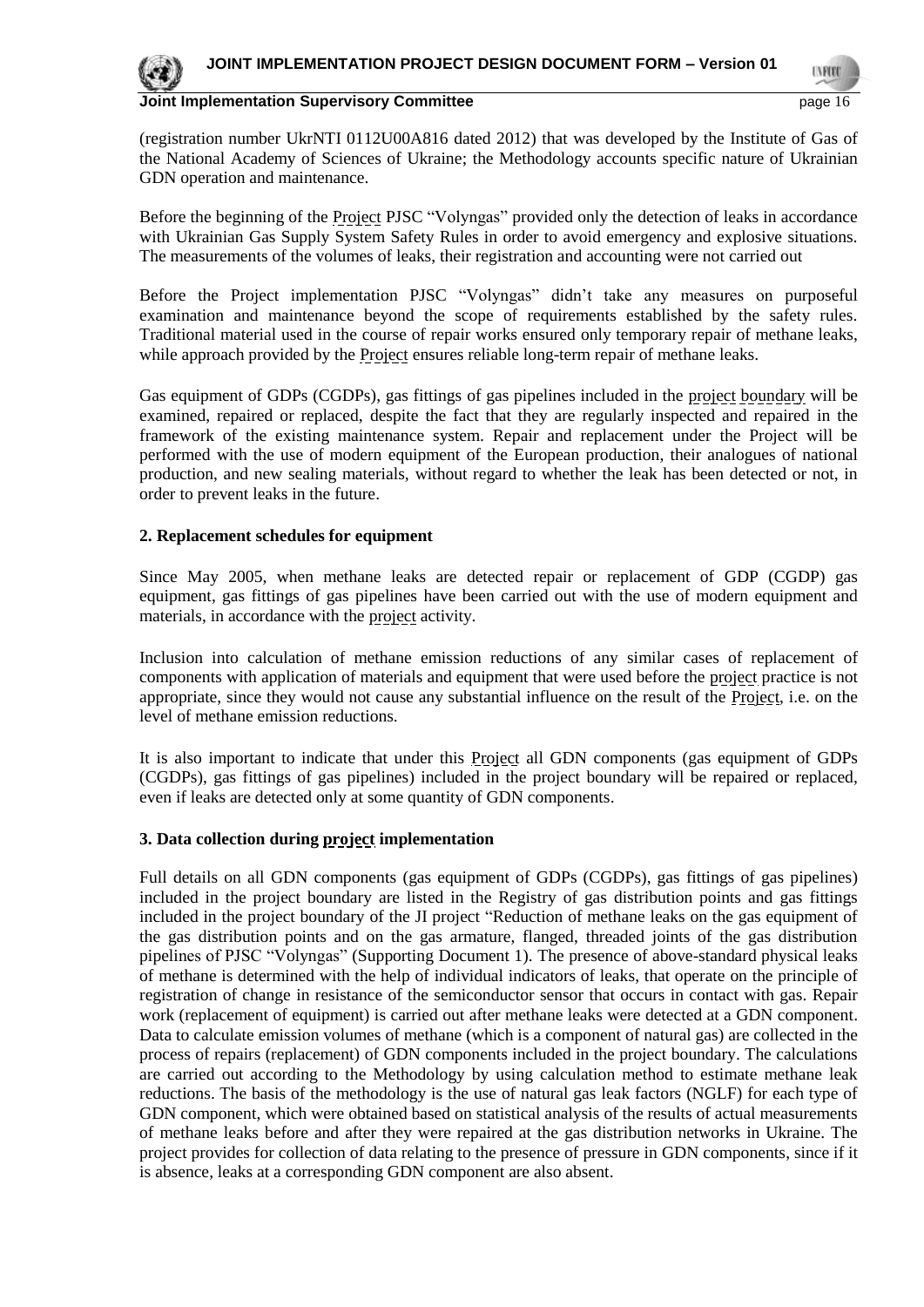

(registration number UkrNTI 0112U00A816 dated 2012) that was developed by the Institute of Gas of the National Academy of Sciences of Ukraine; the Methodology accounts specific nature of Ukrainian GDN operation and maintenance.

Before the beginning of the Project PJSC "Volyngas" provided only the detection of leaks in accordance with Ukrainian Gas Supply System Safety Rules in order to avoid emergency and explosive situations. The measurements of the volumes of leaks, their registration and accounting were not carried out

Before the Project implementation PJSC "Volyngas" didn't take any measures on purposeful examination and maintenance beyond the scope of requirements established by the safety rules. Traditional material used in the course of repair works ensured only temporary repair of methane leaks, while approach provided by the Project ensures reliable long-term repair of methane leaks.

Gas equipment of GDPs (CGDPs), gas fittings of gas pipelines included in the project boundary will be examined, repaired or replaced, despite the fact that they are regularly inspected and repaired in the framework of the existing maintenance system. Repair and replacement under the Project will be performed with the use of modern equipment of the European production, their analogues of national production, and new sealing materials, without regard to whether the leak has been detected or not, in order to prevent leaks in the future.

#### **2. Replacement schedules for equipment**

Since May 2005, when methane leaks are detected repair or replacement of GDP (CGDP) gas equipment, gas fittings of gas pipelines have been carried out with the use of modern equipment and materials, in accordance with the project activity.

Inclusion into calculation of methane emission reductions of any similar cases of replacement of components with application of materials and equipment that were used before the project practice is not appropriate, since they would not cause any substantial influence on the result of the Project, i.e. on the level of methane emission reductions.

It is also important to indicate that under this Project all GDN components (gas equipment of GDPs (CGDPs), gas fittings of gas pipelines) included in the project boundary will be repaired or replaced, even if leaks are detected only at some quantity of GDN components.

#### **3. Data collection during project implementation**

Full details on all GDN components (gas equipment of GDPs (CGDPs), gas fittings of gas pipelines) included in the project boundary are listed in the Registry of gas distribution points and gas fittings included in the project boundary of the JI project "Reduction of methane leaks on the gas equipment of the gas distribution points and on the gas armature, flanged, threaded joints of the gas distribution pipelines of PJSC "Volyngas" (Supporting Document 1). The presence of above-standard physical leaks of methane is determined with the help of individual indicators of leaks, that operate on the principle of registration of change in resistance of the semiconductor sensor that occurs in contact with gas. Repair work (replacement of equipment) is carried out after methane leaks were detected at a GDN component. Data to calculate emission volumes of methane (which is a component of natural gas) are collected in the process of repairs (replacement) of GDN components included in the project boundary. The calculations are carried out according to the Methodology by using calculation method to estimate methane leak reductions. The basis of the methodology is the use of natural gas leak factors (NGLF) for each type of GDN component, which were obtained based on statistical analysis of the results of actual measurements of methane leaks before and after they were repaired at the gas distribution networks in Ukraine. The project provides for collection of data relating to the presence of pressure in GDN components, since if it is absence, leaks at a corresponding GDN component are also absent.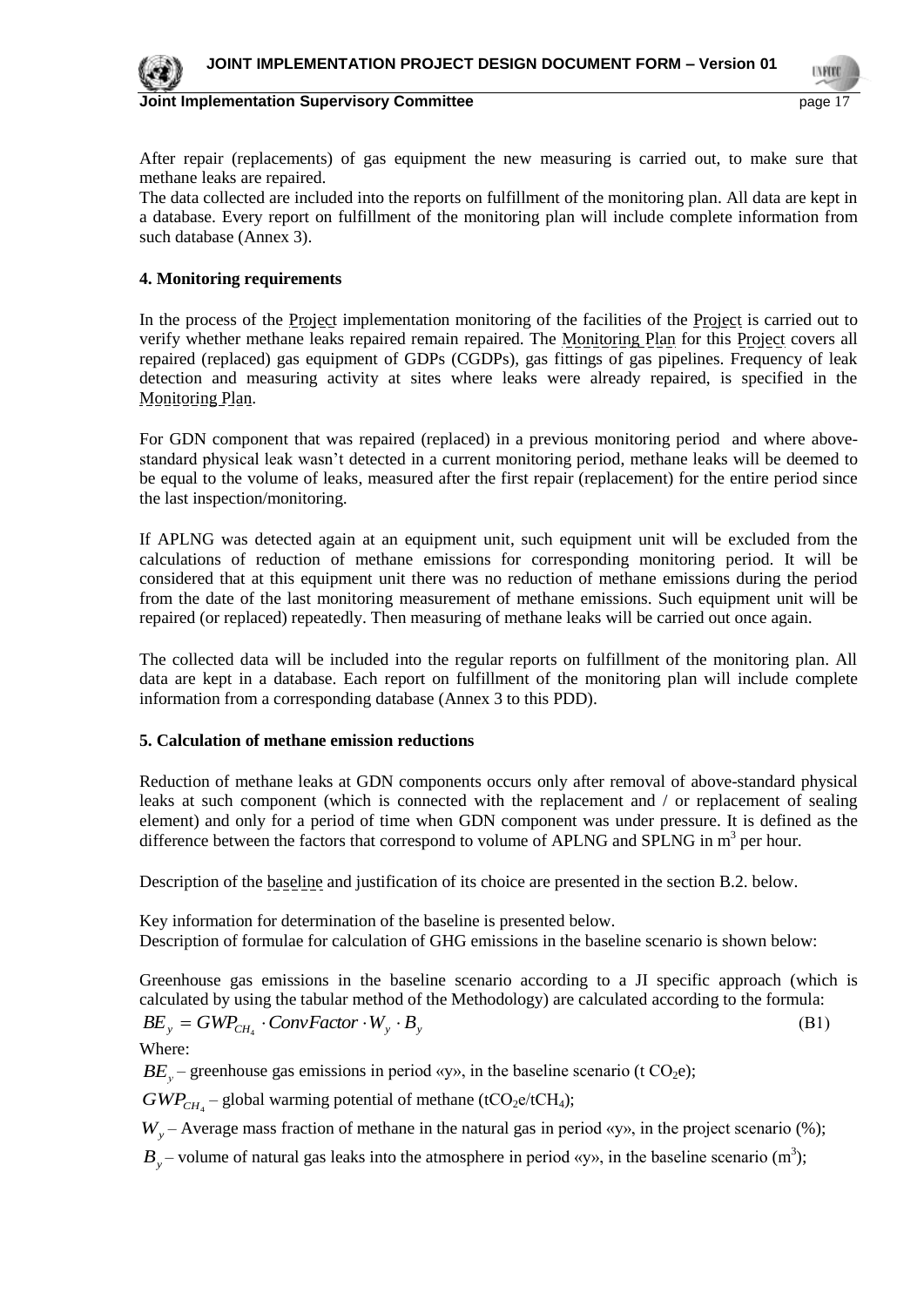

After repair (replacements) of gas equipment the new measuring is carried out, to make sure that methane leaks are repaired.

The data collected are included into the reports on fulfillment of the monitoring plan. All data are kept in a database. Every report on fulfillment of the monitoring plan will include complete information from such database (Annex 3).

#### **4. Monitoring requirements**

In the process of the Project implementation monitoring of the facilities of the Project is carried out to verify whether methane leaks repaired remain repaired. The Monitoring Plan for this Project covers all repaired (replaced) gas equipment of GDPs (CGDPs), gas fittings of gas pipelines. Frequency of leak detection and measuring activity at sites where leaks were already repaired, is specified in the Monitoring Plan.

For GDN component that was repaired (replaced) in a previous monitoring period and where abovestandard physical leak wasn't detected in a current monitoring period, methane leaks will be deemed to be equal to the volume of leaks, measured after the first repair (replacement) for the entire period since the last inspection/monitoring.

If APLNG was detected again at an equipment unit, such equipment unit will be excluded from the calculations of reduction of methane emissions for corresponding monitoring period. It will be considered that at this equipment unit there was no reduction of methane emissions during the period from the date of the last monitoring measurement of methane emissions. Such equipment unit will be repaired (or replaced) repeatedly. Then measuring of methane leaks will be carried out once again.

The collected data will be included into the regular reports on fulfillment of the monitoring plan. All data are kept in a database. Each report on fulfillment of the monitoring plan will include complete information from a corresponding database (Annex 3 to this PDD).

#### **5. Calculation of methane emission reductions**

Reduction of methane leaks at GDN components occurs only after removal of above-standard physical leaks at such component (which is connected with the replacement and / or replacement of sealing element) and only for a period of time when GDN component was under pressure. It is defined as the difference between the factors that correspond to volume of APLNG and SPLNG in m<sup>3</sup> per hour.

Description of the <u>baseline</u> and justification of its choice are presented in the section B.2. below.

Key information for determination of the baseline is presented below. Description of formulae for calculation of GHG emissions in the baseline scenario is shown below:

Greenhouse gas emissions in the baseline scenario according to a JI specific approach (which is calculated by using the tabular method of the Methodology) are calculated according to the formula:

$$
BE_{y} = GWP_{CH_{4}} \cdot ConvFactor \cdot W_{y} \cdot B_{y}
$$
\n(B1)

Where:

 $BE<sub>y</sub>$  – greenhouse gas emissions in period «y», in the baseline scenario (t CO<sub>2</sub>e);

 $GWP_{CH_4}$  – global warming potential of methane (tCO<sub>2</sub>e/tCH<sub>4</sub>);

 $W_y$  – Average mass fraction of methane in the natural gas in period «y», in the project scenario (%);

 $B_y$  – volume of natural gas leaks into the atmosphere in period «y», in the baseline scenario (m<sup>3</sup>);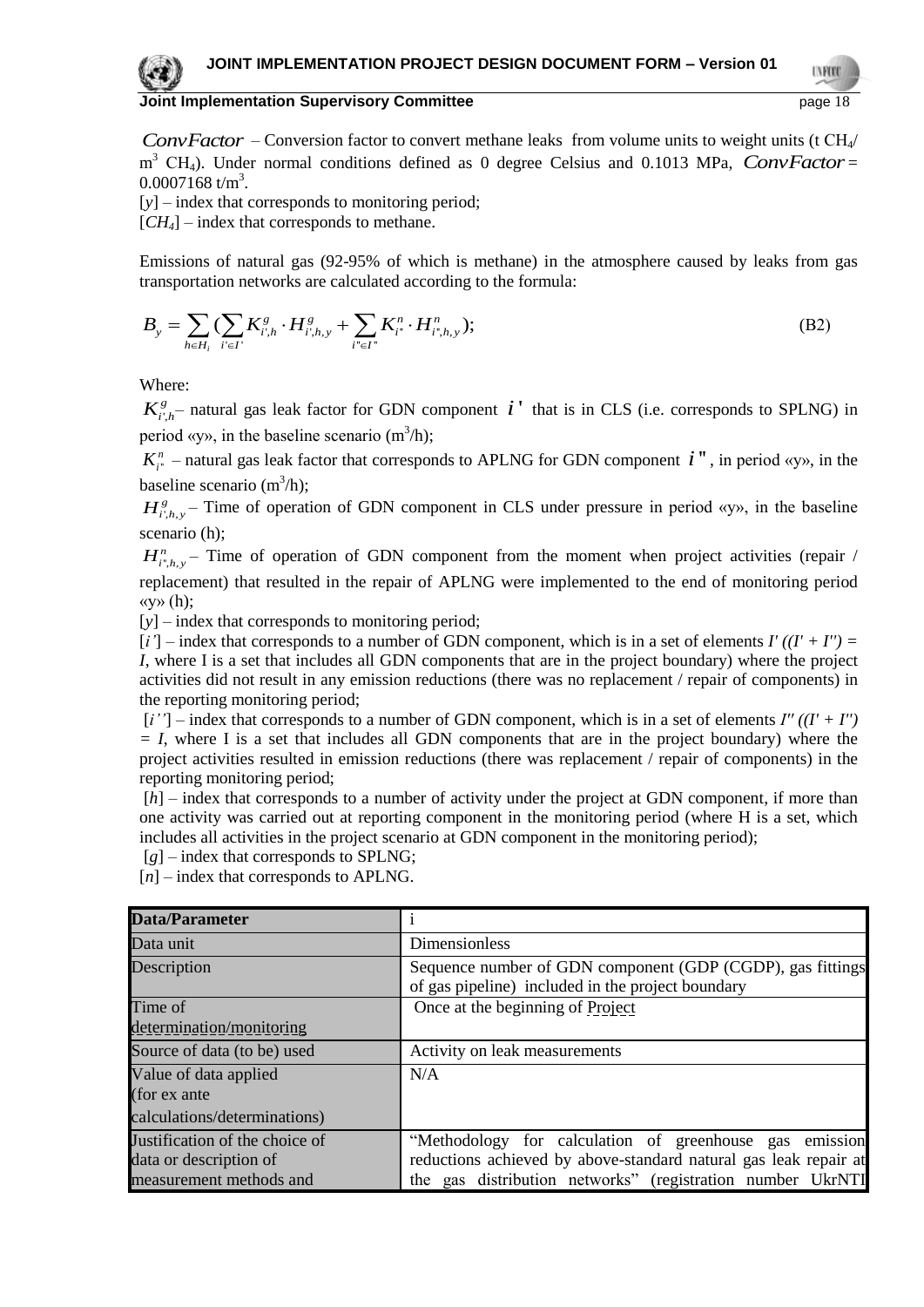*ConvFactor* – Conversion factor to convert methane leaks from volume units to weight units (t CH<sub>4</sub>/ m<sup>3</sup> CH<sub>4</sub>). Under normal conditions defined as 0 degree Celsius and 0.1013 MPa, *ConvFactor* =  $0.0007168$  t/m<sup>3</sup>.

[y] – index that corresponds to monitoring period;

 $[CH_4]$  – index that corresponds to methane.

Emissions of natural gas (92-95% of which is methane) in the atmosphere caused by leaks from gas

Emissions of natural gas (92-95% of which is methane) in the atmosphere caused by leaks from  
transportation networks are calculated according to the formula:  

$$
B_y = \sum_{h \in H_i} (\sum_{i' \in I'} K_{i',h}^s \cdot H_{i',h,y}^s + \sum_{i'' \in I'} K_{i''}^n \cdot H_{i'',h,y}^n); \tag{B2}
$$

Where:

 $K^g_{i',h}$  - natural gas leak factor for GDN component  $i'$  that is in CLS (i.e. corresponds to SPLNG) in period «y», in the baseline scenario  $(m^3/h)$ ;

 $K_{i'}^n$  – natural gas leak factor that corresponds to APLNG for GDN component  $i'$ , in period «y», in the baseline scenario  $(m^3/h)$ ;

 $H_{i',h,y}^g$  – Time of operation of GDN component in CLS under pressure in period «y», in the baseline scenario (h);

 $H_{i^*,h,y}^n$  – Time of operation of GDN component from the moment when project activities (repair / replacement) that resulted in the repair of APLNG were implemented to the end of monitoring period «у» (h);

[*y*] – index that corresponds to monitoring period;

 $[i']$  – index that corresponds to a number of GDN component, which is in a set of elements  $I'$   $((I' + I'') =$ *I*, where I is a set that includes all GDN components that are in the project boundary) where the project activities did not result in any emission reductions (there was no replacement / repair of components) in the reporting monitoring period;

[*і''*] – index that corresponds to a number of GDN component, which is in a set of elements *І'' ((I' + I'') = I*, where I is a set that includes all GDN components that are in the project boundary) where the project activities resulted in emission reductions (there was replacement / repair of components) in the reporting monitoring period;

[*h*] – index that corresponds to a number of activity under the project at GDN component, if more than one activity was carried out at reporting component in the monitoring period (where H is a set, which includes all activities in the project scenario at GDN component in the monitoring period);

[*g*] – index that corresponds to SPLNG;

[*n*] – index that corresponds to APLNG.

| Data/Parameter                 |                                                                                                                 |
|--------------------------------|-----------------------------------------------------------------------------------------------------------------|
| Data unit                      | Dimensionless                                                                                                   |
| Description                    | Sequence number of GDN component (GDP (CGDP), gas fittings<br>of gas pipeline) included in the project boundary |
| Time of                        | Once at the beginning of Project                                                                                |
| determination/monitoring       |                                                                                                                 |
| Source of data (to be) used    | Activity on leak measurements                                                                                   |
| Value of data applied          | N/A                                                                                                             |
| (for ex ante                   |                                                                                                                 |
| calculations/determinations)   |                                                                                                                 |
| Justification of the choice of | "Methodology for calculation of greenhouse gas emission                                                         |
| data or description of         | reductions achieved by above-standard natural gas leak repair at                                                |
| measurement methods and        | the gas distribution networks" (registration number UkrNTI                                                      |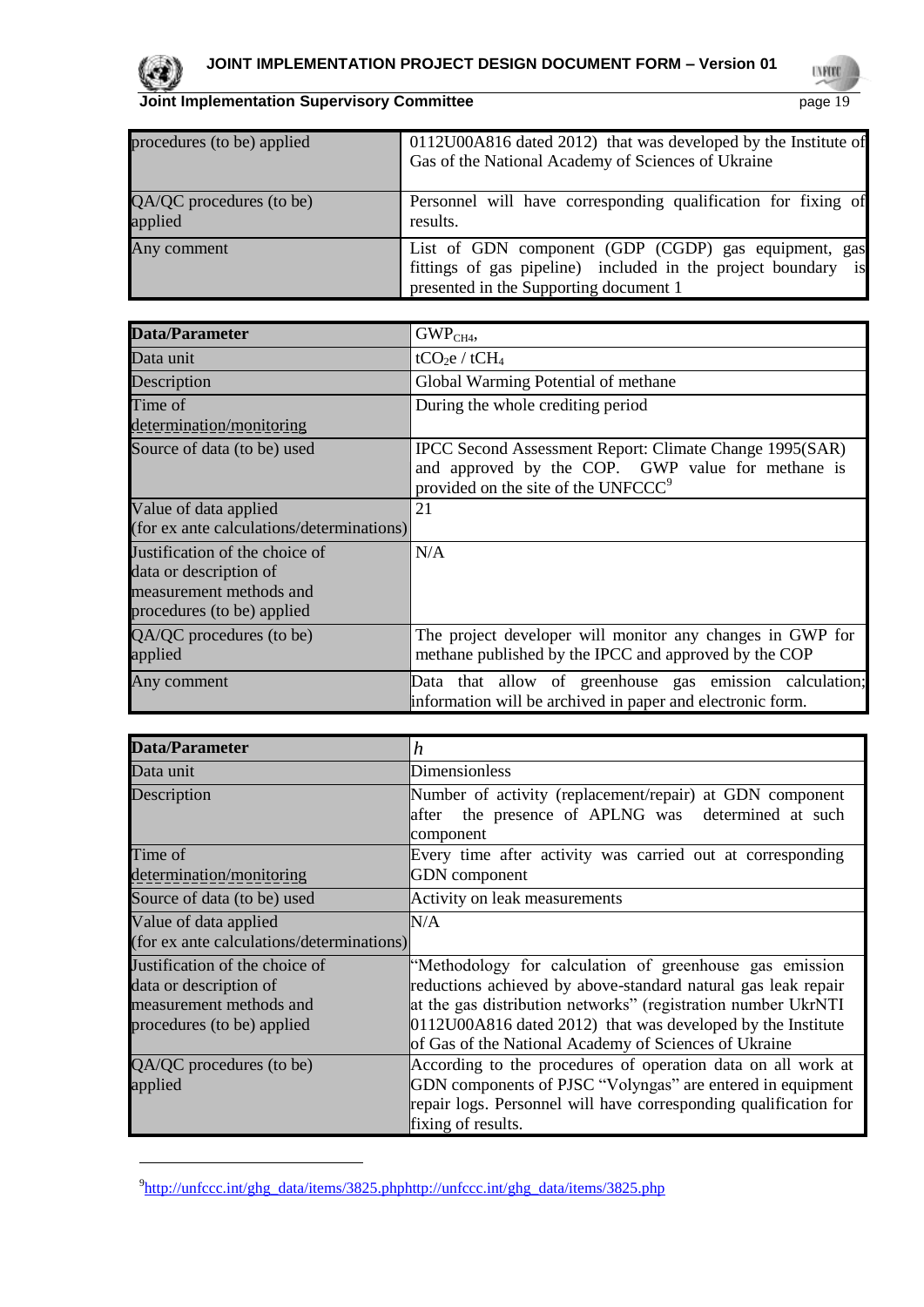

l

**UNROO** 

| procedures (to be) applied          | 0112U00A816 dated 2012) that was developed by the Institute of<br>Gas of the National Academy of Sciences of Ukraine                                            |
|-------------------------------------|-----------------------------------------------------------------------------------------------------------------------------------------------------------------|
| QA/QC procedures (to be)<br>applied | Personnel will have corresponding qualification for fixing of<br>results.                                                                                       |
| Any comment                         | List of GDN component (GDP (CGDP) gas equipment, gas<br>fittings of gas pipeline) included in the project boundary is<br>presented in the Supporting document 1 |

| <b>Data/Parameter</b>                                                                                             | GWP <sub>CH4</sub>                                                                                                                                              |  |
|-------------------------------------------------------------------------------------------------------------------|-----------------------------------------------------------------------------------------------------------------------------------------------------------------|--|
| Data unit                                                                                                         | tCO <sub>2</sub> e / tCH <sub>4</sub>                                                                                                                           |  |
| Description                                                                                                       | Global Warming Potential of methane                                                                                                                             |  |
| Time of                                                                                                           | During the whole crediting period                                                                                                                               |  |
| determination/monitoring                                                                                          |                                                                                                                                                                 |  |
| Source of data (to be) used                                                                                       | IPCC Second Assessment Report: Climate Change 1995(SAR)<br>and approved by the COP. GWP value for methane is<br>provided on the site of the UNFCCC <sup>9</sup> |  |
| Value of data applied<br>(for ex ante calculations/determinations)                                                | 21                                                                                                                                                              |  |
| Justification of the choice of<br>data or description of<br>measurement methods and<br>procedures (to be) applied | N/A                                                                                                                                                             |  |
| QA/QC procedures (to be)<br>applied                                                                               | The project developer will monitor any changes in GWP for<br>methane published by the IPCC and approved by the COP                                              |  |
| Any comment                                                                                                       | Data that allow of greenhouse gas emission calculation;<br>information will be archived in paper and electronic form.                                           |  |

| <b>Data/Parameter</b>                                                                                             | h                                                                                                                                                                                                                                                                                                                 |
|-------------------------------------------------------------------------------------------------------------------|-------------------------------------------------------------------------------------------------------------------------------------------------------------------------------------------------------------------------------------------------------------------------------------------------------------------|
| Data unit                                                                                                         | Dimensionless                                                                                                                                                                                                                                                                                                     |
| Description                                                                                                       | Number of activity (replacement/repair) at GDN component<br>the presence of APLNG was determined at such<br>after<br>component                                                                                                                                                                                    |
| Time of<br>determination/monitoring                                                                               | Every time after activity was carried out at corresponding<br><b>GDN</b> component                                                                                                                                                                                                                                |
| Source of data (to be) used                                                                                       | Activity on leak measurements                                                                                                                                                                                                                                                                                     |
| Value of data applied<br>(for ex ante calculations/determinations)                                                | N/A                                                                                                                                                                                                                                                                                                               |
| Justification of the choice of<br>data or description of<br>measurement methods and<br>procedures (to be) applied | "Methodology for calculation of greenhouse gas emission<br>reductions achieved by above-standard natural gas leak repair<br>at the gas distribution networks" (registration number UkrNTI<br>0112U00A816 dated 2012) that was developed by the Institute<br>of Gas of the National Academy of Sciences of Ukraine |
| QA/QC procedures (to be)<br>applied                                                                               | According to the procedures of operation data on all work at<br>GDN components of PJSC "Volyngas" are entered in equipment<br>repair logs. Personnel will have corresponding qualification for<br>fixing of results.                                                                                              |

<sup>&</sup>lt;sup>9</sup>[http://unfccc.int/ghg\\_data/items/3825.phphttp://unfccc.int/ghg\\_data/items/3825.php](http://unfccc.int/ghg_data/items/3825.phphttp:/unfccc.int/ghg_data/items/3825.php)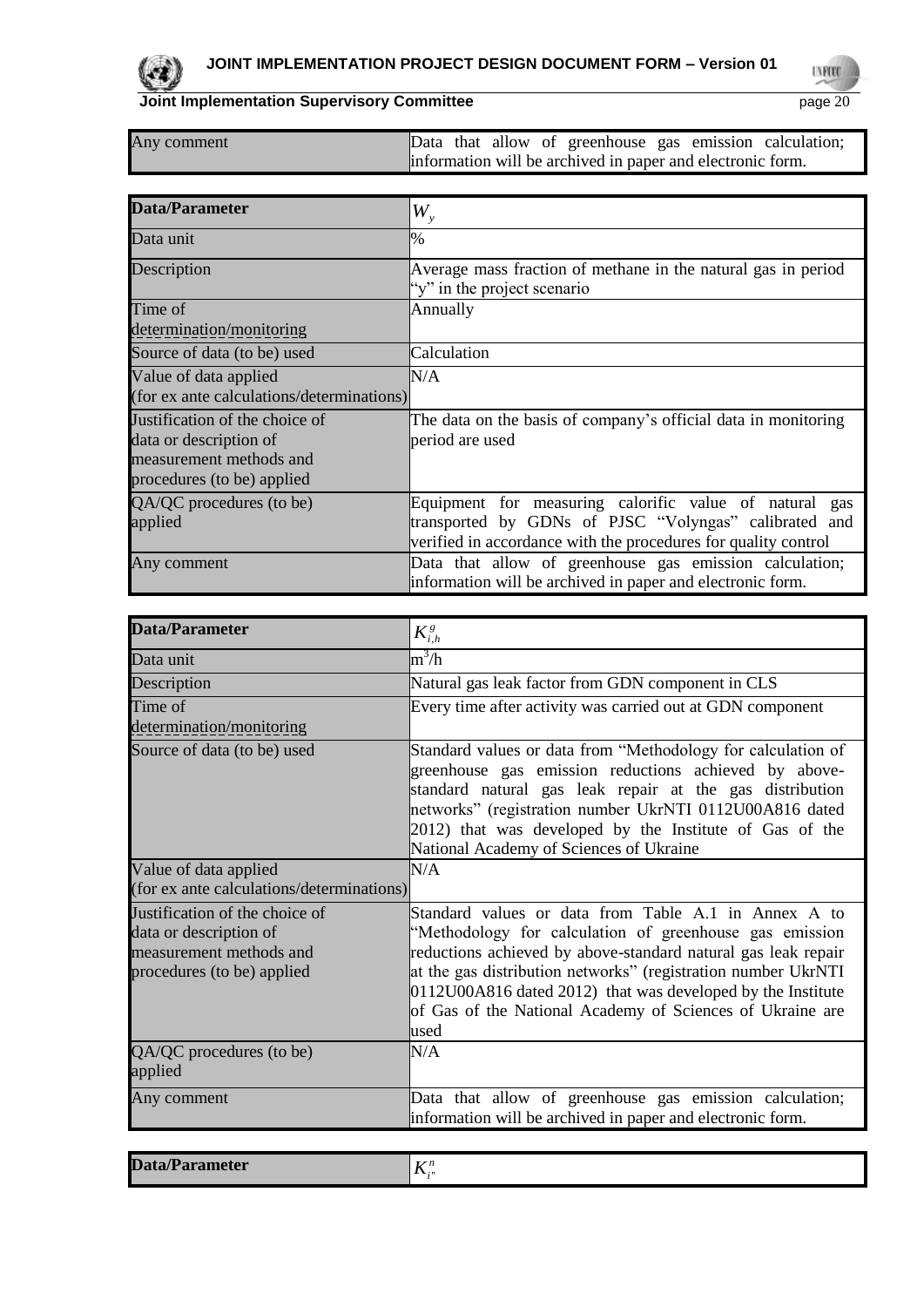

**UVFOR** 

| Any comment                                                                                                       | Data that allow of greenhouse gas emission calculation;<br>information will be archived in paper and electronic form.                                                             |  |  |  |  |  |
|-------------------------------------------------------------------------------------------------------------------|-----------------------------------------------------------------------------------------------------------------------------------------------------------------------------------|--|--|--|--|--|
|                                                                                                                   |                                                                                                                                                                                   |  |  |  |  |  |
| Data/Parameter                                                                                                    | $W_{\rm v}$                                                                                                                                                                       |  |  |  |  |  |
| Data unit                                                                                                         | $\%$                                                                                                                                                                              |  |  |  |  |  |
| Description                                                                                                       | Average mass fraction of methane in the natural gas in period<br>"y" in the project scenario                                                                                      |  |  |  |  |  |
| Time of<br>determination/monitoring                                                                               | Annually                                                                                                                                                                          |  |  |  |  |  |
| Source of data (to be) used                                                                                       | Calculation                                                                                                                                                                       |  |  |  |  |  |
| Value of data applied<br>(for ex ante calculations/determinations)                                                | N/A                                                                                                                                                                               |  |  |  |  |  |
| Justification of the choice of<br>data or description of<br>measurement methods and<br>procedures (to be) applied | The data on the basis of company's official data in monitoring<br>period are used                                                                                                 |  |  |  |  |  |
| QA/QC procedures (to be)<br>applied                                                                               | Equipment for measuring calorific value of natural gas<br>transported by GDNs of PJSC "Volyngas" calibrated and<br>verified in accordance with the procedures for quality control |  |  |  |  |  |
| Any comment                                                                                                       | Data that allow of greenhouse gas emission calculation;<br>information will be archived in paper and electronic form.                                                             |  |  |  |  |  |

| Data/Parameter                                                                                                    | $K_{i,h}^g$                                                                                                                                                                                                                                                                                                                                                                               |
|-------------------------------------------------------------------------------------------------------------------|-------------------------------------------------------------------------------------------------------------------------------------------------------------------------------------------------------------------------------------------------------------------------------------------------------------------------------------------------------------------------------------------|
| Data unit                                                                                                         | $m^3/h$                                                                                                                                                                                                                                                                                                                                                                                   |
| Description                                                                                                       | Natural gas leak factor from GDN component in CLS                                                                                                                                                                                                                                                                                                                                         |
| Time of                                                                                                           | Every time after activity was carried out at GDN component                                                                                                                                                                                                                                                                                                                                |
| determination/monitoring                                                                                          |                                                                                                                                                                                                                                                                                                                                                                                           |
| Source of data (to be) used                                                                                       | Standard values or data from "Methodology for calculation of<br>greenhouse gas emission reductions achieved by above-<br>standard natural gas leak repair at the gas distribution<br>networks" (registration number UkrNTI 0112U00A816 dated<br>2012) that was developed by the Institute of Gas of the<br>National Academy of Sciences of Ukraine                                        |
| Value of data applied                                                                                             | N/A                                                                                                                                                                                                                                                                                                                                                                                       |
| (for ex ante calculations/determinations)                                                                         |                                                                                                                                                                                                                                                                                                                                                                                           |
| Justification of the choice of<br>data or description of<br>measurement methods and<br>procedures (to be) applied | Standard values or data from Table A.1 in Annex A to<br>"Methodology for calculation of greenhouse gas emission<br>reductions achieved by above-standard natural gas leak repair<br>at the gas distribution networks" (registration number UkrNTI<br>$[0112U00A816$ dated 2012) that was developed by the Institute<br>of Gas of the National Academy of Sciences of Ukraine are<br>lused |
| QA/QC procedures (to be)<br>applied                                                                               | N/A                                                                                                                                                                                                                                                                                                                                                                                       |
| Any comment                                                                                                       | Data that allow of greenhouse gas emission calculation;<br>information will be archived in paper and electronic form.                                                                                                                                                                                                                                                                     |
|                                                                                                                   |                                                                                                                                                                                                                                                                                                                                                                                           |

|--|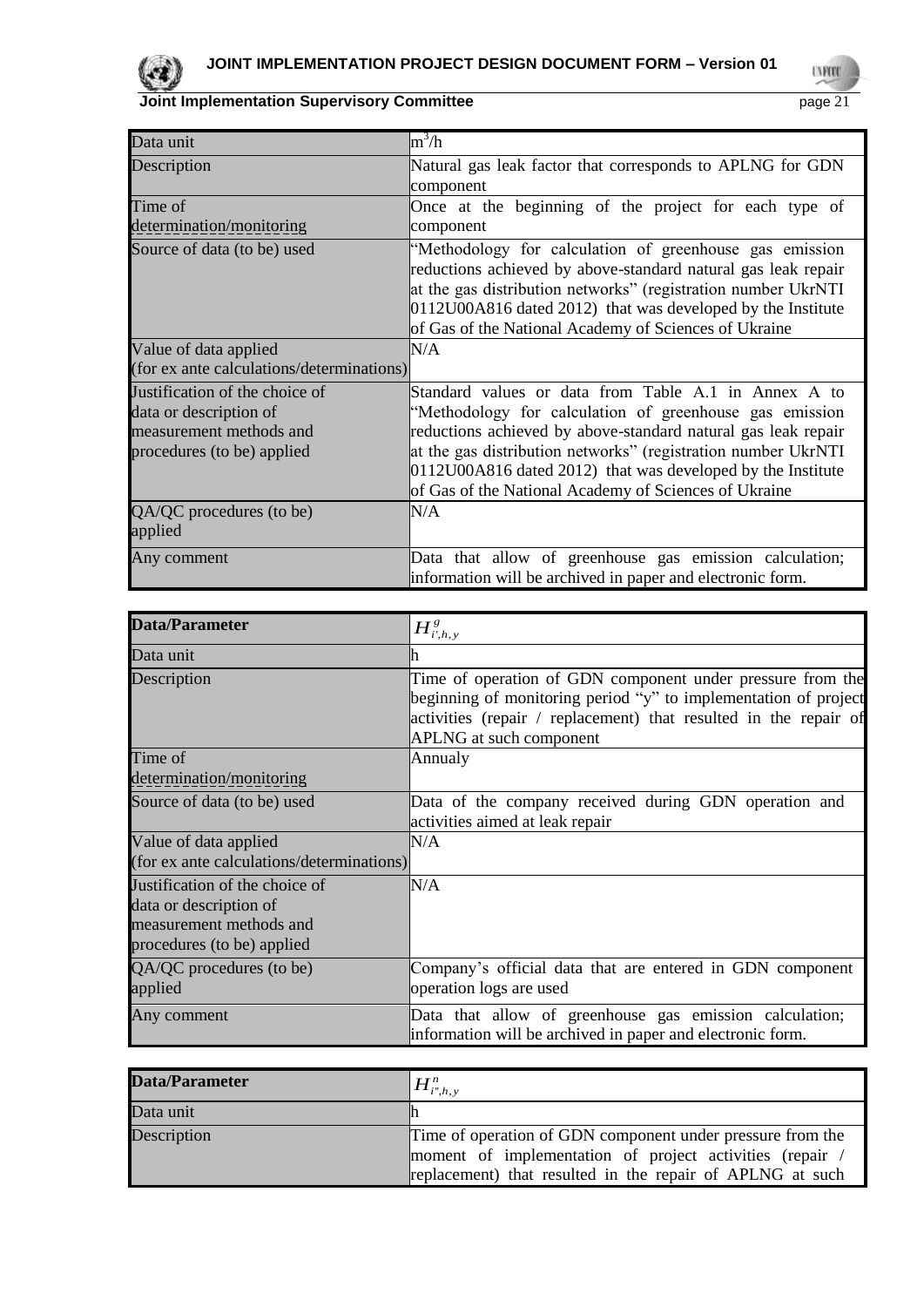

| Data unit                                                                                                         | $\text{m}^3/\text{h}$                                                                                                                                                                                                                                                                                                                                                     |
|-------------------------------------------------------------------------------------------------------------------|---------------------------------------------------------------------------------------------------------------------------------------------------------------------------------------------------------------------------------------------------------------------------------------------------------------------------------------------------------------------------|
| Description                                                                                                       | Natural gas leak factor that corresponds to APLNG for GDN<br>component                                                                                                                                                                                                                                                                                                    |
| Time of                                                                                                           | Once at the beginning of the project for each type of                                                                                                                                                                                                                                                                                                                     |
| determination/monitoring                                                                                          | component                                                                                                                                                                                                                                                                                                                                                                 |
| Source of data (to be) used                                                                                       | "Methodology for calculation of greenhouse gas emission<br>reductions achieved by above-standard natural gas leak repair<br>at the gas distribution networks" (registration number UkrNTI<br>0112U00A816 dated 2012) that was developed by the Institute<br>of Gas of the National Academy of Sciences of Ukraine                                                         |
| Value of data applied                                                                                             | N/A                                                                                                                                                                                                                                                                                                                                                                       |
| (for ex ante calculations/determinations)                                                                         |                                                                                                                                                                                                                                                                                                                                                                           |
| Justification of the choice of<br>data or description of<br>measurement methods and<br>procedures (to be) applied | Standard values or data from Table A.1 in Annex A to<br>"Methodology for calculation of greenhouse gas emission<br>reductions achieved by above-standard natural gas leak repair<br>at the gas distribution networks" (registration number UkrNTI<br>0112U00A816 dated 2012) that was developed by the Institute<br>of Gas of the National Academy of Sciences of Ukraine |
| QA/QC procedures (to be)<br>applied                                                                               | N/A                                                                                                                                                                                                                                                                                                                                                                       |
| Any comment                                                                                                       | Data that allow of greenhouse gas emission calculation;<br>information will be archived in paper and electronic form.                                                                                                                                                                                                                                                     |

| Data/Parameter                                                                                                    | $H^s_{i',h,y}$                                                                                                                                                                                                                      |
|-------------------------------------------------------------------------------------------------------------------|-------------------------------------------------------------------------------------------------------------------------------------------------------------------------------------------------------------------------------------|
| Data unit                                                                                                         |                                                                                                                                                                                                                                     |
| Description                                                                                                       | Time of operation of GDN component under pressure from the<br>beginning of monitoring period "y" to implementation of project<br>activities (repair / replacement) that resulted in the repair of<br><b>APLNG</b> at such component |
| Time of<br>determination/monitoring                                                                               | Annualy                                                                                                                                                                                                                             |
| Source of data (to be) used                                                                                       | Data of the company received during GDN operation and<br>activities aimed at leak repair                                                                                                                                            |
| Value of data applied<br>(for ex ante calculations/determinations)                                                | N/A                                                                                                                                                                                                                                 |
| Justification of the choice of<br>data or description of<br>measurement methods and<br>procedures (to be) applied | N/A                                                                                                                                                                                                                                 |
| QA/QC procedures (to be)<br>applied                                                                               | Company's official data that are entered in GDN component<br>operation logs are used                                                                                                                                                |
| Any comment                                                                                                       | Data that allow of greenhouse gas emission calculation;<br>information will be archived in paper and electronic form.                                                                                                               |

| <b>Data/Parameter</b> | $H^n_{{i^*,h},{\rm y}}$                                                                                                                                                           |
|-----------------------|-----------------------------------------------------------------------------------------------------------------------------------------------------------------------------------|
| Data unit             |                                                                                                                                                                                   |
| Description           | Time of operation of GDN component under pressure from the<br>moment of implementation of project activities (repair<br>replacement) that resulted in the repair of APLNG at such |

**UVFOOD**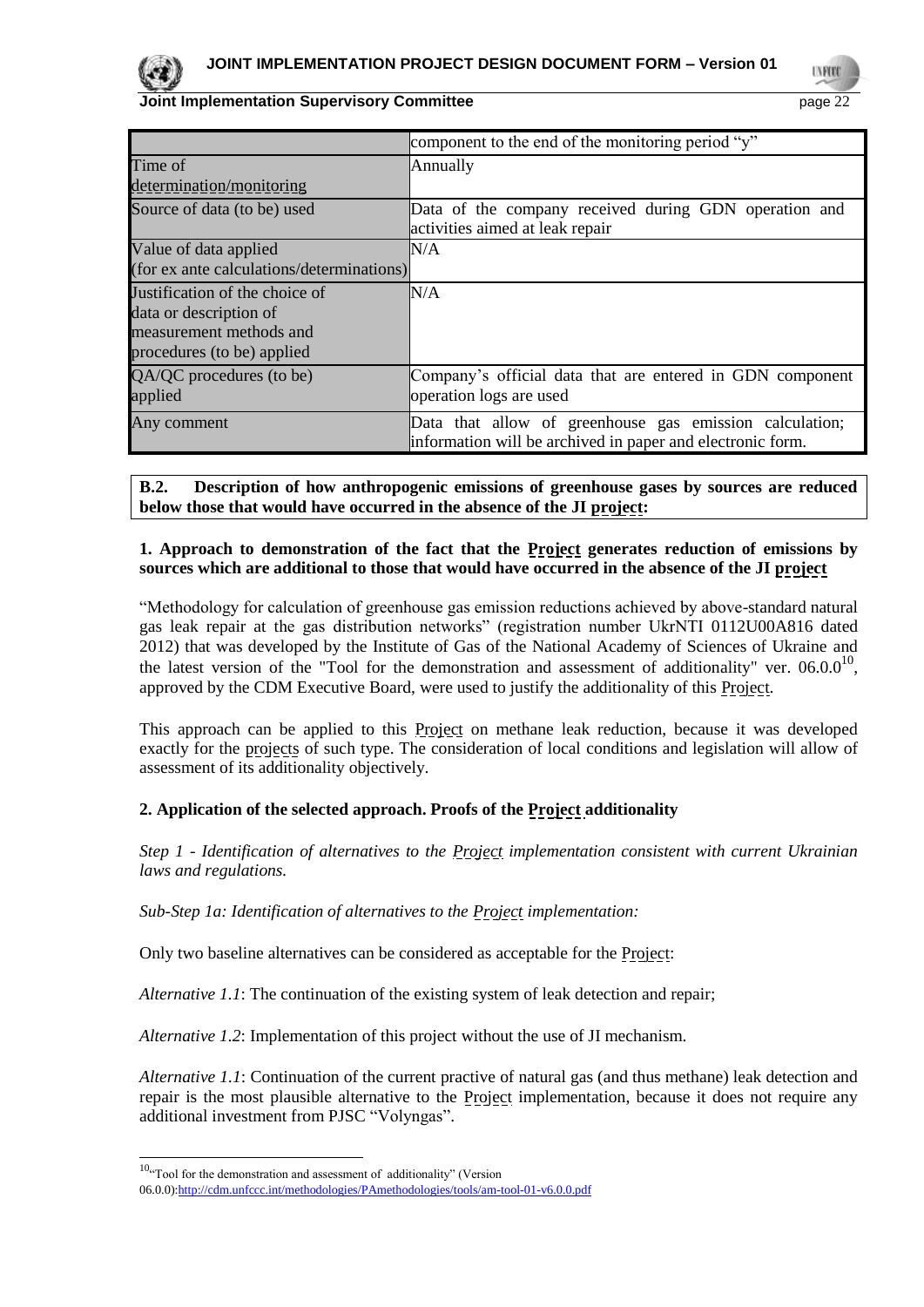

|                                           | component to the end of the monitoring period "y"                                                                     |  |  |  |  |  |
|-------------------------------------------|-----------------------------------------------------------------------------------------------------------------------|--|--|--|--|--|
| Time of                                   | Annually                                                                                                              |  |  |  |  |  |
| determination/monitoring                  |                                                                                                                       |  |  |  |  |  |
| Source of data (to be) used               | Data of the company received during GDN operation and                                                                 |  |  |  |  |  |
|                                           | activities aimed at leak repair                                                                                       |  |  |  |  |  |
| Value of data applied                     | N/A                                                                                                                   |  |  |  |  |  |
| (for ex ante calculations/determinations) |                                                                                                                       |  |  |  |  |  |
| Justification of the choice of            | N/A                                                                                                                   |  |  |  |  |  |
| data or description of                    |                                                                                                                       |  |  |  |  |  |
| measurement methods and                   |                                                                                                                       |  |  |  |  |  |
| procedures (to be) applied                |                                                                                                                       |  |  |  |  |  |
| QA/QC procedures (to be)                  | Company's official data that are entered in GDN component                                                             |  |  |  |  |  |
| applied                                   | operation logs are used                                                                                               |  |  |  |  |  |
| Any comment                               | Data that allow of greenhouse gas emission calculation;<br>information will be archived in paper and electronic form. |  |  |  |  |  |

**B.2. Description of how anthropogenic emissions of greenhouse gases by sources are reduced below those that would have occurred in the absence of the JI project:**

#### **1. Approach to demonstration of the fact that the Project generates reduction of emissions by sources which are additional to those that would have occurred in the absence of the JI project**

"Methodology for calculation of greenhouse gas emission reductions achieved by above-standard natural gas leak repair at the gas distribution networks" (registration number UkrNTI 0112U00A816 dated 2012) that was developed by the Institute of Gas of the National Academy of Sciences of Ukraine and the latest version of the "Tool for the demonstration and assessment of additionality" ver.  $06.0.0^{10}$ , approved by the CDM Executive Board, were used to justify the additionality of this Project.

This approach can be applied to this Project on methane leak reduction, because it was developed exactly for the projects of such type. The consideration of local conditions and legislation will allow of assessment of its additionality objectively.

## **2. Application of the selected approach. Proofs of the Project additionality**

*Step 1 - Identification of alternatives to the Project implementation consistent with current Ukrainian laws and regulations.*

*Sub-Step 1a: Identification of alternatives to the Project implementation:*

Only two baseline alternatives can be considered as acceptable for the **Project**:

*Alternative 1.1*: The continuation of the existing system of leak detection and repair;

*Alternative 1.2*: Implementation of this project without the use of JI mechanism.

*Alternative 1.1*: Continuation of the current practive of natural gas (and thus methane) leak detection and repair is the most plausible alternative to the Project implementation, because it does not require any additional investment from PJSC "Volyngas".

l

 $10^{10}$ "Tool for the demonstration and assessment of additionality" (Version

<sup>06.0.0</sup>[\):http://cdm.unfccc.int/methodologies/PAmethodologies/tools/am-tool-01-v6.0.0.pdf](http://cdm.unfccc.int/methodologies/PAmethodologies/tools/am-tool-01-v6.0.0.pdf)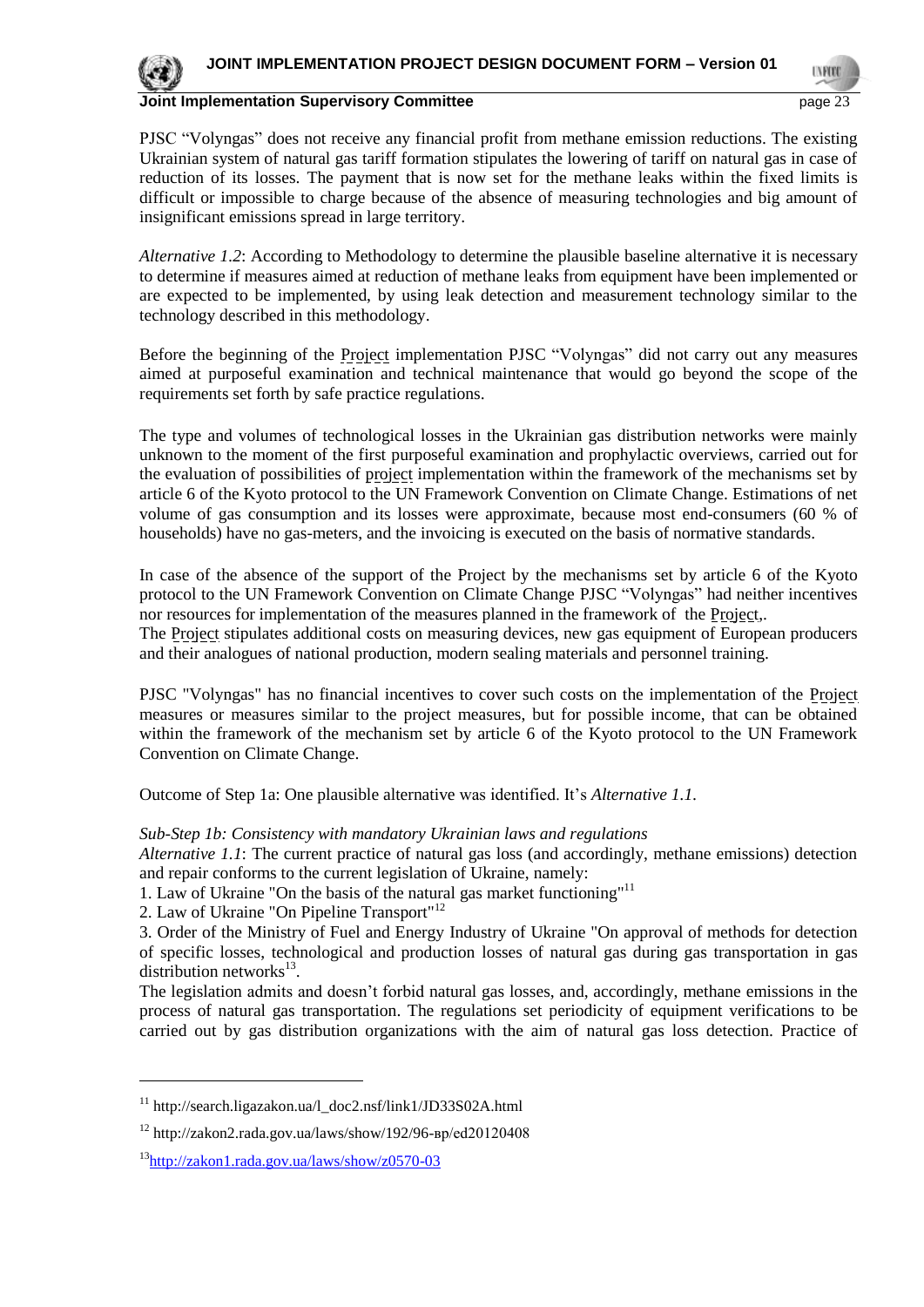

PJSC "Volyngas" does not receive any financial profit from methane emission reductions. The existing Ukrainian system of natural gas tariff formation stipulates the lowering of tariff on natural gas in case of reduction of its losses. The payment that is now set for the methane leaks within the fixed limits is difficult or impossible to charge because of the absence of measuring technologies and big amount of insignificant emissions spread in large territory.

*Alternative 1.2*: According to Methodology to determine the plausible baseline alternative it is necessary to determine if measures aimed at reduction of methane leaks from equipment have been implemented or are expected to be implemented, by using leak detection and measurement technology similar to the technology described in this methodology.

Before the beginning of the Project implementation PJSC "Volyngas" did not carry out any measures aimed at purposeful examination and technical maintenance that would go beyond the scope of the requirements set forth by safe practice regulations.

The type and volumes of technological losses in the Ukrainian gas distribution networks were mainly unknown to the moment of the first purposeful examination and prophylactic overviews, carried out for the evaluation of possibilities of project implementation within the framework of the mechanisms set by article 6 of the Kyoto protocol to the UN Framework Convention on Climate Change. Estimations of net volume of gas consumption and its losses were approximate, because most end-consumers (60 % of households) have no gas-meters, and the invoicing is executed on the basis of normative standards.

In case of the absence of the support of the Project by the mechanisms set by article 6 of the Kyoto protocol to the UN Framework Convention on Climate Change PJSC "Volyngas" had neither incentives nor resources for implementation of the measures planned in the framework of the Project,. The Project stipulates additional costs on measuring devices, new gas equipment of European producers and their analogues of national production, modern sealing materials and personnel training.

PJSC "Volyngas" has no financial incentives to cover such costs on the implementation of the Project measures or measures similar to the project measures, but for possible income, that can be obtained within the framework of the mechanism set by article 6 of the Kyoto protocol to the UN Framework Convention on Climate Change.

Outcome of Step 1a: One plausible alternative was identified. It's *Alternative 1.1.*

#### *Sub-Step 1b: Consistency with mandatory Ukrainian laws and regulations*

*Alternative 1.1*: The current practice of natural gas loss (and accordingly, methane emissions) detection and repair conforms to the current legislation of Ukraine, namely:

1. Law of Ukraine "On the basis of the natural gas market functioning" 11

2. Law of Ukraine "On Pipeline Transport"<sup>12</sup>

3. Order of the Ministry of Fuel and Energy Industry of Ukraine "On approval of methods for detection of specific losses, technological and production losses of natural gas during gas transportation in gas distribution networks $^{13}$ .

The legislation admits and doesn't forbid natural gas losses, and, accordingly, methane emissions in the process of natural gas transportation. The regulations set periodicity of equipment verifications to be carried out by gas distribution organizations with the aim of natural gas loss detection. Practice of

l

 $11$  http://search.ligazakon.ua/l\_doc2.nsf/link1/JD33S02A.html

<sup>12</sup> http://zakon2.rada.gov.ua/laws/show/192/96-вр/ed20120408

<sup>&</sup>lt;sup>13</sup><http://zakon1.rada.gov.ua/laws/show/z0570-03>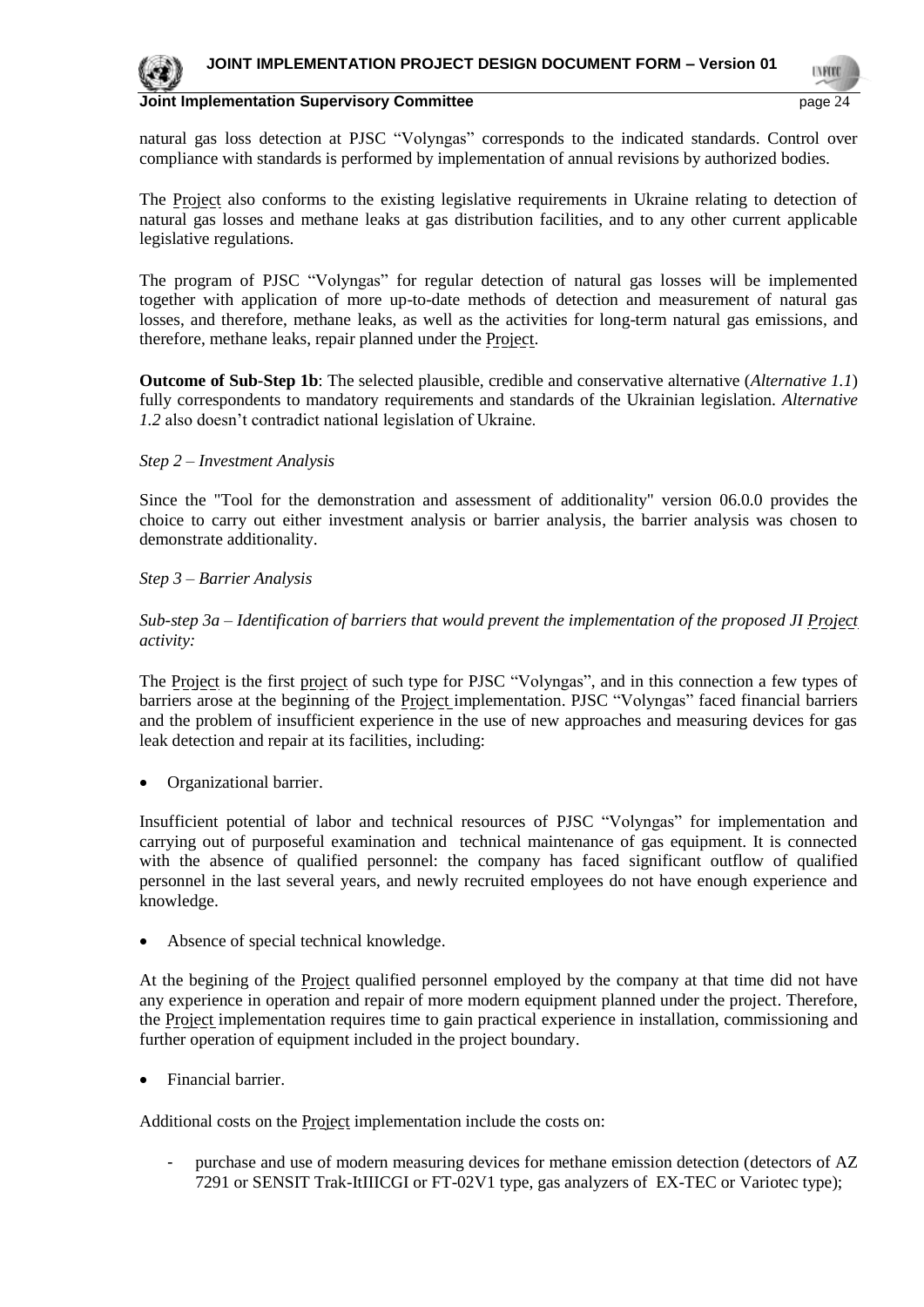

natural gas loss detection at PJSC "Volyngas" corresponds to the indicated standards. Control over compliance with standards is performed by implementation of annual revisions by authorized bodies.

The Project also conforms to the existing legislative requirements in Ukraine relating to detection of natural gas losses and methane leaks at gas distribution facilities, and to any other current applicable legislative regulations.

The program of PJSC "Volyngas" for regular detection of natural gas losses will be implemented together with application of more up-to-date methods of detection and measurement of natural gas losses, and therefore, methane leaks, as well as the activities for long-term natural gas emissions, and therefore, methane leaks, repair planned under the Project.

**Outcome of Sub-Step 1b**: The selected plausible, credible and conservative alternative (*Alternative 1.1*) fully correspondents to mandatory requirements and standards of the Ukrainian legislation. *Alternative 1.2* also doesn't contradict national legislation of Ukraine.

#### *Step 2 – Investment Analysis*

Since the "Tool for the demonstration and assessment of additionality" version 06.0.0 provides the choice to carry out either investment analysis or barrier analysis, the barrier analysis was chosen to demonstrate additionality.

#### *Step 3 – Barrier Analysis*

*Sub-step 3a – Identification of barriers that would prevent the implementation of the proposed JI Project activity:* 

The Project is the first project of such type for PJSC "Volyngas", and in this connection a few types of barriers arose at the beginning of the Project implementation. PJSC "Volyngas" faced financial barriers and the problem of insufficient experience in the use of new approaches and measuring devices for gas leak detection and repair at its facilities, including:

Organizational barrier.

Insufficient potential of labor and technical resources of PJSC "Volyngas" for implementation and carrying out of purposeful examination and technical maintenance of gas equipment. It is connected with the absence of qualified personnel: the company has faced significant outflow of qualified personnel in the last several years, and newly recruited employees do not have enough experience and knowledge.

Absence of special technical knowledge.

At the begining of the Project qualified personnel employed by the company at that time did not have any experience in operation and repair of more modern equipment planned under the project. Therefore, the Project implementation requires time to gain practical experience in installation, commissioning and further operation of equipment included in the project boundary.

Financial barrier.

Additional costs on the **Project** implementation include the costs on:

purchase and use of modern measuring devices for methane emission detection (detectors of AZ 7291 or SENSIT Trak-ItIIICGI or FT-02V1 type, gas analyzers of EX-TEC or Variotec type);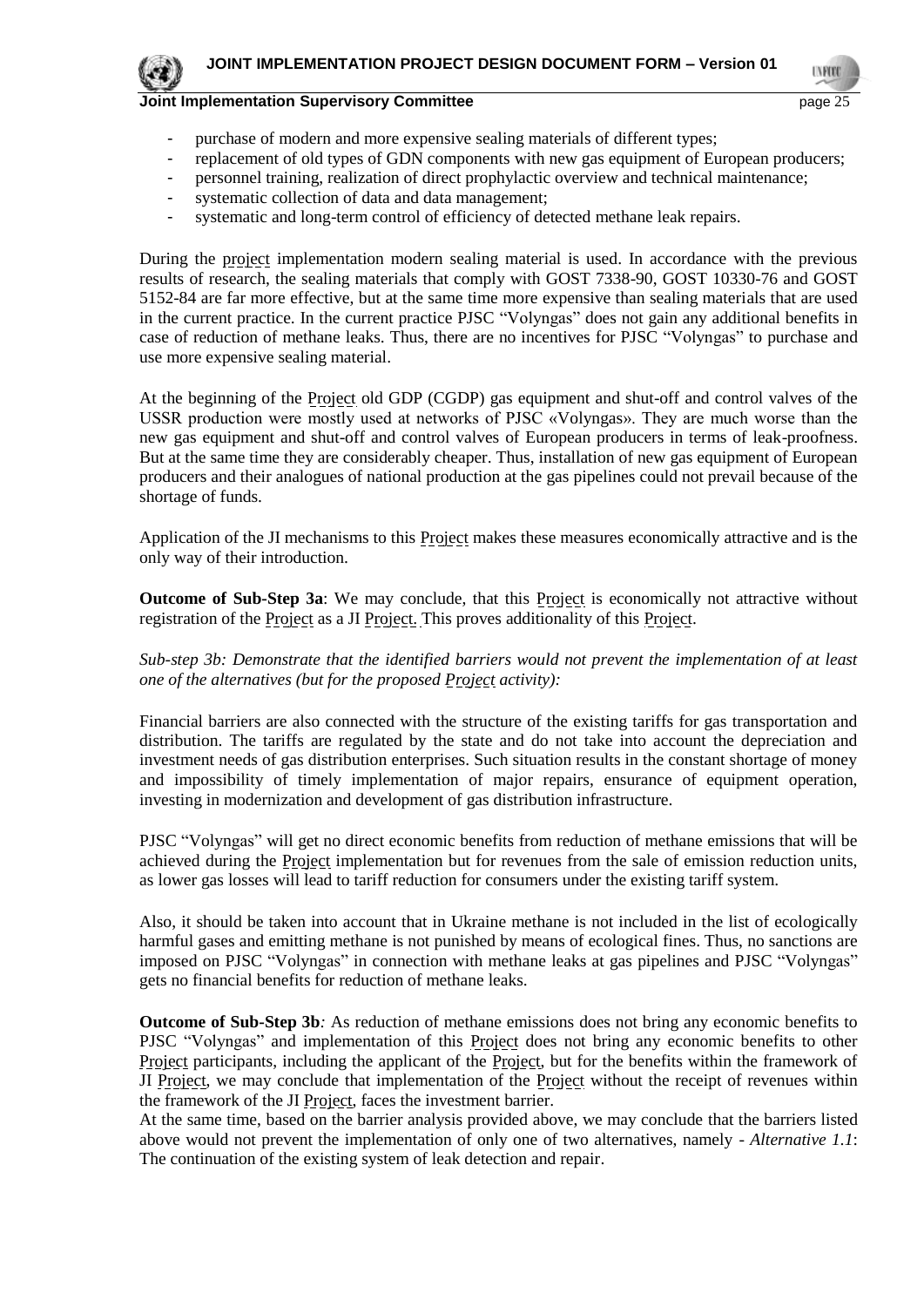

- purchase of modern and more expensive sealing materials of different types;
- replacement of old types of GDN components with new gas equipment of European producers;
- personnel training, realization of direct prophylactic overview and technical maintenance;
- systematic collection of data and data management;
- systematic and long-term control of efficiency of detected methane leak repairs.

During the project implementation modern sealing material is used. In accordance with the previous results of research, the sealing materials that comply with GOST 7338-90, GOST 10330-76 and GOST 5152-84 are far more effective, but at the same time more expensive than sealing materials that are used in the current practice. In the current practice PJSC "Volyngas" does not gain any additional benefits in case of reduction of methane leaks. Thus, there are no incentives for PJSC "Volyngas" to purchase and use more expensive sealing material.

At the beginning of the Project old GDP (CGDP) gas equipment and shut-off and control valves of the USSR production were mostly used at networks of PJSC «Volyngas». They are much worse than the new gas equipment and shut-off and control valves of European producers in terms of leak-proofness. But at the same time they are considerably cheaper. Thus, installation of new gas equipment of European producers and their analogues of national production at the gas pipelines could not prevail because of the shortage of funds.

Application of the JI mechanisms to this **Project** makes these measures economically attractive and is the only way of their introduction.

**Outcome of Sub-Step 3a**: We may conclude, that this **Project** is economically not attractive without registration of the **Project** as a JI Project. This proves additionality of this Project.

*Sub-step 3b: Demonstrate that the identified barriers would not prevent the implementation of at least one of the alternatives (but for the proposed Project activity):*

Financial barriers are also connected with the structure of the existing tariffs for gas transportation and distribution. The tariffs are regulated by the state and do not take into account the depreciation and investment needs of gas distribution enterprises. Such situation results in the constant shortage of money and impossibility of timely implementation of major repairs, ensurance of equipment operation, investing in modernization and development of gas distribution infrastructure.

PJSC "Volyngas" will get no direct economic benefits from reduction of methane emissions that will be achieved during the Project implementation but for revenues from the sale of emission reduction units, as lower gas losses will lead to tariff reduction for consumers under the existing tariff system.

Also, it should be taken into account that in Ukraine methane is not included in the list of ecologically harmful gases and emitting methane is not punished by means of ecological fines. Thus, no sanctions are imposed on PJSC "Volyngas" in connection with methane leaks at gas pipelines and PJSC "Volyngas" gets no financial benefits for reduction of methane leaks.

**Outcome of Sub-Step 3b***:* As reduction of methane emissions does not bring any economic benefits to PJSC "Volyngas" and implementation of this Project does not bring any economic benefits to other Project participants, including the applicant of the Project, but for the benefits within the framework of JI Project, we may conclude that implementation of the Project without the receipt of revenues within the framework of the JI Project, faces the investment barrier.

At the same time, based on the barrier analysis provided above, we may conclude that the barriers listed above would not prevent the implementation of only one of two alternatives, namely - *Alternative 1.1*: The continuation of the existing system of leak detection and repair.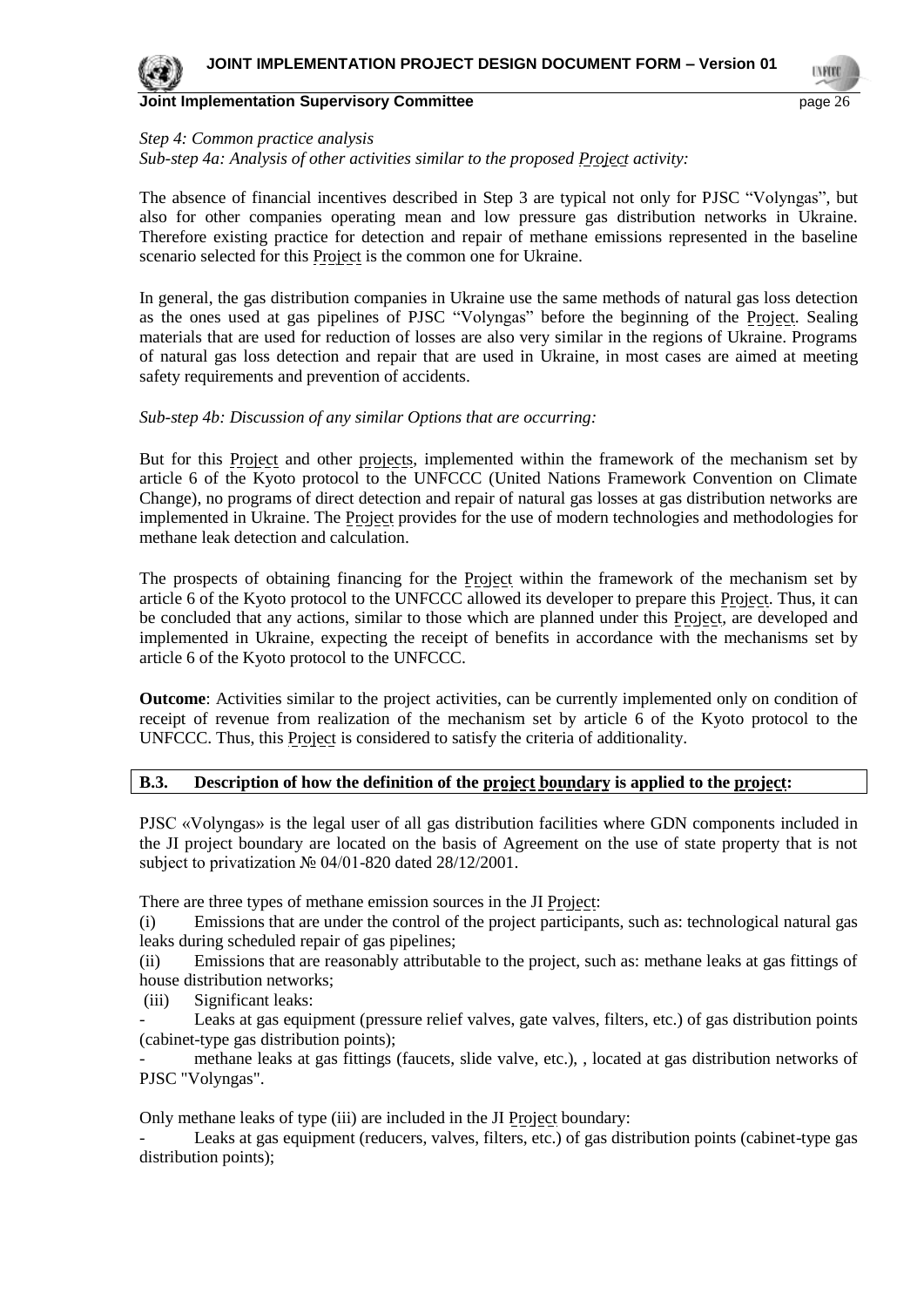#### *Step 4: Common practice analysis*

*Sub-step 4a: Analysis of other activities similar to the proposed Project activity:* 

The absence of financial incentives described in Step 3 are typical not only for PJSC "Volyngas", but also for other companies operating mean and low pressure gas distribution networks in Ukraine. Therefore existing practice for detection and repair of methane emissions represented in the baseline scenario selected for this Project is the common one for Ukraine.

In general, the gas distribution companies in Ukraine use the same methods of natural gas loss detection as the ones used at gas pipelines of PJSC "Volyngas" before the beginning of the Project. Sealing materials that are used for reduction of losses are also very similar in the regions of Ukraine. Programs of natural gas loss detection and repair that are used in Ukraine, in most cases are aimed at meeting safety requirements and prevention of accidents.

#### *Sub-step 4b: Discussion of any similar Options that are occurring:*

But for this Project and other projects, implemented within the framework of the mechanism set by article 6 of the Kyoto protocol to the UNFCCC (United Nations Framework Convention on Climate Change), no programs of direct detection and repair of natural gas losses at gas distribution networks are implemented in Ukraine. The Project provides for the use of modern technologies and methodologies for methane leak detection and calculation.

The prospects of obtaining financing for the Project within the framework of the mechanism set by article 6 of the Kyoto protocol to the UNFCCC allowed its developer to prepare this Project. Thus, it can be concluded that any actions, similar to those which are planned under this Project, are developed and implemented in Ukraine, expecting the receipt of benefits in accordance with the mechanisms set by article 6 of the Kyoto protocol to the UNFCCC.

**Outcome**: Activities similar to the project activities, can be currently implemented only on condition of receipt of revenue from realization of the mechanism set by article 6 of the Kyoto protocol to the UNFCCC. Thus, this Project is considered to satisfy the criteria of additionality.

#### **B.3. Description of how the definition of the project boundary is applied to the project:**

PJSC «Volyngas» is the legal user of all gas distribution facilities where GDN components included in the JI project boundary are located on the basis of Agreement on the use of state property that is not subject to privatization № 04/01-820 dated 28/12/2001.

There are three types of methane emission sources in the JI Project:

(i) Emissions that are under the control of the project participants, such as: technological natural gas leaks during scheduled repair of gas pipelines;

(ii) Emissions that are reasonably attributable to the project, such as: methane leaks at gas fittings of house distribution networks;

(iii) Significant leaks:

Leaks at gas equipment (pressure relief valves, gate valves, filters, etc.) of gas distribution points (cabinet-type gas distribution points);

- methane leaks at gas fittings (faucets, slide valve, etc.), , located at gas distribution networks of PJSC "Volyngas".

Only methane leaks of type (iii) are included in the JI Project boundary:

Leaks at gas equipment (reducers, valves, filters, etc.) of gas distribution points (cabinet-type gas distribution points);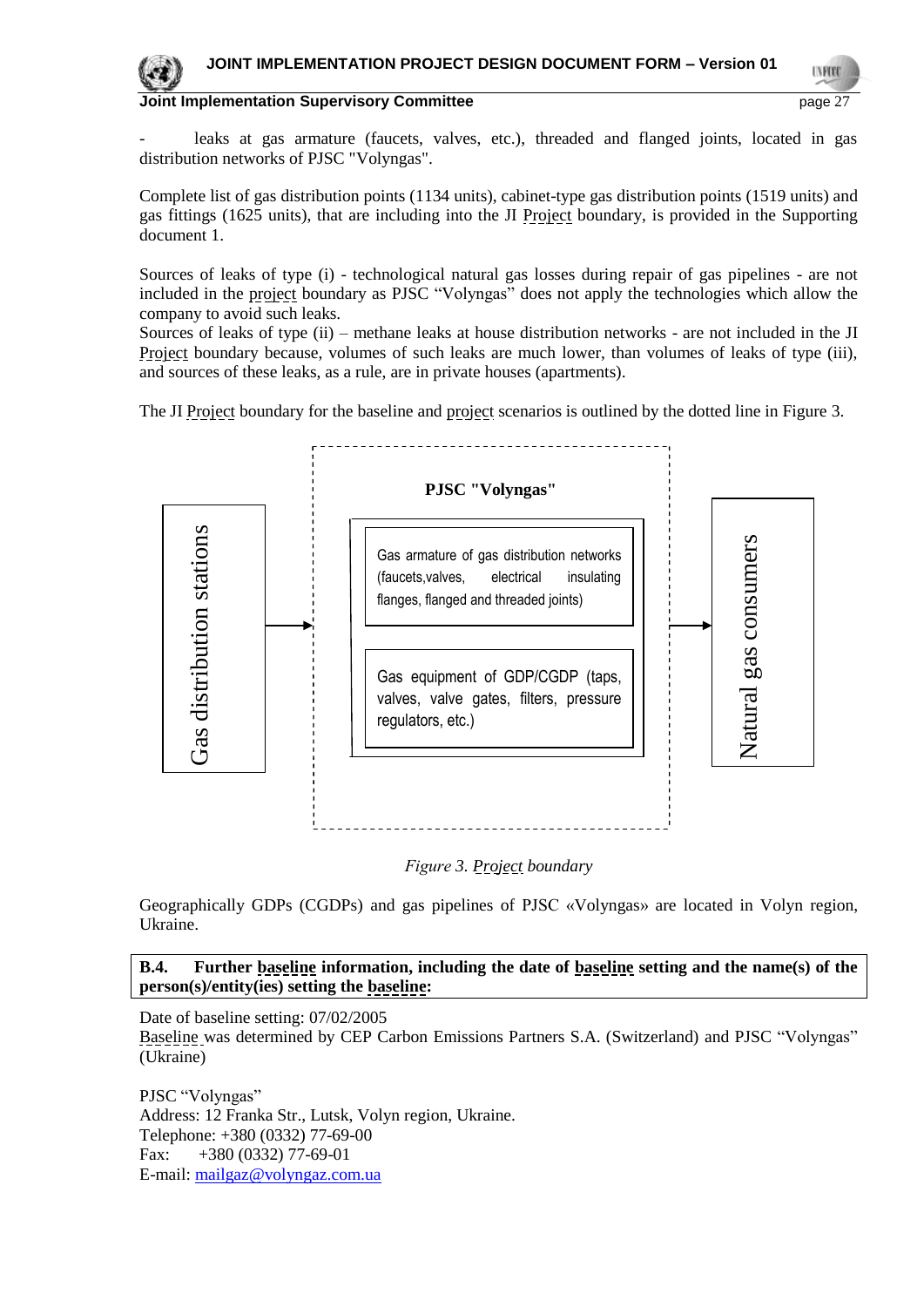

leaks at gas armature (faucets, valves, etc.), threaded and flanged joints, located in gas distribution networks of PJSC "Volyngas".

Complete list of gas distribution points (1134 units), cabinet-type gas distribution points (1519 units) and gas fittings (1625 units), that are including into the JI Project boundary, is provided in the Supporting document 1.

Sources of leaks of type (i) - technological natural gas losses during repair of gas pipelines - are not included in the project boundary as PJSC "Volyngas" does not apply the technologies which allow the company to avoid such leaks.

Sources of leaks of type (ii) – methane leaks at house distribution networks - are not included in the JI Project boundary because, volumes of such leaks are much lower, than volumes of leaks of type (iii), and sources of these leaks, as a rule, are in private houses (apartments).

The JI Project boundary for the baseline and project scenarios is outlined by the dotted line in Figure 3.



*Fіgure 3. Project boundary*

Geographically GDPs (CGDPs) and gas pipelines of PJSC «Volyngas» are located in Volyn region, Ukraine.

#### **B.4. Further baseline information, including the date of baseline setting and the name(s) of the person(s)/entity(ies) setting the baseline:**

Date of baseline setting: 07/02/2005

Baseline was determined by CEP Carbon Emissions Partners S.A. (Switzerland) and PJSC "Volyngas" (Ukraine)

PJSC "Volyngas" Address: 12 Franka Str., Lutsk, Volyn region, Ukraine. Telephone: +380 (0332) 77-69-00 Fax:  $+380(0332)$  77-69-01 E-mail: [mailgaz@volyngaz.com.ua](mailto:mailgaz@volyngaz.com.ua)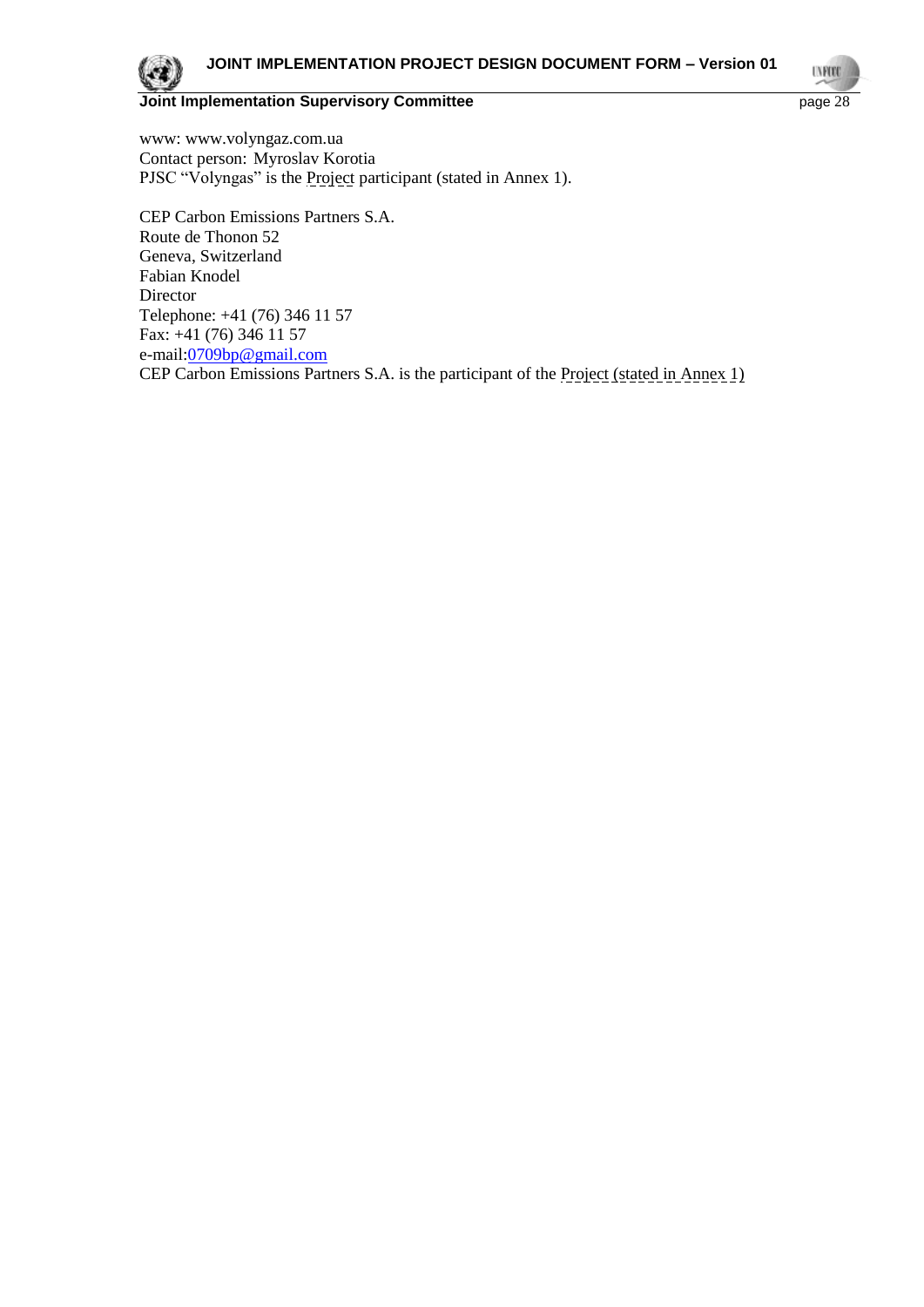www: www.volyngaz.com.ua Contact person: Myroslav Korotia PJSC "Volyngas" is the Project participant (stated in Annex 1).

CEP Carbon Emissions Partners S.A. Route de Thonon 52 Geneva, Switzerland Fabian Knodel Director Telephone: +41 (76) 346 11 57 Fax: +41 (76) 346 11 57 e-mail[:0709bp@gmail.com](mailto:0709bp@gmail.com) CEP Carbon Emissions Partners S.A. is the participant of the Project (stated in Annex 1)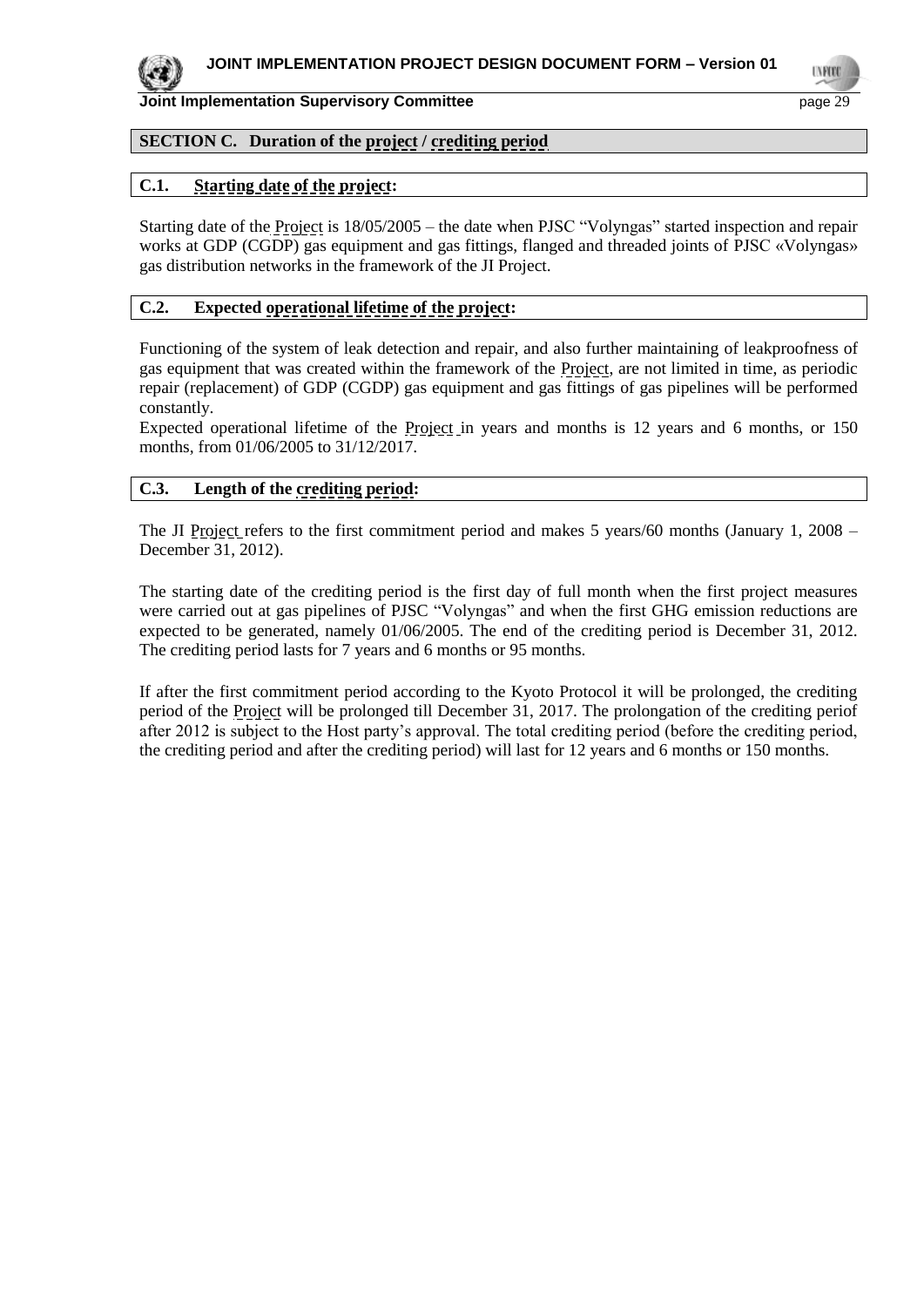

## **SECTION C. Duration of the project / crediting period**

## **C.1. Starting date of the project:**

Starting date of the Project is 18/05/2005 – the date when PJSC "Volyngas" started inspection and repair works at GDP (CGDP) gas equipment and gas fittings, flanged and threaded joints of PJSC «Volyngas» gas distribution networks in the framework of the JI Project.

#### **C.2. Expected operational lifetime of the project:**

Functioning of the system of leak detection and repair, and also further maintaining of leakproofness of gas equipment that was created within the framework of the Project, are not limited in time, as periodic repair (replacement) of GDP (CGDP) gas equipment and gas fittings of gas pipelines will be performed constantly.

Expected operational lifetime of the Project in years and months is 12 years and 6 months, or 150 months, from 01/06/2005 to 31/12/2017.

#### **C.3. Length of the crediting period:**

The JI Project refers to the first commitment period and makes 5 years/60 months (January 1, 2008 – December 31, 2012).

The starting date of the crediting period is the first day of full month when the first project measures were carried out at gas pipelines of PJSC "Volyngas" and when the first GHG emission reductions are expected to be generated, namely 01/06/2005. The end of the crediting period is December 31, 2012. The crediting period lasts for 7 years and 6 months or 95 months.

If after the first commitment period according to the Kyoto Protocol it will be prolonged, the crediting period of the Project will be prolonged till December 31, 2017. The prolongation of the crediting periof after 2012 is subject to the Host party's approval. The total crediting period (before the crediting period, the crediting period and after the crediting period) will last for 12 years and 6 months or 150 months.

**TYPE**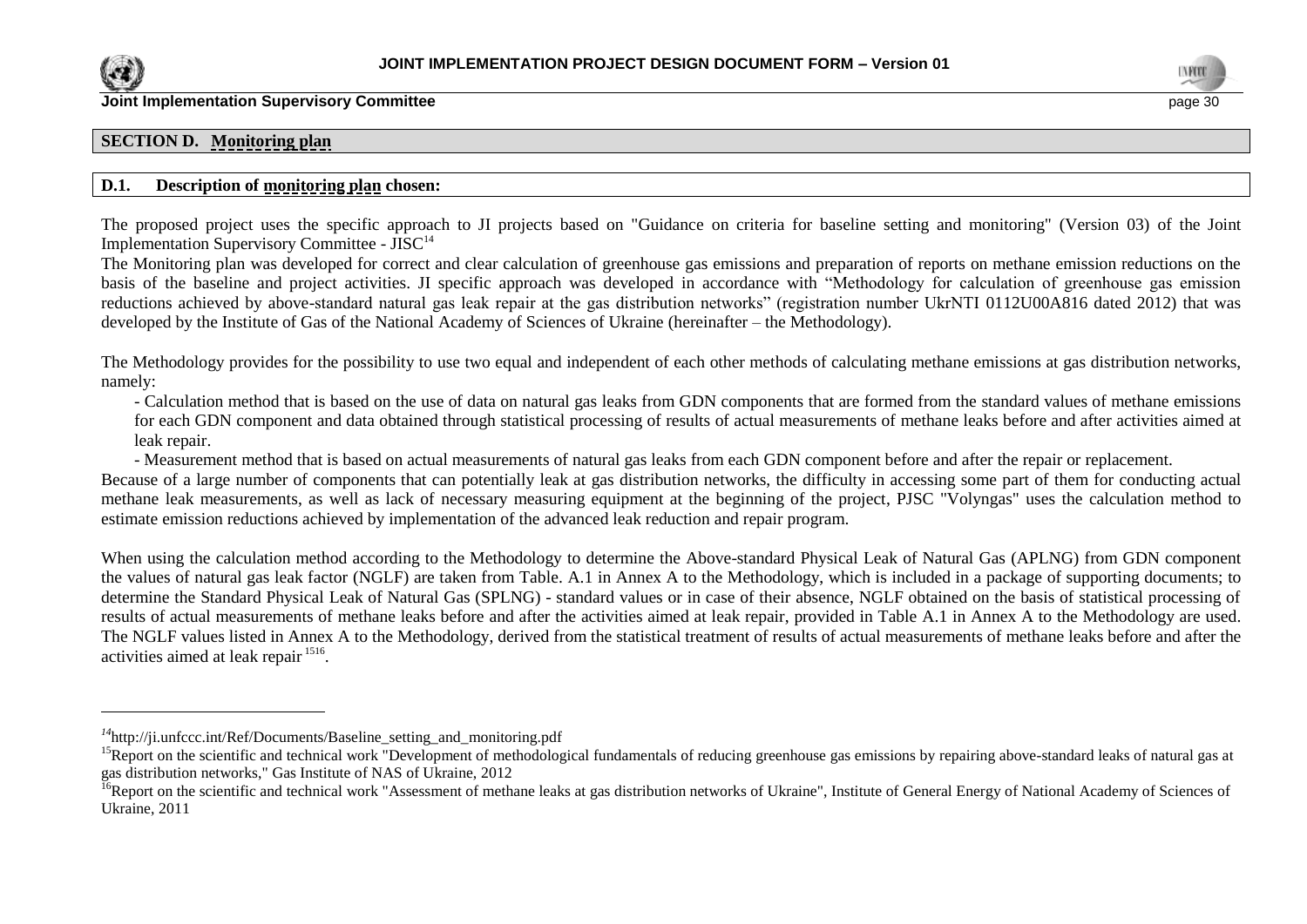

l



#### **SECTION D. Monitoring plan**

#### **D.1. Description of monitoring plan chosen:**

The proposed project uses the specific approach to JI projects based on "Guidance on criteria for baseline setting and monitoring" (Version 03) of the Joint Implementation Supervisory Committee - JISC<sup>14</sup>

The Monitoring plan was developed for correct and clear calculation of greenhouse gas emissions and preparation of reports on methane emission reductions on the basis of the baseline and project activities. JI specific approach was developed in accordance with "Methodology for calculation of greenhouse gas emission reductions achieved by above-standard natural gas leak repair at the gas distribution networks" (registration number UkrNTI 0112U00A816 dated 2012) that was developed by the Institute of Gas of the National Academy of Sciences of Ukraine (hereinafter – the Methodology).

The Methodology provides for the possibility to use two equal and independent of each other methods of calculating methane emissions at gas distribution networks, namely:

- Calculation method that is based on the use of data on natural gas leaks from GDN components that are formed from the standard values of methane emissions for each GDN component and data obtained through statistical processing of results of actual measurements of methane leaks before and after activities aimed at leak repair.

- Measurement method that is based on actual measurements of natural gas leaks from each GDN component before and after the repair or replacement.

Because of a large number of components that can potentially leak at gas distribution networks, the difficulty in accessing some part of them for conducting actual methane leak measurements, as well as lack of necessary measuring equipment at the beginning of the project, PJSC "Volyngas" uses the calculation method to estimate emission reductions achieved by implementation of the advanced leak reduction and repair program.

When using the calculation method according to the Methodology to determine the Above-standard Physical Leak of Natural Gas (APLNG) from GDN component the values of natural gas leak factor (NGLF) are taken from Table. A.1 in Annex A to the Methodology, which is included in a package of supporting documents; to determine the Standard Physical Leak of Natural Gas (SPLNG) - standard values or in case of their absence, NGLF obtained on the basis of statistical processing of results of actual measurements of methane leaks before and after the activities aimed at leak repair, provided in Table A.1 in Annex A to the Methodology are used. The NGLF values listed in Annex A to the Methodology, derived from the statistical treatment of results of actual measurements of methane leaks before and after the activities aimed at leak repair <sup>1516</sup>.

*<sup>14</sup>*http://ji.unfccc.int/Ref/Documents/Baseline\_setting\_and\_monitoring.pdf

<sup>&</sup>lt;sup>15</sup>Report on the scientific and technical work "Development of methodological fundamentals of reducing greenhouse gas emissions by repairing above-standard leaks of natural gas at gas distribution networks," Gas Institute of NAS of Ukraine, 2012

<sup>&</sup>lt;sup>16</sup>Report on the scientific and technical work "Assessment of methane leaks at gas distribution networks of Ukraine". Institute of General Energy of National Academy of Sciences of Ukraine, 2011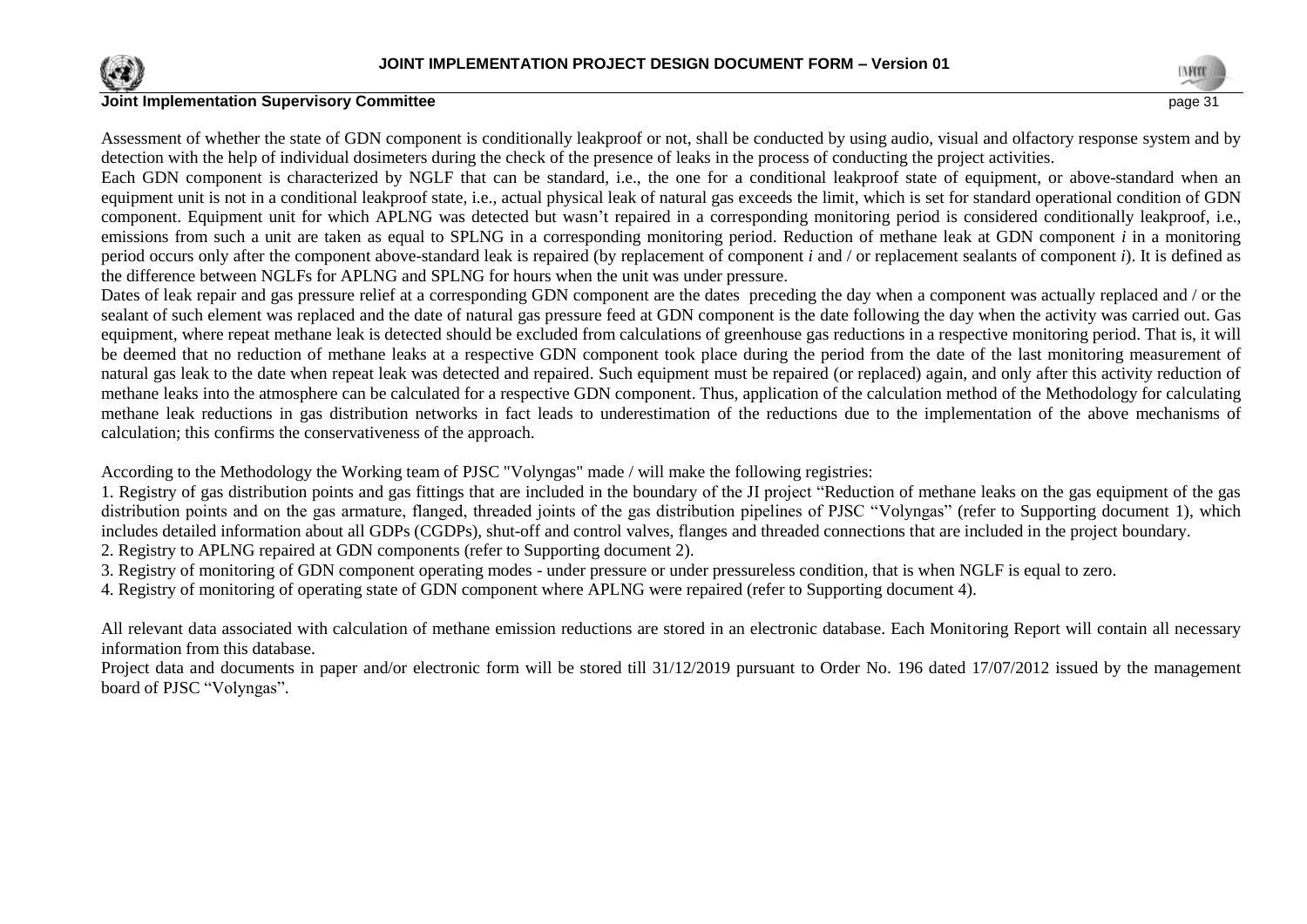



Assessment of whether the state of GDN component is conditionally leakproof or not, shall be conducted by using audio, visual and olfactory response system and by detection with the help of individual dosimeters during the check of the presence of leaks in the process of conducting the project activities.

Each GDN component is characterized by NGLF that can be standard, i.e., the one for a conditional leakproof state of equipment, or above-standard when an equipment unit is not in a conditional leakproof state, i.e., actual physical leak of natural gas exceeds the limit, which is set for standard operational condition of GDN component. Equipment unit for which APLNG was detected but wasn't repaired in a corresponding monitoring period is considered conditionally leakproof, i.e., emissions from such a unit are taken as equal to SPLNG in a corresponding monitoring period. Reduction of methane leak at GDN component *i* in a monitoring period occurs only after the component above-standard leak is repaired (by replacement of component *i* and / or replacement sealants of component *i*). It is defined as the difference between NGLFs for APLNG and SPLNG for hours when the unit was under pressure.

Dates of leak repair and gas pressure relief at a corresponding GDN component are the dates preceding the day when a component was actually replaced and / or the sealant of such element was replaced and the date of natural gas pressure feed at GDN component is the date following the day when the activity was carried out. Gas equipment, where repeat methane leak is detected should be excluded from calculations of greenhouse gas reductions in a respective monitoring period. That is, it will be deemed that no reduction of methane leaks at a respective GDN component took place during the period from the date of the last monitoring measurement of natural gas leak to the date when repeat leak was detected and repaired. Such equipment must be repaired (or replaced) again, and only after this activity reduction of methane leaks into the atmosphere can be calculated for a respective GDN component. Thus, application of the calculation method of the Methodology for calculating methane leak reductions in gas distribution networks in fact leads to underestimation of the reductions due to the implementation of the above mechanisms of calculation; this confirms the conservativeness of the approach.

According to the Methodology the Working team of PJSC "Volyngas" made / will make the following registries:

1. Registry of gas distribution points and gas fittings that are included in the boundary of the JI project "Reduction of methane leaks on the gas equipment of the gas distribution points and on the gas armature, flanged, threaded joints of the gas distribution pipelines of PJSC "Volyngas" (refer to Supporting document 1), which includes detailed information about all GDPs (CGDPs), shut-off and control valves, flanges and threaded connections that are included in the project boundary.

2. Registry to APLNG repaired at GDN components (refer to Supporting document 2).

3. Registry of monitoring of GDN component operating modes - under pressure or under pressureless condition, that is when NGLF is equal to zero.

4. Registry of monitoring of operating state of GDN component where APLNG were repaired (refer to Supporting document 4).

All relevant data associated with calculation of methane emission reductions are stored in an electronic database. Each Monitoring Report will contain all necessary information from this database.

Project data and documents in paper and/or electronic form will be stored till 31/12/2019 pursuant to Order No. 196 dated 17/07/2012 issued by the management board of PJSC "Volyngas".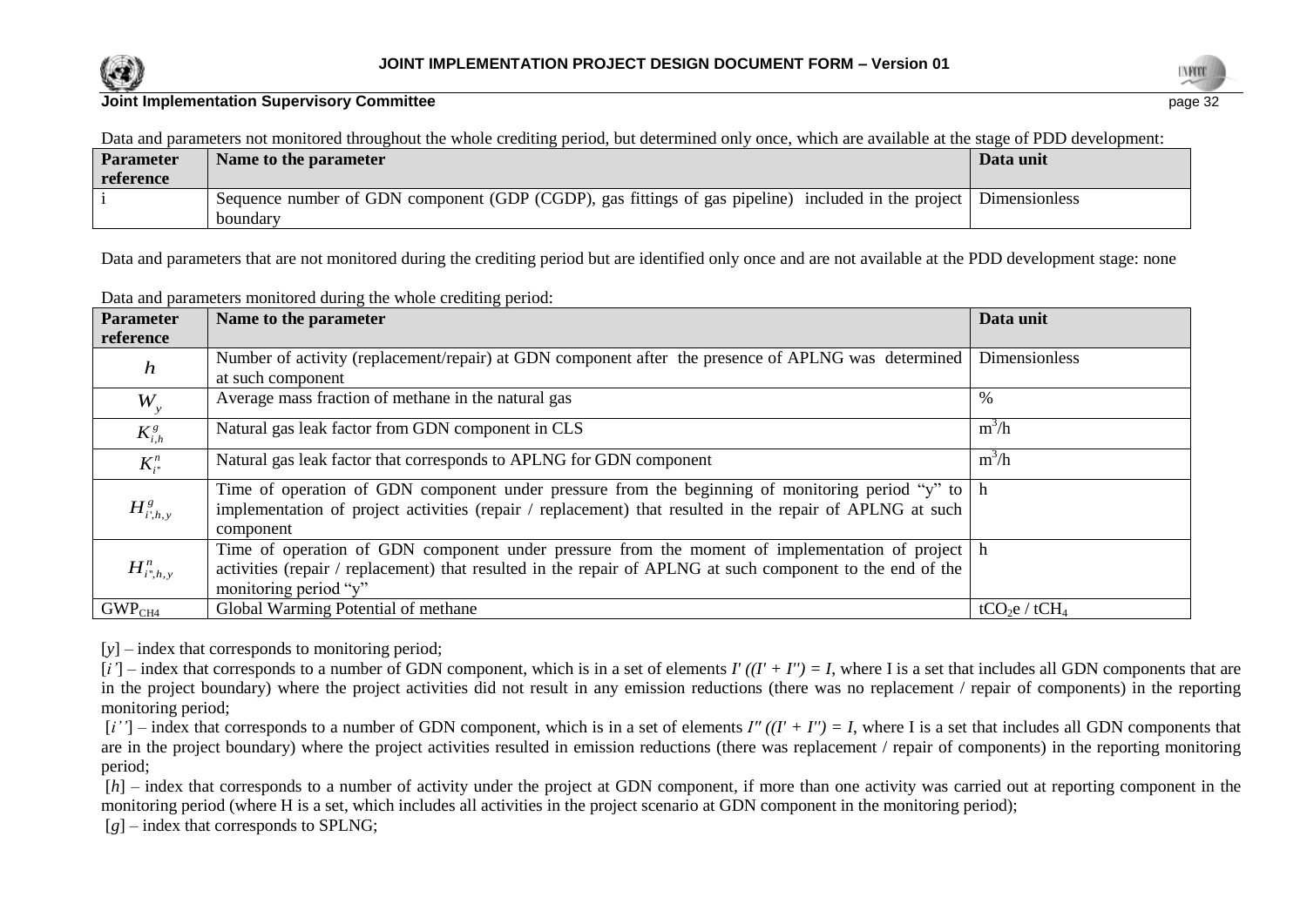



Data and parameters not monitored throughout the whole crediting period, but determined only once, which are available at the stage of PDD development:

| <b>Parameter</b><br>reference | Name to the parameter                                                                                                           | Data unit |  |
|-------------------------------|---------------------------------------------------------------------------------------------------------------------------------|-----------|--|
|                               | Sequence number of GDN component (GDP (CGDP), gas fittings of gas pipeline) included in the project   Dimensionless<br>boundary |           |  |

Data and parameters that are not monitored during the crediting period but are identified only once and are not available at the PDD development stage: none

| Data and parameters monitored during the whole crediting period: |  |
|------------------------------------------------------------------|--|
|------------------------------------------------------------------|--|

| <b>Parameter</b>   | Name to the parameter                                                                                                 | Data unit                             |
|--------------------|-----------------------------------------------------------------------------------------------------------------------|---------------------------------------|
| reference          |                                                                                                                       |                                       |
| $\boldsymbol{h}$   | Number of activity (replacement/repair) at GDN component after the presence of APLNG was determined                   | Dimensionless                         |
|                    | at such component                                                                                                     |                                       |
| $W_{y}$            | Average mass fraction of methane in the natural gas                                                                   | $\%$                                  |
| $K^s_{i,h}$        | Natural gas leak factor from GDN component in CLS                                                                     | $m^3/h$                               |
| $K_{i}^{n}$        | Natural gas leak factor that corresponds to APLNG for GDN component                                                   | $m^3/h$                               |
|                    | Time of operation of GDN component under pressure from the beginning of monitoring period "y" to $\vert$ h            |                                       |
| $H^g_{i,h,y}$      | implementation of project activities (repair / replacement) that resulted in the repair of APLNG at such<br>component |                                       |
|                    | Time of operation of GDN component under pressure from the moment of implementation of project h                      |                                       |
| $H^n_{i^*,h,y}$    | activities (repair / replacement) that resulted in the repair of APLNG at such component to the end of the            |                                       |
|                    | monitoring period "y"                                                                                                 |                                       |
|                    |                                                                                                                       |                                       |
| GWP <sub>CH4</sub> | Global Warming Potential of methane                                                                                   | tCO <sub>2</sub> e / tCH <sub>4</sub> |

[y] – index that corresponds to monitoring period;

 $[i']$  – index that corresponds to a number of GDN component, which is in a set of elements  $I'((I' + I'') = I$ , where I is a set that includes all GDN components that are in the project boundary) where the project activities did not result in any emission reductions (there was no replacement / repair of components) in the reporting monitoring period;

 $[i'']$  – index that corresponds to a number of GDN component, which is in a set of elements *I''*  $((I' + I'') = I$ , where I is a set that includes all GDN components that are in the project boundary) where the project activities resulted in emission reductions (there was replacement / repair of components) in the reporting monitoring period;

[*h*] – index that corresponds to a number of activity under the project at GDN component, if more than one activity was carried out at reporting component in the monitoring period (where H is a set, which includes all activities in the project scenario at GDN component in the monitoring period);

 $[g]$  – index that corresponds to SPLNG;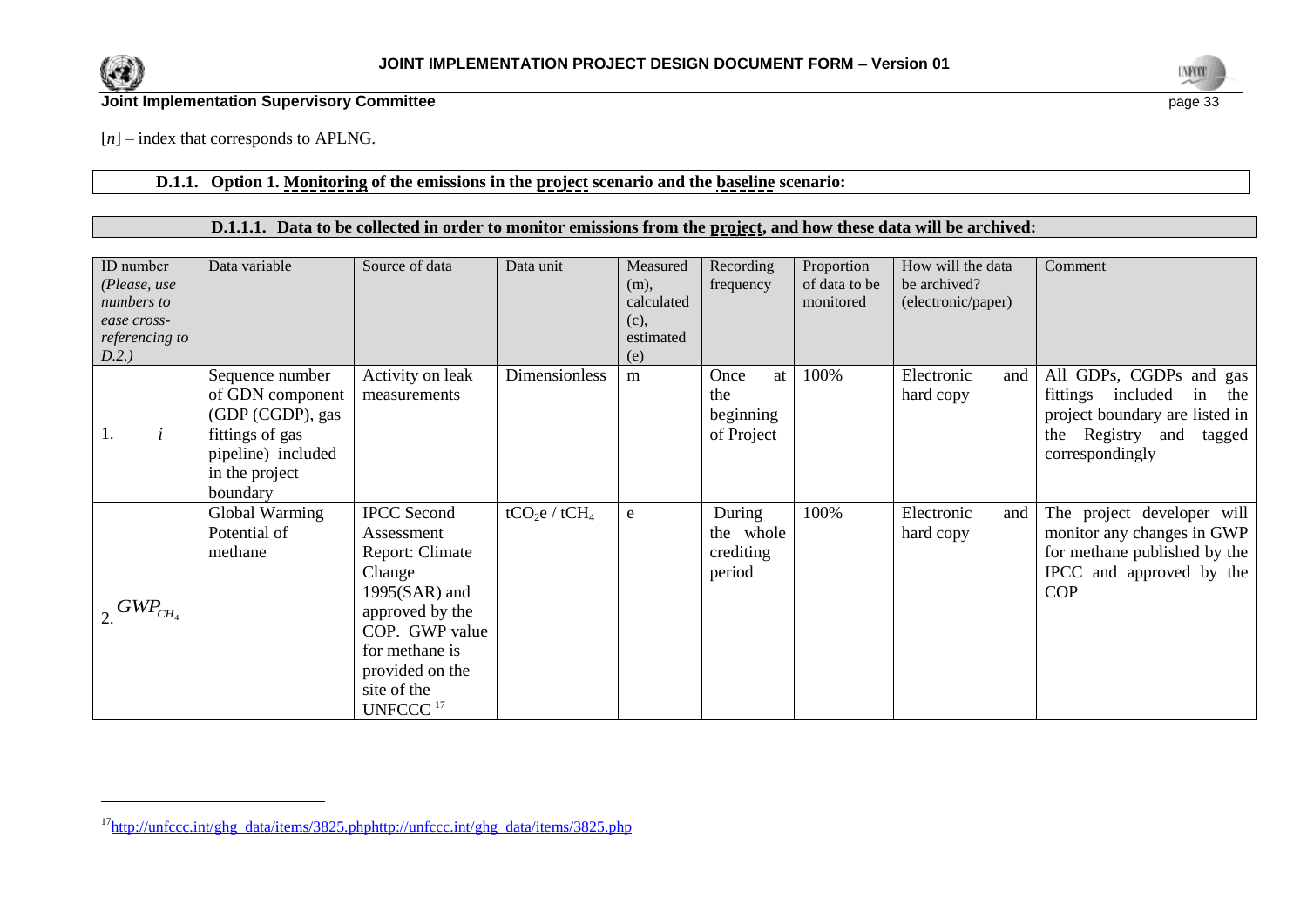

l

**Joint Implementation Supervisory Committee** page 33



[*n*] – index that corresponds to APLNG.

#### **D.1.1. Option 1. Monitoring of the emissions in the project scenario and the baseline scenario:**

## **D.1.1.1. Data to be collected in order to monitor emissions from the project, and how these data will be archived:**

| ID number<br>(Please, use<br>numbers to<br>ease cross-<br>referencing to<br>D.2.) | Data variable                                                                                                                  | Source of data                                                                                                                                                                                    | Data unit                             | Measured<br>$(m)$ ,<br>calculated<br>(c),<br>estimated<br>(e) | Recording<br>frequency                       | Proportion<br>of data to be<br>monitored | How will the data<br>be archived?<br>(electronic/paper) | Comment                                                                                                                                      |
|-----------------------------------------------------------------------------------|--------------------------------------------------------------------------------------------------------------------------------|---------------------------------------------------------------------------------------------------------------------------------------------------------------------------------------------------|---------------------------------------|---------------------------------------------------------------|----------------------------------------------|------------------------------------------|---------------------------------------------------------|----------------------------------------------------------------------------------------------------------------------------------------------|
| $\dot{i}$<br>1.                                                                   | Sequence number<br>of GDN component<br>(GDP (CGDP), gas<br>fittings of gas<br>pipeline) included<br>in the project<br>boundary | Activity on leak<br>measurements                                                                                                                                                                  | Dimensionless                         | m                                                             | Once<br>at<br>the<br>beginning<br>of Project | 100%                                     | Electronic<br>and<br>hard copy                          | All GDPs, CGDPs and gas<br>fittings included<br>in<br>the<br>project boundary are listed in<br>the Registry and<br>tagged<br>correspondingly |
| $GWP_{CH_4}$                                                                      | Global Warming<br>Potential of<br>methane                                                                                      | <b>IPCC</b> Second<br>Assessment<br>Report: Climate<br>Change<br>$1995(SAR)$ and<br>approved by the<br>COP. GWP value<br>for methane is<br>provided on the<br>site of the<br>UNFCCC <sup>17</sup> | tCO <sub>2</sub> e / tCH <sub>4</sub> | ${\bf e}$                                                     | During<br>the whole<br>crediting<br>period   | 100%                                     | Electronic<br>and<br>hard copy                          | The project developer will<br>monitor any changes in GWP<br>for methane published by the<br>IPCC and approved by the<br><b>COP</b>           |

<sup>17</sup>[http://unfccc.int/ghg\\_data/items/3825.phphttp://unfccc.int/ghg\\_data/items/3825.php](http://unfccc.int/ghg_data/items/3825.phphttp:/unfccc.int/ghg_data/items/3825.php)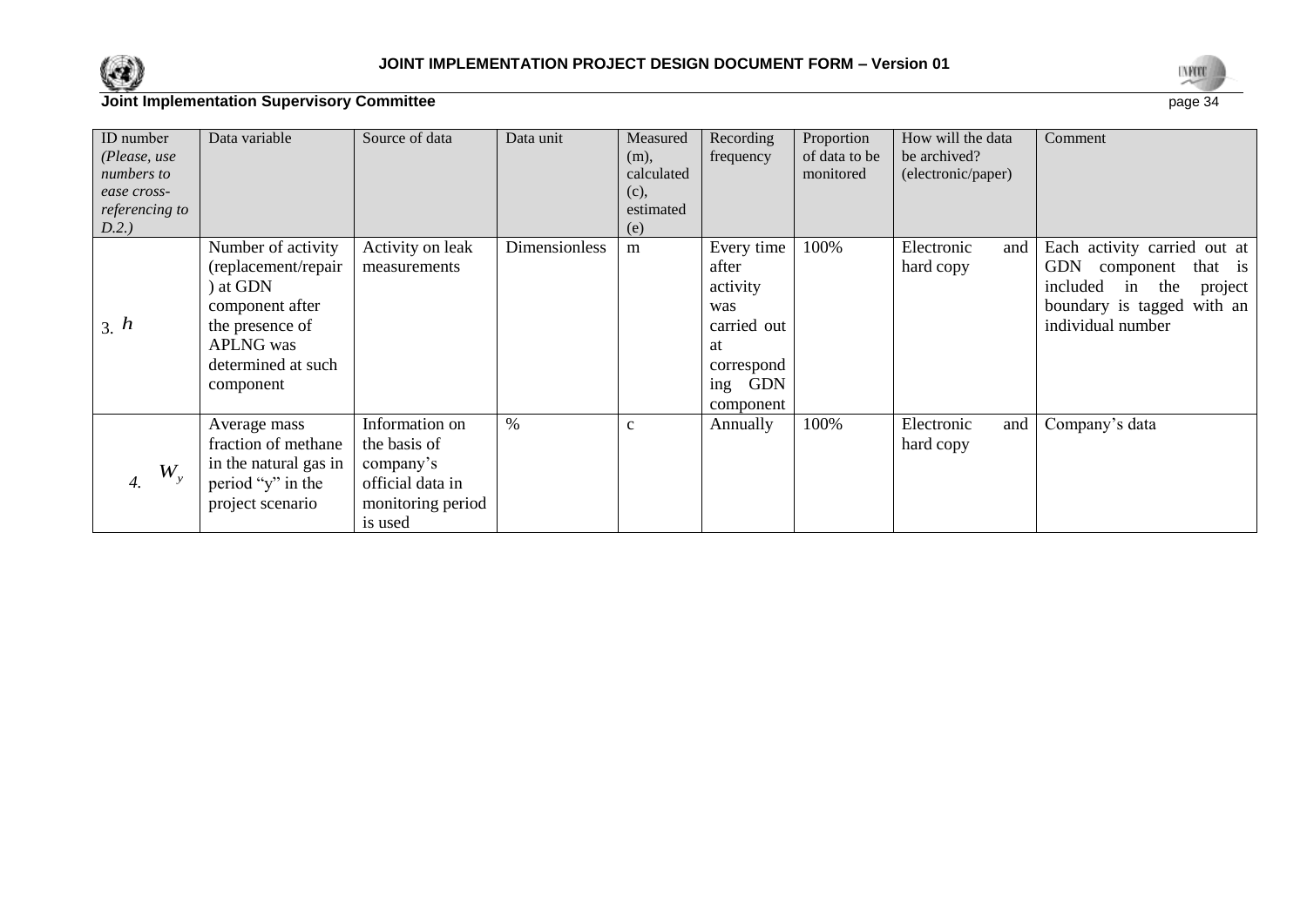



| ID number<br>(Please, use<br>numbers to<br>ease cross-<br>referencing to<br>D.2.) | Data variable                                                                                                                                      | Source of data                                                                                  | Data unit     | Measured<br>(m),<br>calculated<br>(c),<br>estimated<br>(e) | Recording<br>frequency                                                                                      | Proportion<br>of data to be<br>monitored | How will the data<br>be archived?<br>(electronic/paper) | Comment                                                                                                                                                   |
|-----------------------------------------------------------------------------------|----------------------------------------------------------------------------------------------------------------------------------------------------|-------------------------------------------------------------------------------------------------|---------------|------------------------------------------------------------|-------------------------------------------------------------------------------------------------------------|------------------------------------------|---------------------------------------------------------|-----------------------------------------------------------------------------------------------------------------------------------------------------------|
| 3. h                                                                              | Number of activity<br>(replacement/repair<br>) at GDN<br>component after<br>the presence of<br><b>APLNG</b> was<br>determined at such<br>component | Activity on leak<br>measurements                                                                | Dimensionless | m                                                          | Every time<br>after<br>activity<br>was<br>carried out<br>at<br>correspond<br><b>GDN</b><br>ing<br>component | 100%                                     | Electronic<br>and<br>hard copy                          | Each activity carried out at<br><b>GDN</b><br>that is<br>component<br>included<br>the<br>project<br>in<br>boundary is tagged with an<br>individual number |
| $W_{\rm v}$<br>4.                                                                 | Average mass<br>fraction of methane<br>in the natural gas in<br>period "y" in the<br>project scenario                                              | Information on<br>the basis of<br>company's<br>official data in<br>monitoring period<br>is used | $\%$          | $\mathbf{C}$                                               | Annually                                                                                                    | 100%                                     | Electronic<br>and<br>hard copy                          | Company's data                                                                                                                                            |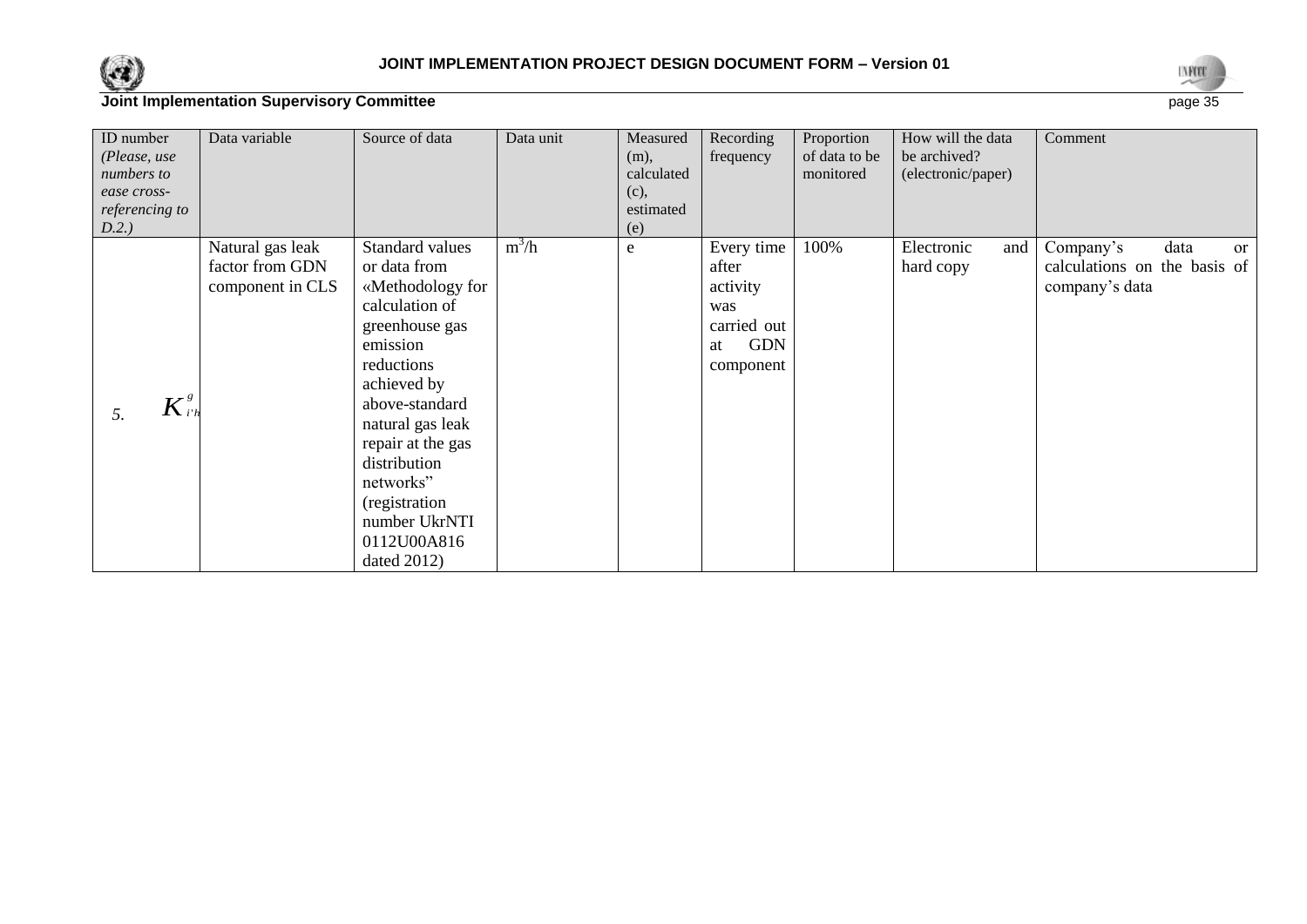



| ID number               | Data variable    | Source of data    | Data unit | Measured   | Recording        | Proportion    | How will the data  | Comment                            |
|-------------------------|------------------|-------------------|-----------|------------|------------------|---------------|--------------------|------------------------------------|
| (Please, use            |                  |                   |           | (m),       | frequency        | of data to be | be archived?       |                                    |
| numbers to              |                  |                   |           | calculated |                  | monitored     | (electronic/paper) |                                    |
| ease cross-             |                  |                   |           | (c),       |                  |               |                    |                                    |
| referencing to          |                  |                   |           | estimated  |                  |               |                    |                                    |
| D.2.)                   |                  |                   |           | (e)        |                  |               |                    |                                    |
|                         | Natural gas leak | Standard values   | $m^3/h$   | e          | Every time       | 100%          | Electronic<br>and  | Company's<br>data<br><sub>or</sub> |
|                         | factor from GDN  | or data from      |           |            | after            |               | hard copy          | calculations on the basis of       |
|                         | component in CLS | «Methodology for  |           |            | activity         |               |                    | company's data                     |
|                         |                  | calculation of    |           |            | was              |               |                    |                                    |
|                         |                  | greenhouse gas    |           |            | carried out      |               |                    |                                    |
|                         |                  | emission          |           |            | <b>GDN</b><br>at |               |                    |                                    |
|                         |                  | reductions        |           |            | component        |               |                    |                                    |
|                         |                  | achieved by       |           |            |                  |               |                    |                                    |
| $\overline{K}^s_{i' h}$ |                  | above-standard    |           |            |                  |               |                    |                                    |
| 5.                      |                  | natural gas leak  |           |            |                  |               |                    |                                    |
|                         |                  | repair at the gas |           |            |                  |               |                    |                                    |
|                         |                  | distribution      |           |            |                  |               |                    |                                    |
|                         |                  |                   |           |            |                  |               |                    |                                    |
|                         |                  | networks"         |           |            |                  |               |                    |                                    |
|                         |                  | (registration     |           |            |                  |               |                    |                                    |
|                         |                  | number UkrNTI     |           |            |                  |               |                    |                                    |
|                         |                  | 0112U00A816       |           |            |                  |               |                    |                                    |
|                         |                  | dated $2012$ )    |           |            |                  |               |                    |                                    |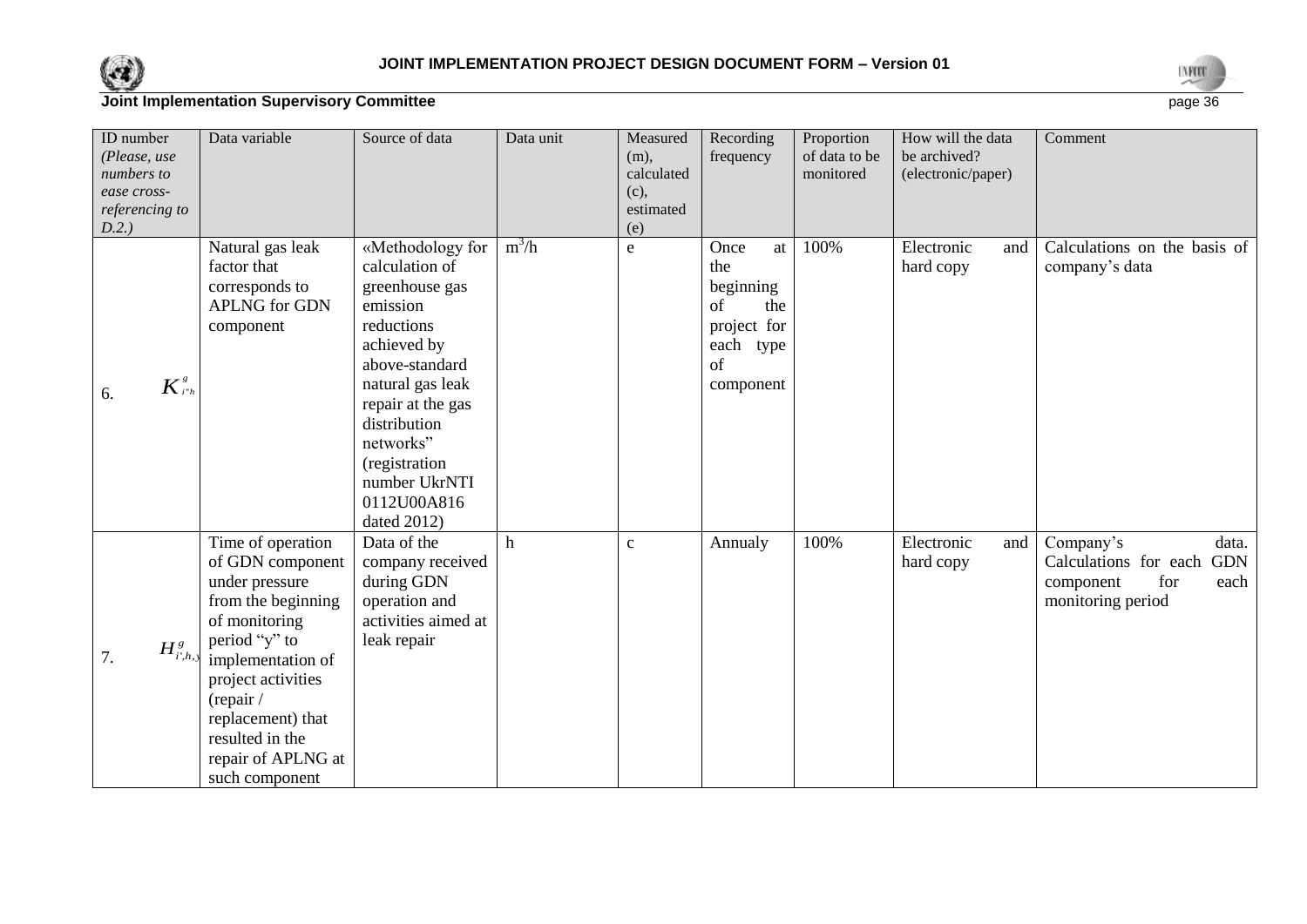



| ID number<br>(Please, use<br>numbers to<br>ease cross-<br>referencing to<br>D.2.) | Data variable                                                                                                                                                                                                                                           | Source of data                                                                                                                                                                                                                                        | Data unit | Measured<br>$(m)$ ,<br>calculated<br>(c),<br>estimated<br>(e) | Recording<br>frequency                                                                     | Proportion<br>of data to be<br>monitored | How will the data<br>be archived?<br>(electronic/paper) | Comment                                                                                                    |
|-----------------------------------------------------------------------------------|---------------------------------------------------------------------------------------------------------------------------------------------------------------------------------------------------------------------------------------------------------|-------------------------------------------------------------------------------------------------------------------------------------------------------------------------------------------------------------------------------------------------------|-----------|---------------------------------------------------------------|--------------------------------------------------------------------------------------------|------------------------------------------|---------------------------------------------------------|------------------------------------------------------------------------------------------------------------|
| $K^s_{i^*h}$<br>6.                                                                | Natural gas leak<br>factor that<br>corresponds to<br><b>APLNG</b> for GDN<br>component                                                                                                                                                                  | «Methodology for<br>calculation of<br>greenhouse gas<br>emission<br>reductions<br>achieved by<br>above-standard<br>natural gas leak<br>repair at the gas<br>distribution<br>networks"<br>(registration<br>number UkrNTI<br>0112U00A816<br>dated 2012) | $m^3/h$   | $\mathbf e$                                                   | Once<br>at<br>the<br>beginning<br>the<br>of<br>project for<br>each type<br>of<br>component | 100%                                     | Electronic<br>and<br>hard copy                          | Calculations on the basis of<br>company's data                                                             |
| $H^g_{i',h, y}$<br>7.                                                             | Time of operation<br>of GDN component<br>under pressure<br>from the beginning<br>of monitoring<br>period "y" to<br>implementation of<br>project activities<br>(repair /<br>replacement) that<br>resulted in the<br>repair of APLNG at<br>such component | Data of the<br>company received<br>during GDN<br>operation and<br>activities aimed at<br>leak repair                                                                                                                                                  | h         | $\mathbf{C}$                                                  | Annualy                                                                                    | 100%                                     | Electronic<br>and<br>hard copy                          | Company's<br>data.<br>Calculations for each<br><b>GDN</b><br>component<br>for<br>each<br>monitoring period |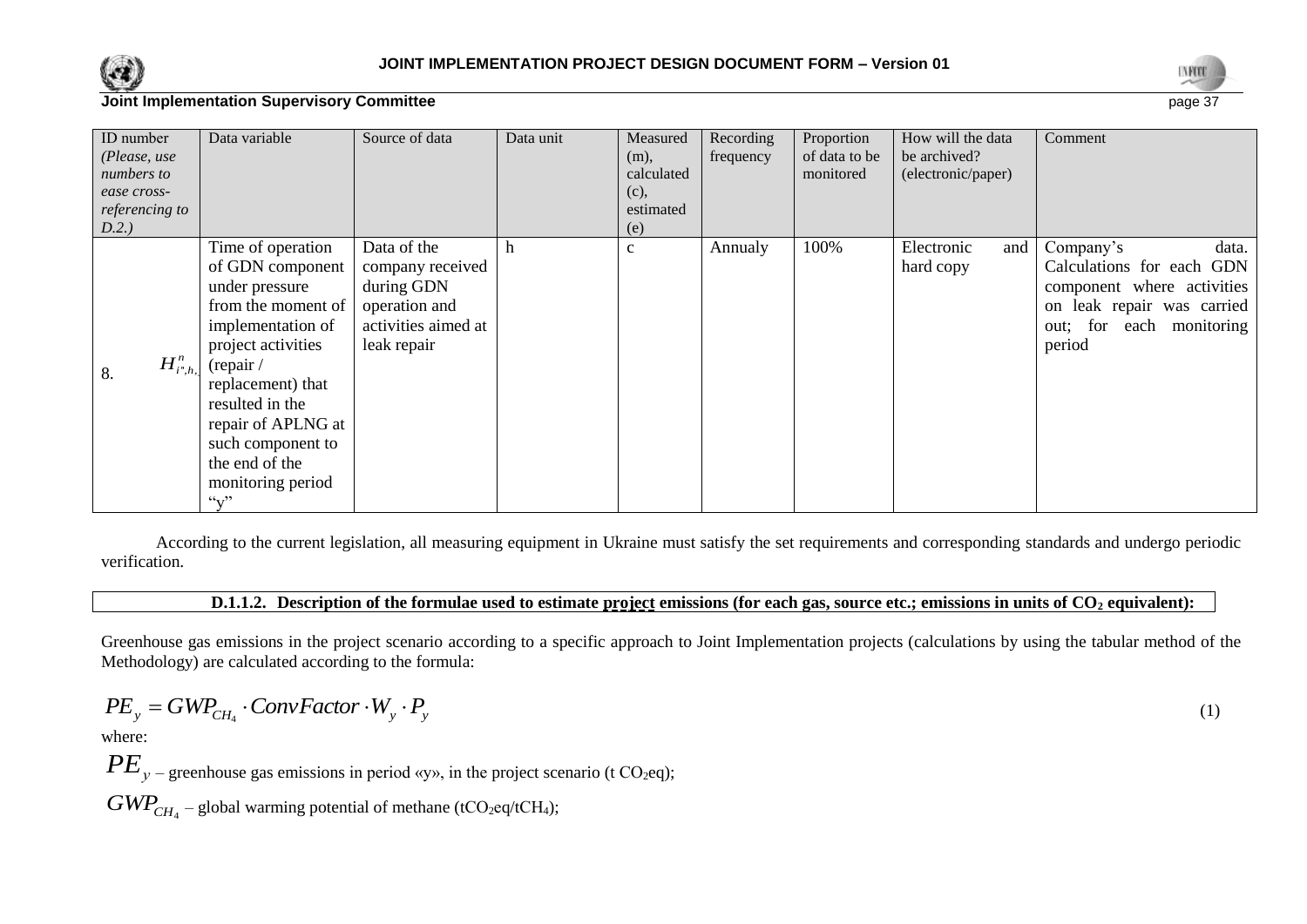



| ID number<br>(Please, use<br>numbers to<br>ease cross-<br>referencing to<br>D.2.) | Data variable                                                                                                                                                                                                                                                           | Source of data                                                                                       | Data unit | Measured<br>(m),<br>calculated<br>(c),<br>estimated<br>(e) | Recording<br>frequency | Proportion<br>of data to be<br>monitored | How will the data<br>be archived?<br>(electronic/paper) | Comment                                                                                                                                           |
|-----------------------------------------------------------------------------------|-------------------------------------------------------------------------------------------------------------------------------------------------------------------------------------------------------------------------------------------------------------------------|------------------------------------------------------------------------------------------------------|-----------|------------------------------------------------------------|------------------------|------------------------------------------|---------------------------------------------------------|---------------------------------------------------------------------------------------------------------------------------------------------------|
| $H^n_{i^*,h}$<br>8.                                                               | Time of operation<br>of GDN component<br>under pressure<br>from the moment of<br>implementation of<br>project activities<br>(repair /<br>replacement) that<br>resulted in the<br>repair of APLNG at<br>such component to<br>the end of the<br>monitoring period<br>``v" | Data of the<br>company received<br>during GDN<br>operation and<br>activities aimed at<br>leak repair | h         | $\mathbf{C}$                                               | Annualy                | 100%                                     | Electronic<br>and<br>hard copy                          | Company's<br>data.<br>Calculations for each GDN<br>component where activities<br>on leak repair was carried<br>out; for each monitoring<br>period |

According to the current legislation, all measuring equipment in Ukraine must satisfy the set requirements and corresponding standards and undergo periodic verification.

#### **D.1.1.2. Description of the formulae used to estimate project emissions (for each gas, source etc.; emissions in units of CO<sup>2</sup> equivalent):**

Greenhouse gas emissions in the project scenario according to a specific approach to Joint Implementation projects (calculations by using the tabular method of the Methodology) are calculated according to the formula:

$$
PE_{y} = GWP_{CH_{4}} \cdot ConvFactor \cdot W_{y} \cdot P_{y}
$$
\n<sup>(1)</sup>

where:

 $PE_y$  – greenhouse gas emissions in period «y», in the project scenario (t CO<sub>2</sub>eq);

 $GWP_{CH_4}$  – global warming potential of methane (tCO<sub>2</sub>eq/tCH<sub>4</sub>);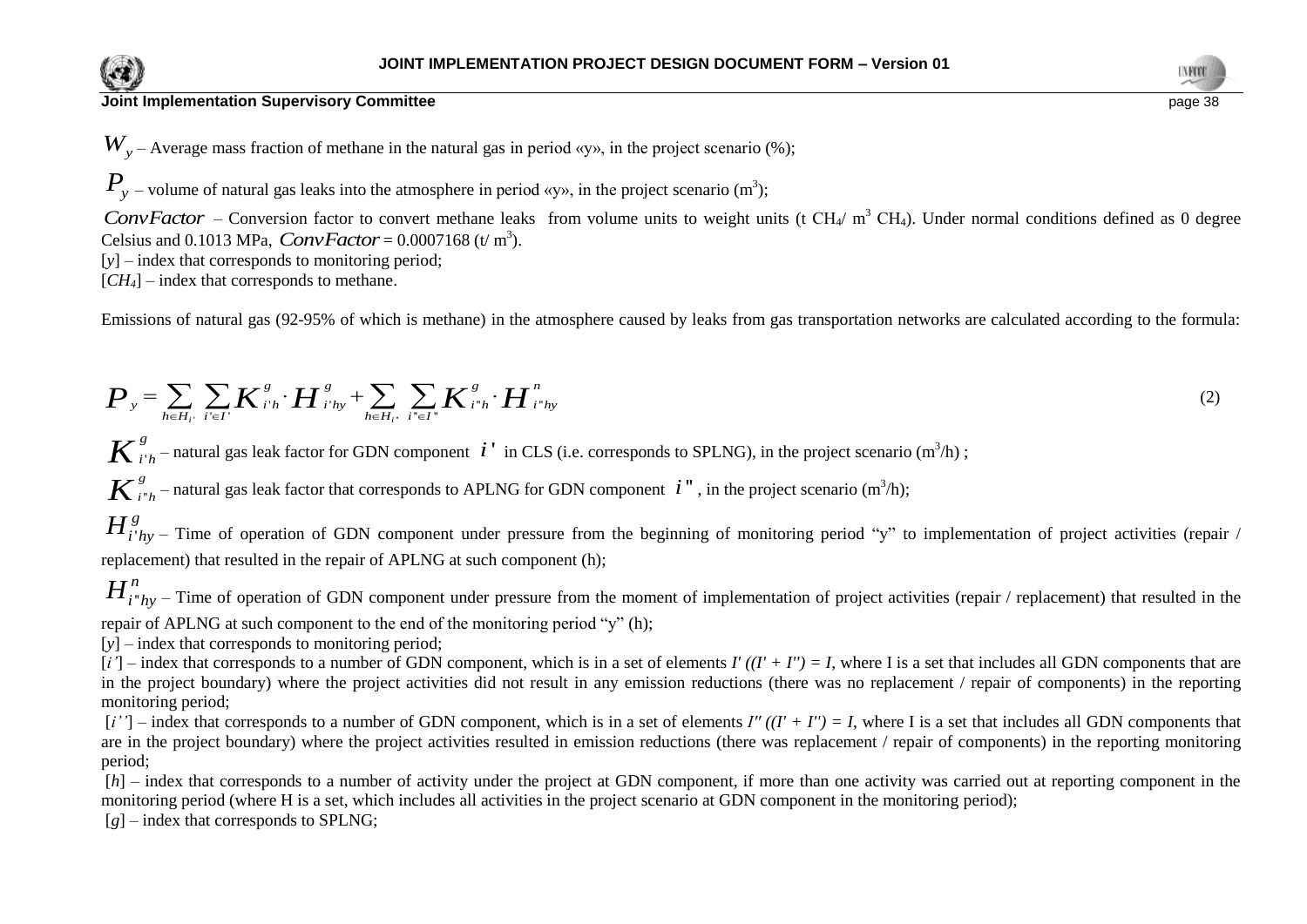



 $W_y$  – Average mass fraction of methane in the natural gas in period «y», in the project scenario (%);

 $P_y$  – volume of natural gas leaks into the atmosphere in period «y», in the project scenario (m<sup>3</sup>);

*ConvFactor* – Conversion factor to convert methane leaks from volume units to weight units (t CH<sub>4</sub>/ m<sup>3</sup> CH<sub>4</sub>). Under normal conditions defined as 0 degree Celsius and 0.1013 MPa,  $ConvFactor = 0.0007168$  (t/m<sup>3</sup>).

[y] – index that corresponds to monitoring period;

 $[CH_4]$  – index that corresponds to methane.

Emissions of natural gas (92-95% of which is methane) in the atmosphere caused by leaks from gas transportation networks are calculated according to the formula:  
\n
$$
\boldsymbol{P}_{y} = \sum_{h \in H_{i}} \sum_{i' \in I'} \boldsymbol{K}_{i'h}^{s} \cdot \boldsymbol{H}_{i'hy}^{s} + \sum_{h \in H_{i'}} \sum_{i'' \in I''} \boldsymbol{K}_{i''h}^{s} \cdot \boldsymbol{H}_{i''hy}^{n}
$$
\n(2)

 $i_h$  – natural gas leak factor for GDN component  $i'$  in CLS (i.e. corresponds to SPLNG), in the project scenario (m<sup>3</sup>/h);  $\boldsymbol{K}^{\,g}_{i'h}$ – natural gas leak factor for GDN component  $\,i$   $^{\prime}$ 

 $K^{g}_{i^*h}$  – natural gas leak factor that corresponds to APLNG for GDN component  $i^"$ , in the project scenario (m<sup>3</sup>/h);

 $v_{hy}$  – Time of operation of GDN component under pressure from the beginning of monitoring period "y" to implementation of project activities (repair / replacement) that resulted in the repair of APLNG at such component (h);  $H^g_{i'hy}$ 

 $H_{i^*h}^n$ 

 $r_{hy}$  – Time of operation of GDN component under pressure from the moment of implementation of project activities (repair / replacement) that resulted in the

repair of APLNG at such component to the end of the monitoring period "y" (h);

[y] – index that corresponds to monitoring period;

 $[i']$  – index that corresponds to a number of GDN component, which is in a set of elements  $I'((I' + I'') = I$ , where I is a set that includes all GDN components that are in the project boundary) where the project activities did not result in any emission reductions (there was no replacement / repair of components) in the reporting monitoring period;

 $[i'']$  – index that corresponds to a number of GDN component, which is in a set of elements *I''*  $((I' + I'') = I$ , where I is a set that includes all GDN components that are in the project boundary) where the project activities resulted in emission reductions (there was replacement / repair of components) in the reporting monitoring period;

[*h*] – index that corresponds to a number of activity under the project at GDN component, if more than one activity was carried out at reporting component in the monitoring period (where H is a set, which includes all activities in the project scenario at GDN component in the monitoring period);

 $[g]$  – index that corresponds to SPLNG;

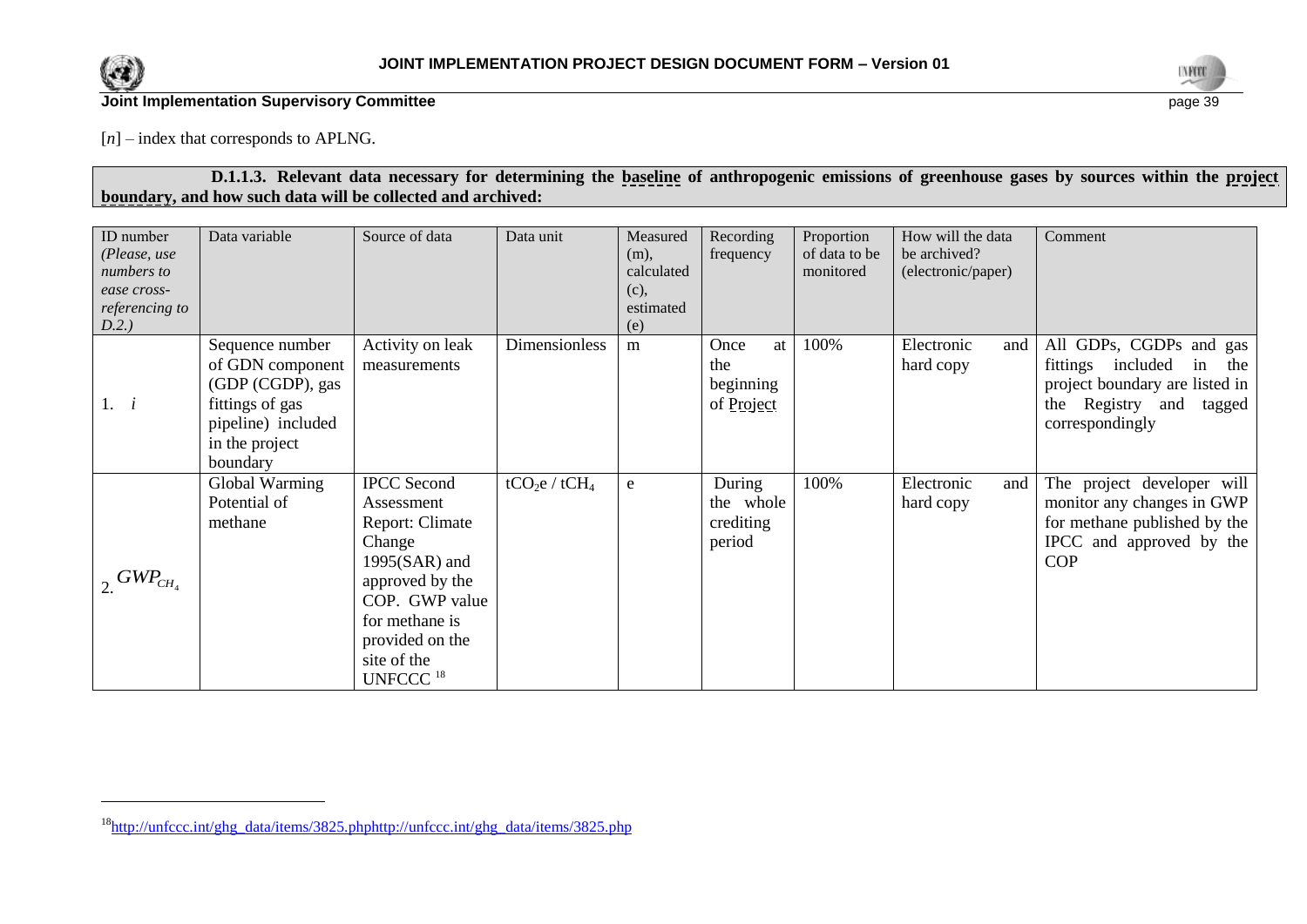

l



## **Joint Implementation Supervisory Committee** page 39

[*n*] – index that corresponds to APLNG.

## **D.1.1.3. Relevant data necessary for determining the baseline of anthropogenic emissions of greenhouse gases by sources within the project boundary, and how such data will be collected and archived:**

| ID number<br>(Please, use<br>numbers to<br>ease cross-<br>referencing to<br>D.2.) | Data variable                                                                                                                  | Source of data                                                                                                                                                                                    | Data unit        | Measured<br>$(m)$ ,<br>calculated<br>(c),<br>estimated<br>(e) | Recording<br>frequency                       | Proportion<br>of data to be<br>monitored | How will the data<br>be archived?<br>(electronic/paper) | Comment                                                                                                                                      |
|-----------------------------------------------------------------------------------|--------------------------------------------------------------------------------------------------------------------------------|---------------------------------------------------------------------------------------------------------------------------------------------------------------------------------------------------|------------------|---------------------------------------------------------------|----------------------------------------------|------------------------------------------|---------------------------------------------------------|----------------------------------------------------------------------------------------------------------------------------------------------|
| 1. i                                                                              | Sequence number<br>of GDN component<br>(GDP (CGDP), gas<br>fittings of gas<br>pipeline) included<br>in the project<br>boundary | Activity on leak<br>measurements                                                                                                                                                                  | Dimensionless    | m                                                             | Once<br>at<br>the<br>beginning<br>of Project | 100%                                     | Electronic<br>and<br>hard copy                          | All GDPs, CGDPs and gas<br>fittings included<br>the<br>in<br>project boundary are listed in<br>the Registry and<br>tagged<br>correspondingly |
| $_{2}$ GWP <sub>CH<sub>4</sub></sub>                                              | Global Warming<br>Potential of<br>methane                                                                                      | <b>IPCC</b> Second<br>Assessment<br>Report: Climate<br>Change<br>$1995(SAR)$ and<br>approved by the<br>COP. GWP value<br>for methane is<br>provided on the<br>site of the<br>UNFCCC <sup>18</sup> | $tCO_2e / tCH_4$ | ${\bf e}$                                                     | During<br>the whole<br>crediting<br>period   | 100%                                     | Electronic<br>and<br>hard copy                          | The project developer will<br>monitor any changes in GWP<br>for methane published by the<br>IPCC and approved by the<br><b>COP</b>           |

<sup>18</sup>[http://unfccc.int/ghg\\_data/items/3825.phphttp://unfccc.int/ghg\\_data/items/3825.php](http://unfccc.int/ghg_data/items/3825.phphttp:/unfccc.int/ghg_data/items/3825.php)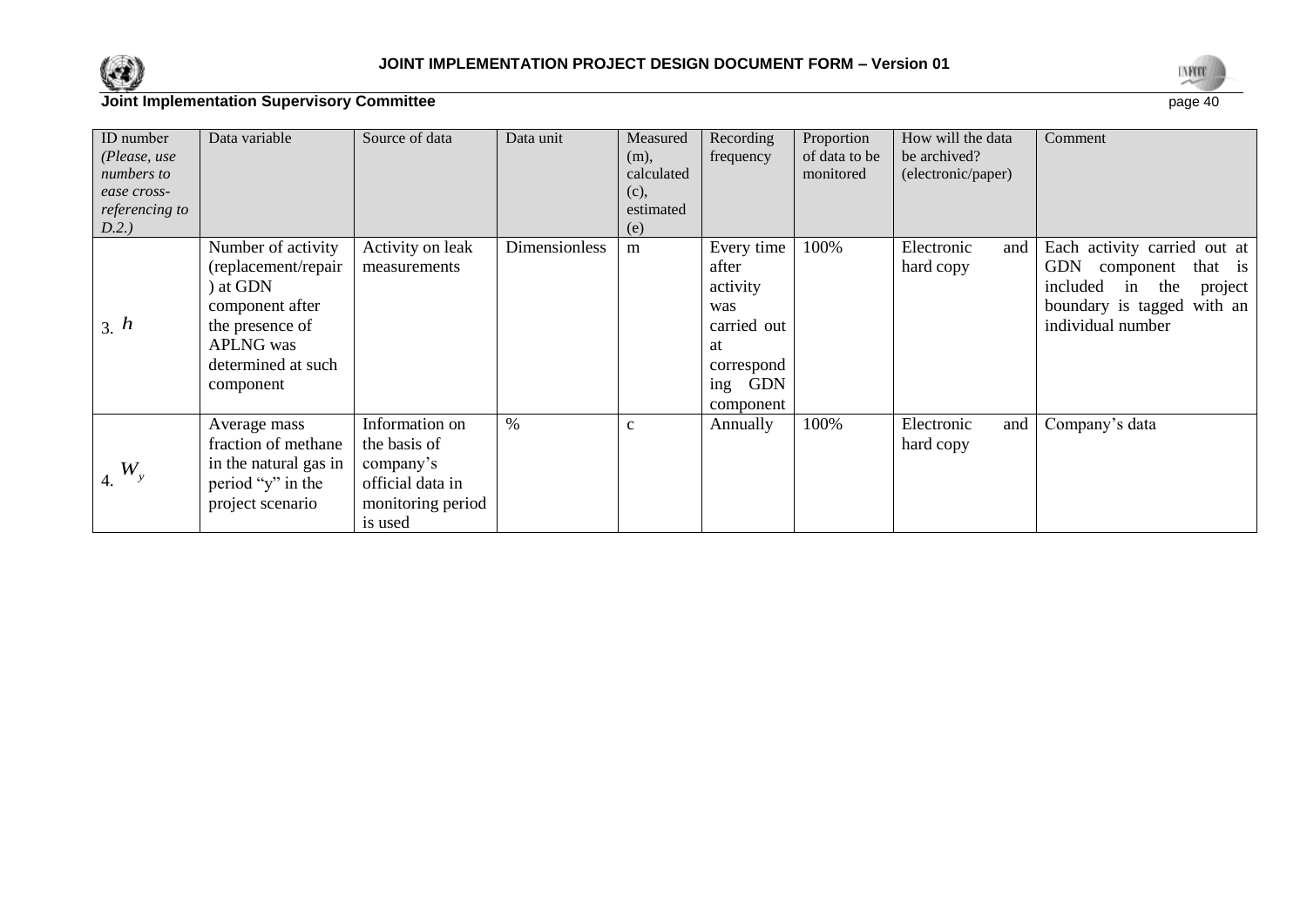



| ID number<br>(Please, use<br>numbers to<br>ease cross-<br>referencing to<br>D.2.) | Data variable                                                                                                                                      | Source of data                                                                                  | Data unit            | Measured<br>(m),<br>calculated<br>(c),<br>estimated<br>(e) | Recording<br>frequency                                                                                      | Proportion<br>of data to be<br>monitored | How will the data<br>be archived?<br>(electronic/paper) | Comment                                                                                                                                                   |
|-----------------------------------------------------------------------------------|----------------------------------------------------------------------------------------------------------------------------------------------------|-------------------------------------------------------------------------------------------------|----------------------|------------------------------------------------------------|-------------------------------------------------------------------------------------------------------------|------------------------------------------|---------------------------------------------------------|-----------------------------------------------------------------------------------------------------------------------------------------------------------|
| 3. h                                                                              | Number of activity<br>(replacement/repair<br>) at GDN<br>component after<br>the presence of<br><b>APLNG</b> was<br>determined at such<br>component | Activity on leak<br>measurements                                                                | <b>Dimensionless</b> | m                                                          | Every time<br>after<br>activity<br>was<br>carried out<br>at<br>correspond<br><b>GDN</b><br>ing<br>component | 100%                                     | Electronic<br>and<br>hard copy                          | Each activity carried out at<br><b>GDN</b><br>that is<br>component<br>included<br>the<br>project<br>in<br>boundary is tagged with an<br>individual number |
| $4. W_y$                                                                          | Average mass<br>fraction of methane<br>in the natural gas in<br>period "y" in the<br>project scenario                                              | Information on<br>the basis of<br>company's<br>official data in<br>monitoring period<br>is used | $\%$                 | $\mathbf{c}$                                               | Annually                                                                                                    | 100%                                     | Electronic<br>and<br>hard copy                          | Company's data                                                                                                                                            |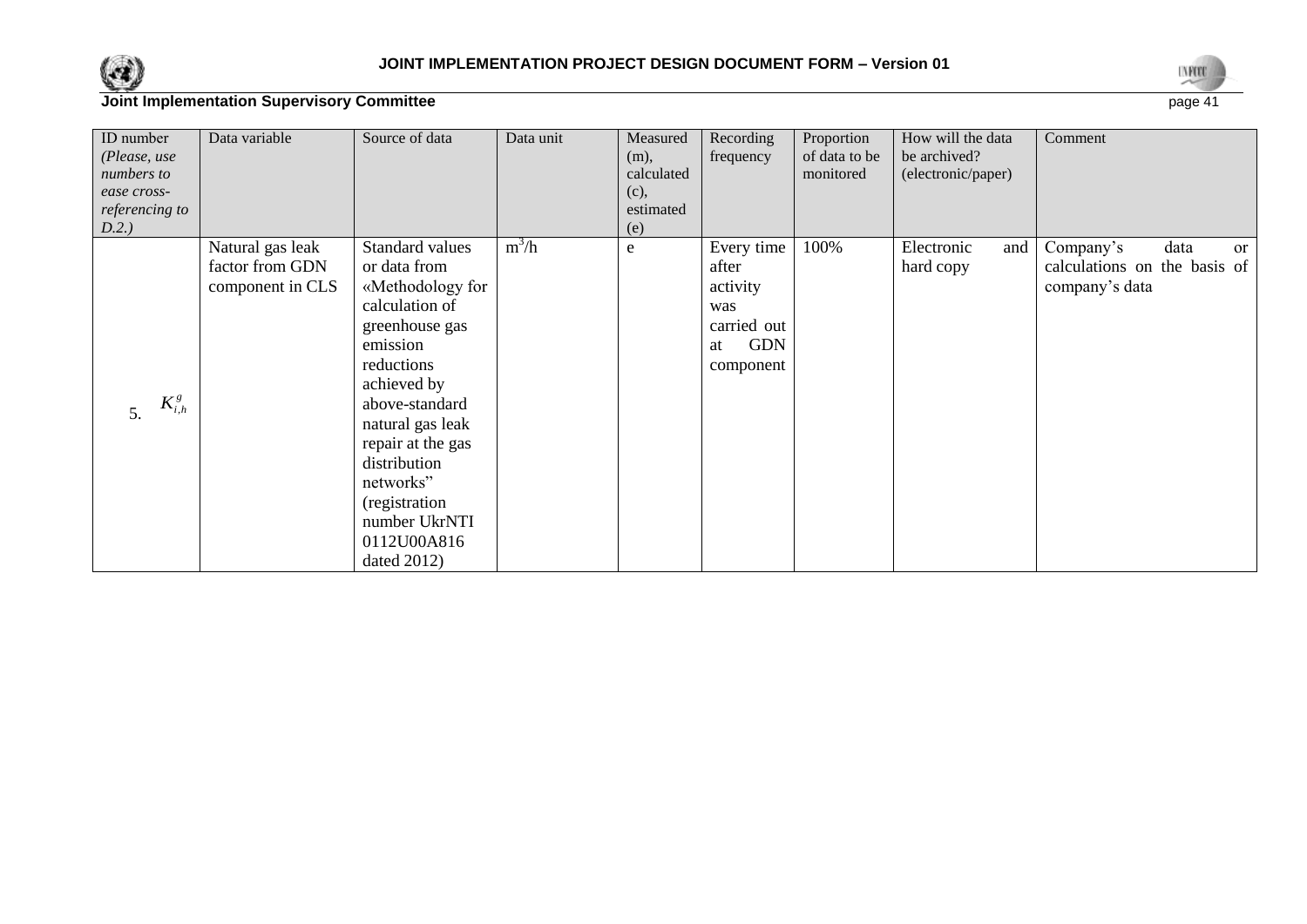



| ID number      | Data variable    | Source of data    | Data unit | Measured   | Recording        | Proportion    | How will the data  | Comment                            |
|----------------|------------------|-------------------|-----------|------------|------------------|---------------|--------------------|------------------------------------|
| (Please, use   |                  |                   |           | $(m)$ ,    | frequency        | of data to be | be archived?       |                                    |
| numbers to     |                  |                   |           | calculated |                  | monitored     | (electronic/paper) |                                    |
| ease cross-    |                  |                   |           | (c),       |                  |               |                    |                                    |
| referencing to |                  |                   |           | estimated  |                  |               |                    |                                    |
| D.2.)          |                  |                   |           | (e)        |                  |               |                    |                                    |
|                | Natural gas leak | Standard values   | $m^3/h$   | e          | Every time       | 100%          | Electronic<br>and  | Company's<br>data<br><sub>or</sub> |
|                | factor from GDN  | or data from      |           |            | after            |               | hard copy          | calculations on the basis of       |
|                | component in CLS | «Methodology for  |           |            | activity         |               |                    | company's data                     |
|                |                  | calculation of    |           |            | was              |               |                    |                                    |
|                |                  | greenhouse gas    |           |            | carried out      |               |                    |                                    |
|                |                  | emission          |           |            | <b>GDN</b><br>at |               |                    |                                    |
|                |                  | reductions        |           |            | component        |               |                    |                                    |
|                |                  | achieved by       |           |            |                  |               |                    |                                    |
| $K_{i,h}^g$    |                  | above-standard    |           |            |                  |               |                    |                                    |
| 5.             |                  | natural gas leak  |           |            |                  |               |                    |                                    |
|                |                  | repair at the gas |           |            |                  |               |                    |                                    |
|                |                  | distribution      |           |            |                  |               |                    |                                    |
|                |                  | networks"         |           |            |                  |               |                    |                                    |
|                |                  | (registration     |           |            |                  |               |                    |                                    |
|                |                  |                   |           |            |                  |               |                    |                                    |
|                |                  | number UkrNTI     |           |            |                  |               |                    |                                    |
|                |                  | 0112U00A816       |           |            |                  |               |                    |                                    |
|                |                  | dated 2012)       |           |            |                  |               |                    |                                    |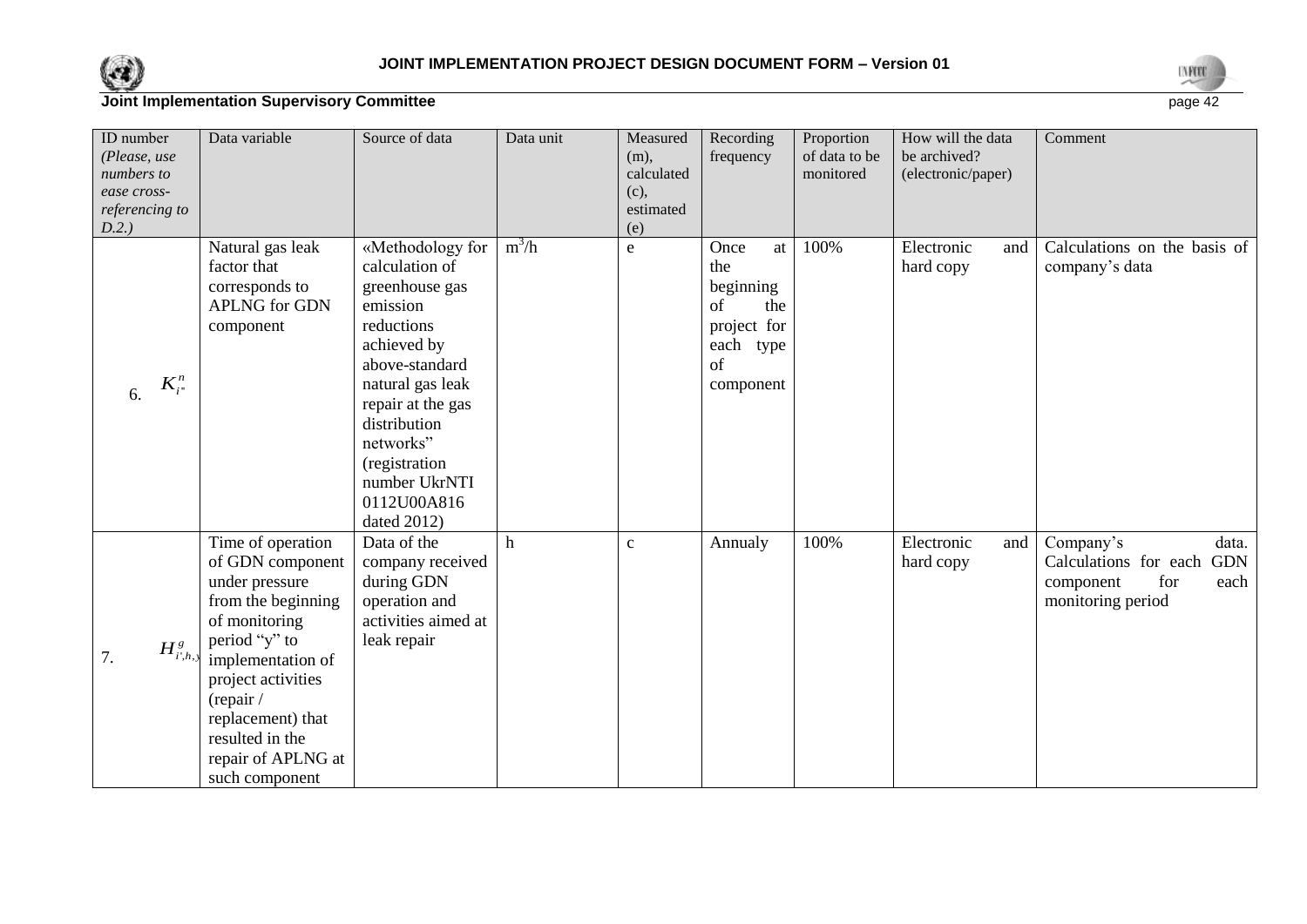



| ID number<br>(Please, use<br>numbers to<br>ease cross-<br>referencing to<br>D.2.) | Data variable                                                                                                                                                                                                                                           | Source of data                                                                                                                                                                                                                                        | Data unit | Measured<br>$(m)$ ,<br>calculated<br>(c),<br>estimated<br>(e) | Recording<br>frequency                                                                     | Proportion<br>of data to be<br>monitored | How will the data<br>be archived?<br>(electronic/paper) | Comment                                                                                                    |
|-----------------------------------------------------------------------------------|---------------------------------------------------------------------------------------------------------------------------------------------------------------------------------------------------------------------------------------------------------|-------------------------------------------------------------------------------------------------------------------------------------------------------------------------------------------------------------------------------------------------------|-----------|---------------------------------------------------------------|--------------------------------------------------------------------------------------------|------------------------------------------|---------------------------------------------------------|------------------------------------------------------------------------------------------------------------|
| $K_{i}^{n}$<br>6.                                                                 | Natural gas leak<br>factor that<br>corresponds to<br><b>APLNG</b> for GDN<br>component                                                                                                                                                                  | «Methodology for<br>calculation of<br>greenhouse gas<br>emission<br>reductions<br>achieved by<br>above-standard<br>natural gas leak<br>repair at the gas<br>distribution<br>networks"<br>(registration<br>number UkrNTI<br>0112U00A816<br>dated 2012) | $m^3/h$   | $\mathbf e$                                                   | Once<br>at<br>the<br>beginning<br>of<br>the<br>project for<br>each type<br>of<br>component | 100%                                     | Electronic<br>and<br>hard copy                          | Calculations on the basis of<br>company's data                                                             |
| $H^s_{i,k}$<br>7.                                                                 | Time of operation<br>of GDN component<br>under pressure<br>from the beginning<br>of monitoring<br>period "y" to<br>implementation of<br>project activities<br>(repair /<br>replacement) that<br>resulted in the<br>repair of APLNG at<br>such component | Data of the<br>company received<br>during GDN<br>operation and<br>activities aimed at<br>leak repair                                                                                                                                                  | h         | $\mathbf c$                                                   | Annualy                                                                                    | 100%                                     | Electronic<br>and<br>hard copy                          | data.<br>Company's<br>Calculations for each<br><b>GDN</b><br>component<br>for<br>each<br>monitoring period |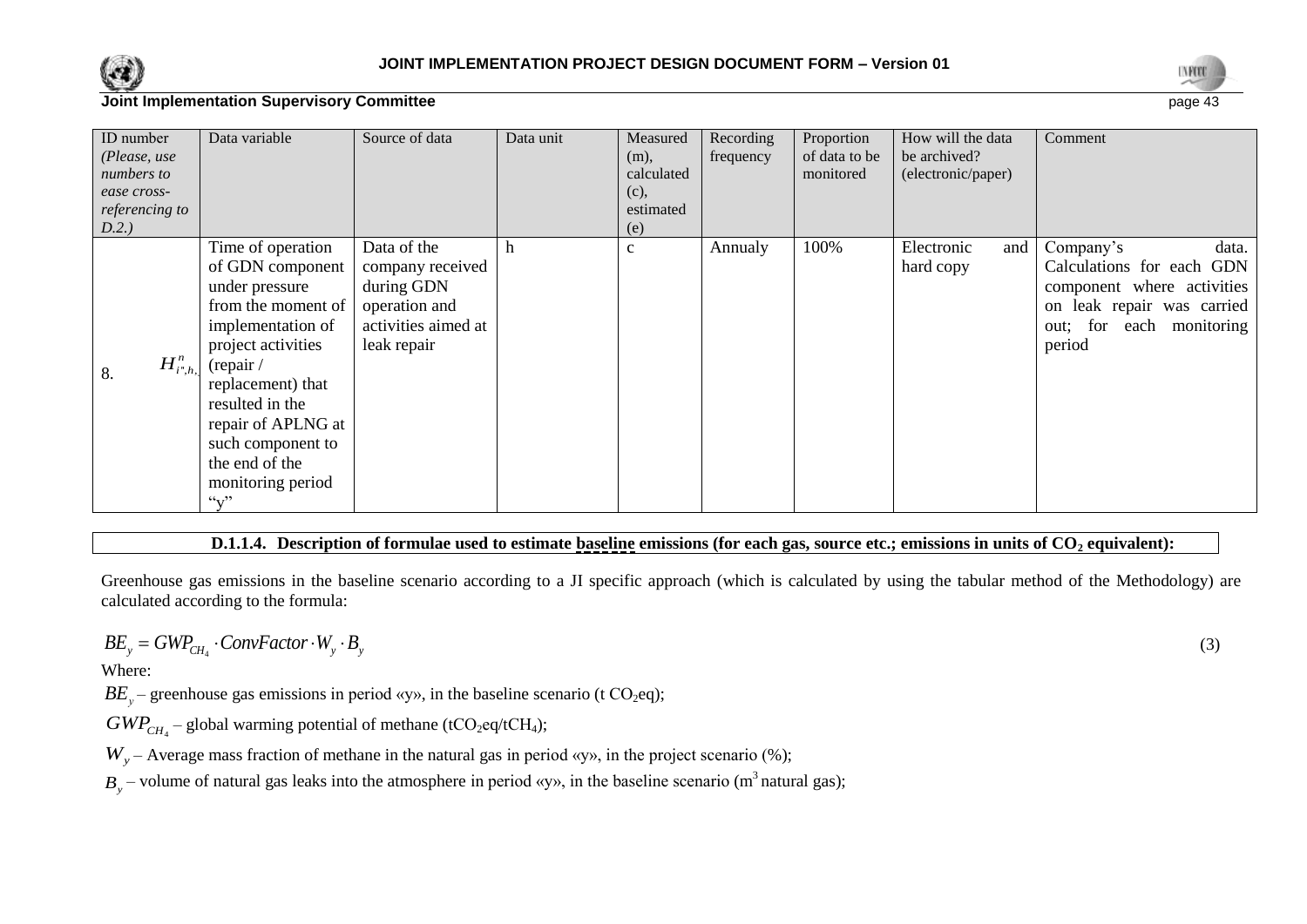



| ID number<br>(Please, use<br>numbers to<br>ease cross-<br>referencing to<br>D.2.) | Data variable                                                                                                                                                                                                                                                                                 | Source of data                                                                                       | Data unit | Measured<br>(m),<br>calculated<br>(c),<br>estimated<br>(e) | Recording<br>frequency | Proportion<br>of data to be<br>monitored | How will the data<br>be archived?<br>(electronic/paper) | Comment                                                                                                                                           |
|-----------------------------------------------------------------------------------|-----------------------------------------------------------------------------------------------------------------------------------------------------------------------------------------------------------------------------------------------------------------------------------------------|------------------------------------------------------------------------------------------------------|-----------|------------------------------------------------------------|------------------------|------------------------------------------|---------------------------------------------------------|---------------------------------------------------------------------------------------------------------------------------------------------------|
| $H^n_{i^*,h, h}$<br>8.                                                            | Time of operation<br>of GDN component<br>under pressure<br>from the moment of<br>implementation of<br>project activities<br>(repair /<br>replacement) that<br>resulted in the<br>repair of APLNG at<br>such component to<br>the end of the<br>monitoring period<br>$\mathcal{L}_{\mathbf{V}}$ | Data of the<br>company received<br>during GDN<br>operation and<br>activities aimed at<br>leak repair | h         | $\mathbf{C}$                                               | Annualy                | 100%                                     | Electronic<br>and<br>hard copy                          | Company's<br>data.<br>Calculations for each GDN<br>component where activities<br>on leak repair was carried<br>out; for each monitoring<br>period |

#### **D.1.1.4. Description of formulae used to estimate baseline emissions (for each gas, source etc.; emissions in units of CO<sup>2</sup> equivalent):**

Greenhouse gas emissions in the baseline scenario according to a JI specific approach (which is calculated by using the tabular method of the Methodology) are calculated according to the formula:

$$
BE_{y} = GWP_{CH_{4}} \cdot ConvFactor \cdot W_{y} \cdot B_{y}
$$

Where:

 $BE_y$  – greenhouse gas emissions in period «y», in the baseline scenario (t CO<sub>2</sub>eq);

 $GWP_{CH_4}$  – global warming potential of methane (tCO<sub>2</sub>eq/tCH<sub>4</sub>);

 $W_y$  – Average mass fraction of methane in the natural gas in period «y», in the project scenario (%);

 $B_y$  – volume of natural gas leaks into the atmosphere in period «y», in the baseline scenario (m<sup>3</sup> natural gas);

(3)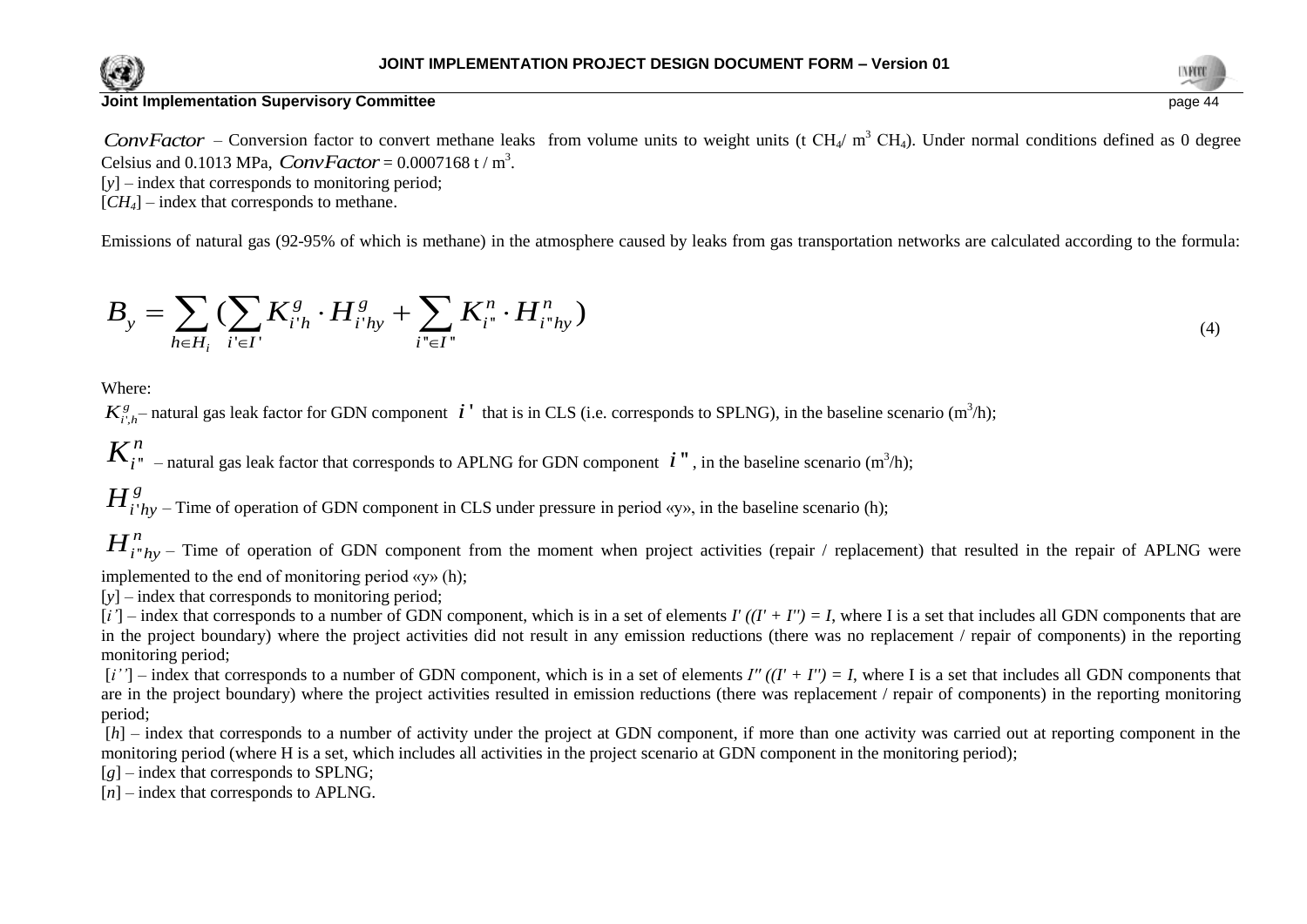



ConvFactor – Conversion factor to convert methane leaks from volume units to weight units (t CH<sub>4</sub>/ m<sup>3</sup> CH<sub>4</sub>). Under normal conditions defined as 0 degree Celsius and 0.1013 MPa,  $ConvFactor = 0.0007168 \text{ t/m}^3$ .

[y] – index that corresponds to monitoring period;

 $[CH_4]$  – index that corresponds to methane.

Emissions of natural gas (92-95% of which is methane) in the atmosphere caused by leaks from gas transportation networks are calculated according to the formula:  
\n
$$
B_{y} = \sum_{h \in H_{i}} \left( \sum_{i' \in I'} K_{i'h}^{g} \cdot H_{i'hy}^{g} + \sum_{i'' \in I''} K_{i''}^{n} \cdot H_{i''hy}^{n} \right)
$$
\n(4)

Where:

 $K_{i',h}^g$  natural gas leak factor for GDN component  $i'$  that is in CLS (i.e. corresponds to SPLNG), in the baseline scenario (m<sup>3</sup>/h);

 $K^n_{i}$  – natural gas leak factor that corresponds to APLNG for GDN component  $i$ ", in the baseline scenario (m<sup>3</sup>/h);

'  $H_{i'hy}^g$  – Time of operation of GDN component in CLS under pressure in period «y», in the baseline scenario (h);

''  $H^n_{i^n}$  – Time of operation of GDN component from the moment when project activities (repair / replacement) that resulted in the repair of APLNG were implemented to the end of monitoring period «у» (h);

[*y*] – index that corresponds to monitoring period;

 $[i']$  – index that corresponds to a number of GDN component, which is in a set of elements  $I'((I' + I'') = I$ , where I is a set that includes all GDN components that are in the project boundary) where the project activities did not result in any emission reductions (there was no replacement / repair of components) in the reporting monitoring period;

 $[i'']$  – index that corresponds to a number of GDN component, which is in a set of elements *I''*  $((I' + I'') = I$ , where I is a set that includes all GDN components that are in the project boundary) where the project activities resulted in emission reductions (there was replacement / repair of components) in the reporting monitoring period;

[*h*] – index that corresponds to a number of activity under the project at GDN component, if more than one activity was carried out at reporting component in the monitoring period (where H is a set, which includes all activities in the project scenario at GDN component in the monitoring period);

[*g*] – index that corresponds to SPLNG;

[*n*] – index that corresponds to APLNG.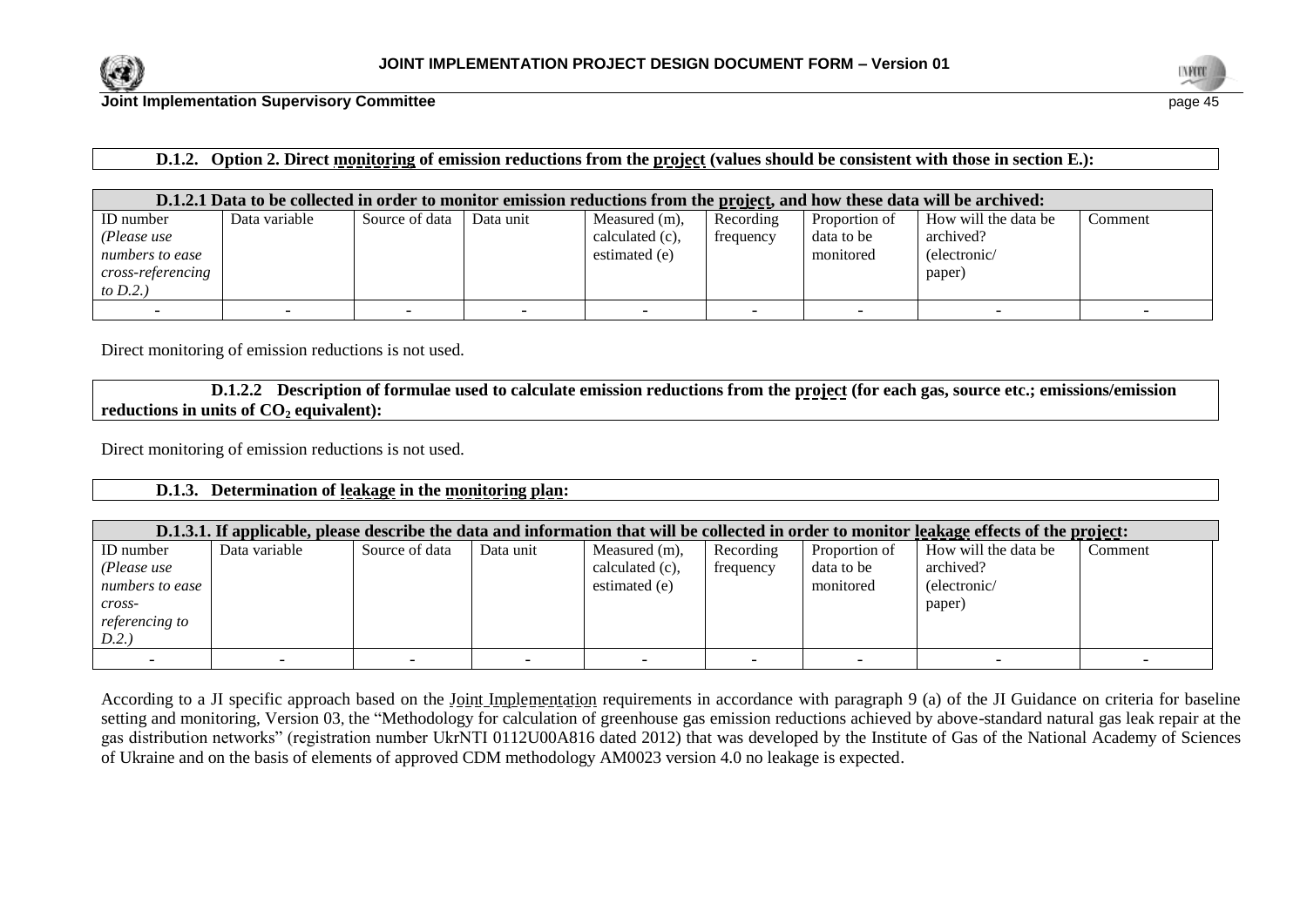



## **D.1.2. Option 2. Direct monitoring of emission reductions from the project (values should be consistent with those in section E.):**

|                          | D.1.2.1 Data to be collected in order to monitor emission reductions from the project, and how these data will be archived: |                |           |                    |           |               |                      |         |  |  |
|--------------------------|-----------------------------------------------------------------------------------------------------------------------------|----------------|-----------|--------------------|-----------|---------------|----------------------|---------|--|--|
| ID number                | Data variable                                                                                                               | Source of data | Data unit | Measured (m),      | Recording | Proportion of | How will the data be | Comment |  |  |
| (Please use              |                                                                                                                             |                |           | calculated $(c)$ , | frequency | data to be    | archived?            |         |  |  |
| numbers to ease          |                                                                                                                             |                |           | estimated (e)      |           | monitored     | (electronic/         |         |  |  |
| <i>cross-referencing</i> |                                                                                                                             |                |           |                    |           |               | paper)               |         |  |  |
| to $D.2.$ )              |                                                                                                                             |                |           |                    |           |               |                      |         |  |  |
|                          |                                                                                                                             |                |           |                    |           |               |                      |         |  |  |

Direct monitoring of emission reductions is not used.

**D.1.2.2 Description of formulae used to calculate emission reductions from the project (for each gas, source etc.; emissions/emission reductions in units of CO<sup>2</sup> equivalent):**

Direct monitoring of emission reductions is not used.

#### **D.1.3. Determination of leakage in the monitoring plan:**

|                       | D.1.3.1. If applicable, please describe the data and information that will be collected in order to monitor leakage effects of the project: |                |           |                  |           |               |                      |         |  |  |  |
|-----------------------|---------------------------------------------------------------------------------------------------------------------------------------------|----------------|-----------|------------------|-----------|---------------|----------------------|---------|--|--|--|
| ID number             | Data variable                                                                                                                               | Source of data | Data unit | Measured $(m)$ , | Recording | Proportion of | How will the data be | Comment |  |  |  |
| (Please use           |                                                                                                                                             |                |           | calculated (c),  | frequency | data to be    | archived?            |         |  |  |  |
| numbers to ease       |                                                                                                                                             |                |           | estimated (e)    |           | monitored     | (electronic/         |         |  |  |  |
| $\mathit{cross}$ -    |                                                                                                                                             |                |           |                  |           |               | paper)               |         |  |  |  |
| <i>referencing to</i> |                                                                                                                                             |                |           |                  |           |               |                      |         |  |  |  |
| D.2.                  |                                                                                                                                             |                |           |                  |           |               |                      |         |  |  |  |
|                       |                                                                                                                                             |                |           |                  |           |               |                      |         |  |  |  |

According to a JI specific approach based on the Joint Implementation requirements in accordance with paragraph 9 (a) of the JI Guidance on criteria for baseline setting and monitoring, Version 03, the "Methodology for calculation of greenhouse gas emission reductions achieved by above-standard natural gas leak repair at the gas distribution networks" (registration number UkrNTI 0112U00A816 dated 2012) that was developed by the Institute of Gas of the National Academy of Sciences of Ukraine and on the basis of elements of approved CDM methodology AM0023 version 4.0 no leakage is expected.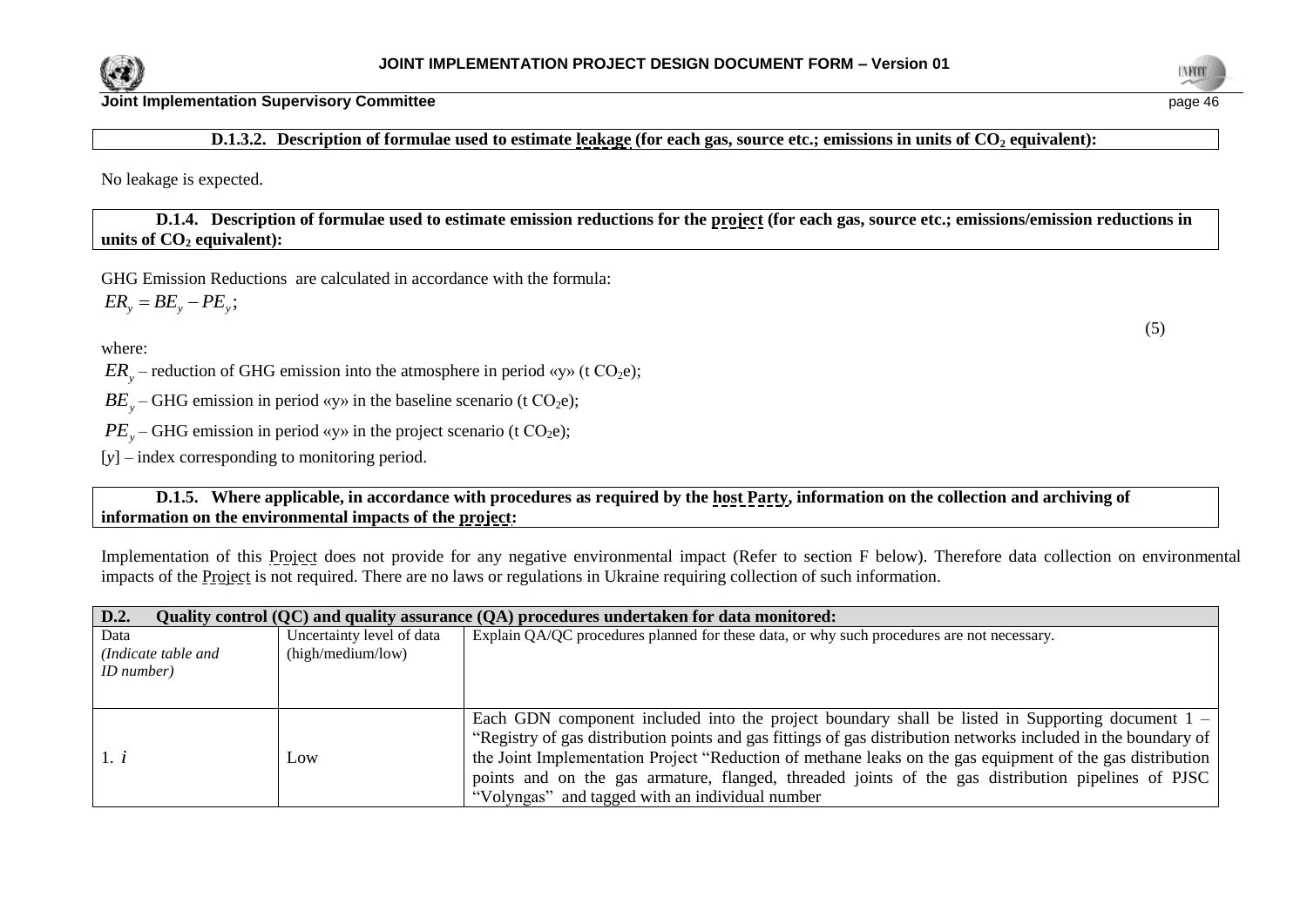



**D.1.3.2. Description of formulae used to estimate leakage (for each gas, source etc.; emissions in units of CO<sup>2</sup> equivalent):**

No leakage is expected.

**D.1.4. Description of formulae used to estimate emission reductions for the project (for each gas, source etc.; emissions/emission reductions in units of CO**<sup>2</sup> **equivalent**):

GHG Emission Reductions are calculated in accordance with the formula:  $ER_{y} = BE_{y} - PE_{y}$ ;

where:

 $ER_y$  – reduction of GHG emission into the atmosphere in period «y» (t CO<sub>2</sub>e);

 $BE_y$  – GHG emission in period «y» in the baseline scenario (t CO<sub>2</sub>e);

 $PE<sub>y</sub>$  – GHG emission in period «y» in the project scenario (t CO<sub>2</sub>e);

[*y*] – index corresponding to monitoring period.

**D.1.5. Where applicable, in accordance with procedures as required by the host Party, information on the collection and archiving of information on the environmental impacts of the project:**

Implementation of this Project does not provide for any negative environmental impact (Refer to section F below). Therefore data collection on environmental impacts of the Project is not required. There are no laws or regulations in Ukraine requiring collection of such information.

| D.2.                |                           | Quality control (QC) and quality assurance (QA) procedures undertaken for data monitored:                      |
|---------------------|---------------------------|----------------------------------------------------------------------------------------------------------------|
| Data                | Uncertainty level of data | Explain QA/QC procedures planned for these data, or why such procedures are not necessary.                     |
| (Indicate table and | (high/medium/low)         |                                                                                                                |
| <i>ID</i> number)   |                           |                                                                                                                |
|                     |                           |                                                                                                                |
|                     |                           | Each GDN component included into the project boundary shall be listed in Supporting document $1 -$             |
|                     |                           | "Registry of gas distribution points and gas fittings of gas distribution networks included in the boundary of |
| 1. i                | Low                       | the Joint Implementation Project "Reduction of methane leaks on the gas equipment of the gas distribution      |
|                     |                           | points and on the gas armature, flanged, threaded joints of the gas distribution pipelines of PJSC             |
|                     |                           | "Volyngas" and tagged with an individual number                                                                |

(5)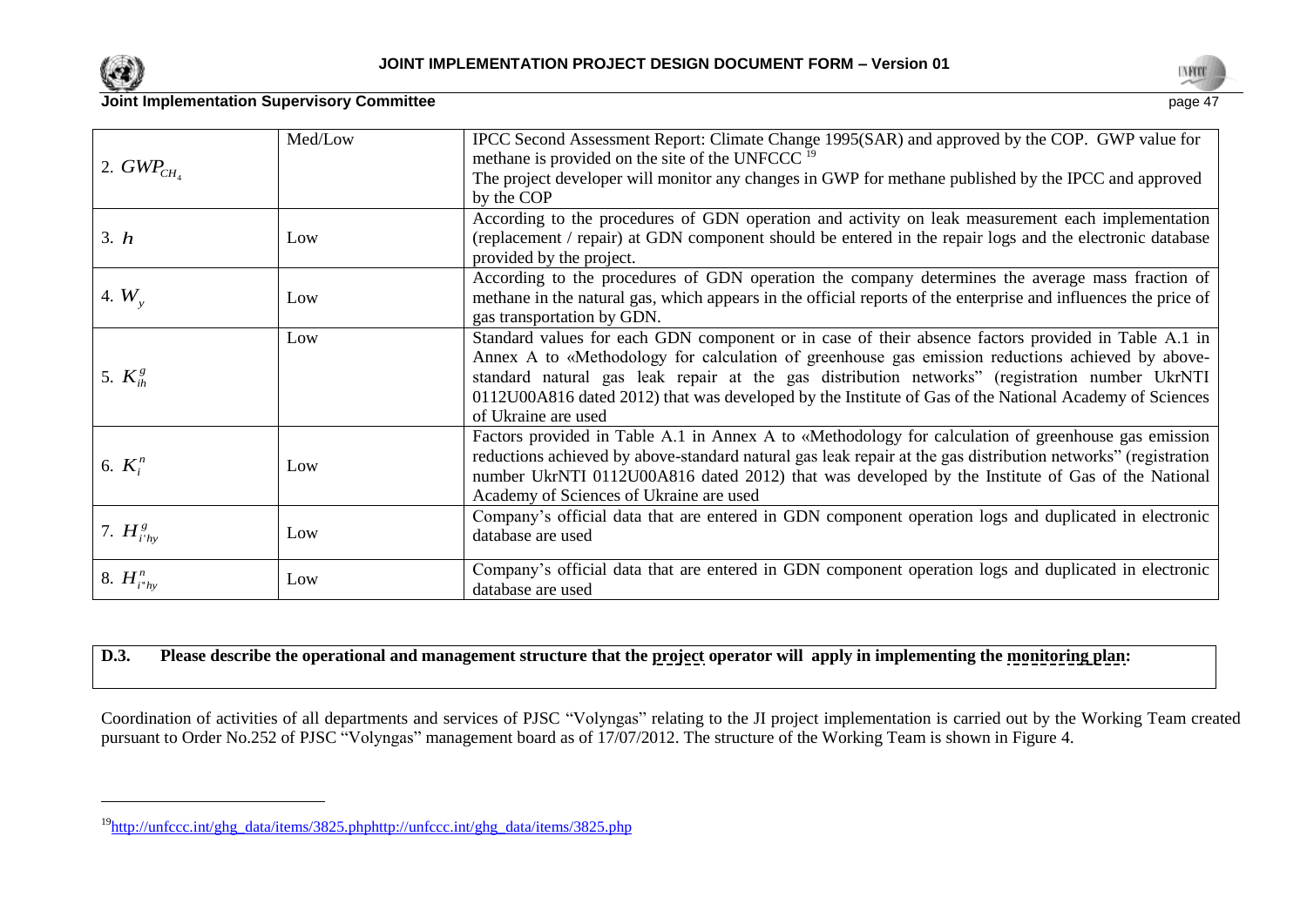

l



## **Joint Implementation Supervisory Committee** page 47

|                    | Med/Low | IPCC Second Assessment Report: Climate Change 1995(SAR) and approved by the COP. GWP value for                  |
|--------------------|---------|-----------------------------------------------------------------------------------------------------------------|
| 2. $GWP_{CH_4}$    |         | methane is provided on the site of the UNFCCC <sup>19</sup>                                                     |
|                    |         | The project developer will monitor any changes in GWP for methane published by the IPCC and approved            |
|                    |         | by the COP                                                                                                      |
|                    |         | According to the procedures of GDN operation and activity on leak measurement each implementation               |
| 3. h               | Low     | (replacement / repair) at GDN component should be entered in the repair logs and the electronic database        |
|                    |         | provided by the project.                                                                                        |
|                    |         | According to the procedures of GDN operation the company determines the average mass fraction of                |
| 4. $W_{v}$         | Low     | methane in the natural gas, which appears in the official reports of the enterprise and influences the price of |
|                    |         | gas transportation by GDN.                                                                                      |
|                    | Low     | Standard values for each GDN component or in case of their absence factors provided in Table A.1 in             |
|                    |         | Annex A to «Methodology for calculation of greenhouse gas emission reductions achieved by above-                |
| 5. $K_{ih}^g$      |         | standard natural gas leak repair at the gas distribution networks" (registration number UkrNTI                  |
|                    |         | 0112U00A816 dated 2012) that was developed by the Institute of Gas of the National Academy of Sciences          |
|                    |         | of Ukraine are used                                                                                             |
|                    |         | Factors provided in Table A.1 in Annex A to «Methodology for calculation of greenhouse gas emission             |
| 6. $K_i^n$         | Low     | reductions achieved by above-standard natural gas leak repair at the gas distribution networks" (registration   |
|                    |         | number UkrNTI 0112U00A816 dated 2012) that was developed by the Institute of Gas of the National                |
|                    |         | Academy of Sciences of Ukraine are used                                                                         |
|                    |         | Company's official data that are entered in GDN component operation logs and duplicated in electronic           |
| 7. $H_{i'hy}^g$    | Low     | database are used                                                                                               |
|                    |         | Company's official data that are entered in GDN component operation logs and duplicated in electronic           |
| 8. $H_{i^*h\nu}^n$ | Low     | database are used                                                                                               |

## **D.3. Please describe the operational and management structure that the project operator will apply in implementing the monitoring plan:**

Coordination of activities of all departments and services of PJSC "Volyngas" relating to the JI project implementation is carried out by the Working Team created pursuant to Order No.252 of PJSC "Volyngas" management board as of 17/07/2012. The structure of the Working Team is shown in Figure 4.

<sup>19</sup>[http://unfccc.int/ghg\\_data/items/3825.phphttp://unfccc.int/ghg\\_data/items/3825.php](http://unfccc.int/ghg_data/items/3825.phphttp:/unfccc.int/ghg_data/items/3825.php)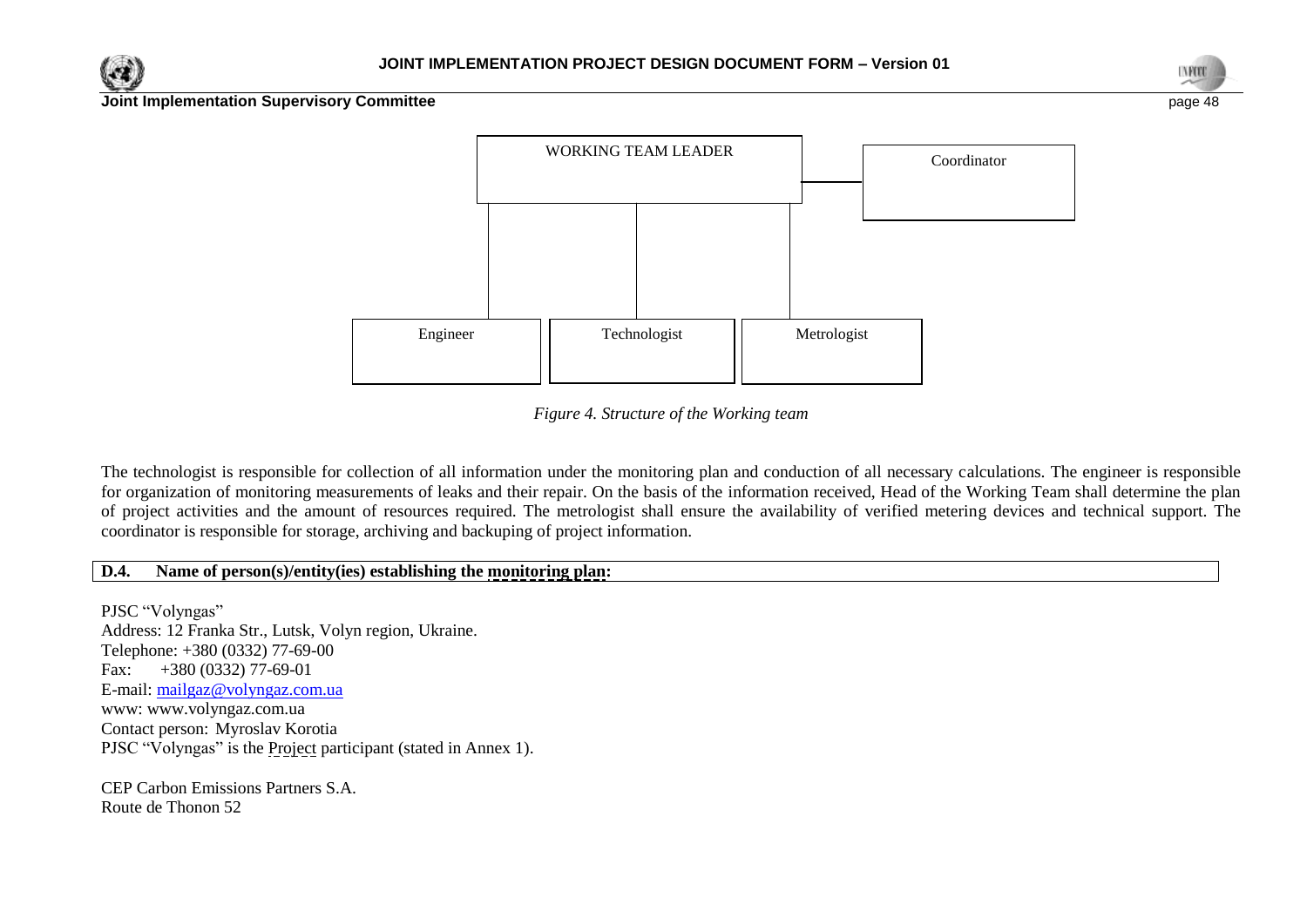





*Figure 4. Structure of the Working team*

The technologist is responsible for collection of all information under the monitoring plan and conduction of all necessary calculations. The engineer is responsible for organization of monitoring measurements of leaks and their repair. On the basis of the information received, Head of the Working Team shall determine the plan of project activities and the amount of resources required. The metrologist shall ensure the availability of verified metering devices and technical support. The coordinator is responsible for storage, archiving and backuping of project information.

## **D.4. Name of person(s)/entity(ies) establishing the monitoring plan:**

PJSC "Volyngas" Address: 12 Franka Str., Lutsk, Volyn region, Ukraine. Telephone: +380 (0332) 77-69-00 Fax: +380 (0332) 77-69-01 E-mail: [mailgaz@volyngaz.com.ua](mailto:mailgaz@volyngaz.com.ua) www: www.volyngaz.com.ua Contact person: Myroslav Korotia PJSC "Volyngas" is the Project participant (stated in Annex 1).

CEP Carbon Emissions Partners S.A. Route de Thonon 52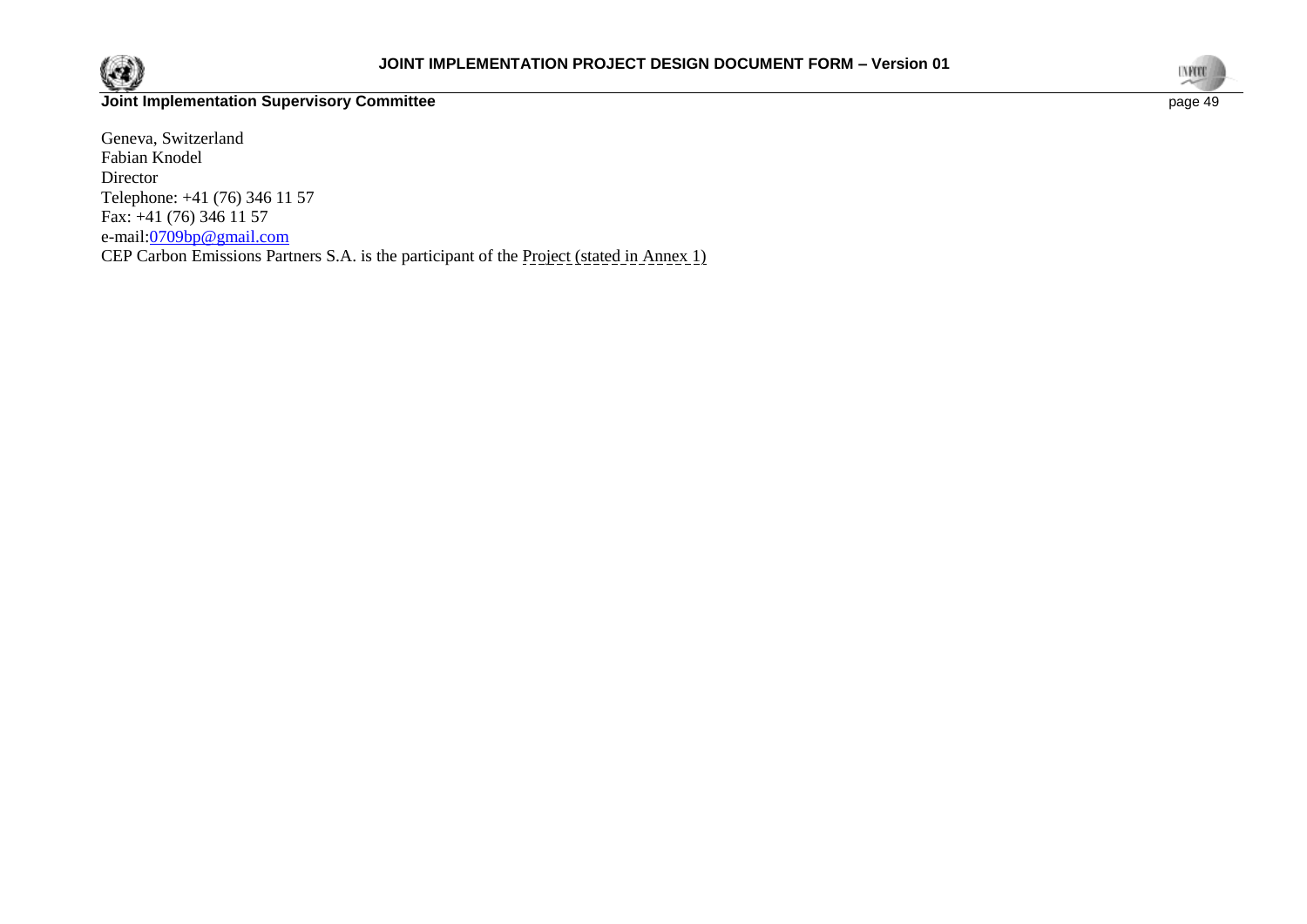

Geneva, Switzerland Fabian Knodel Director Telephone: +41 (76) 346 11 57 Fax:  $+41$  (76) 346 11 57 e-mail:<u>0709bp@gmail.com</u> CEP Carbon Emissions Partners S.A. is the participant of the Project (stated in Annex 1)

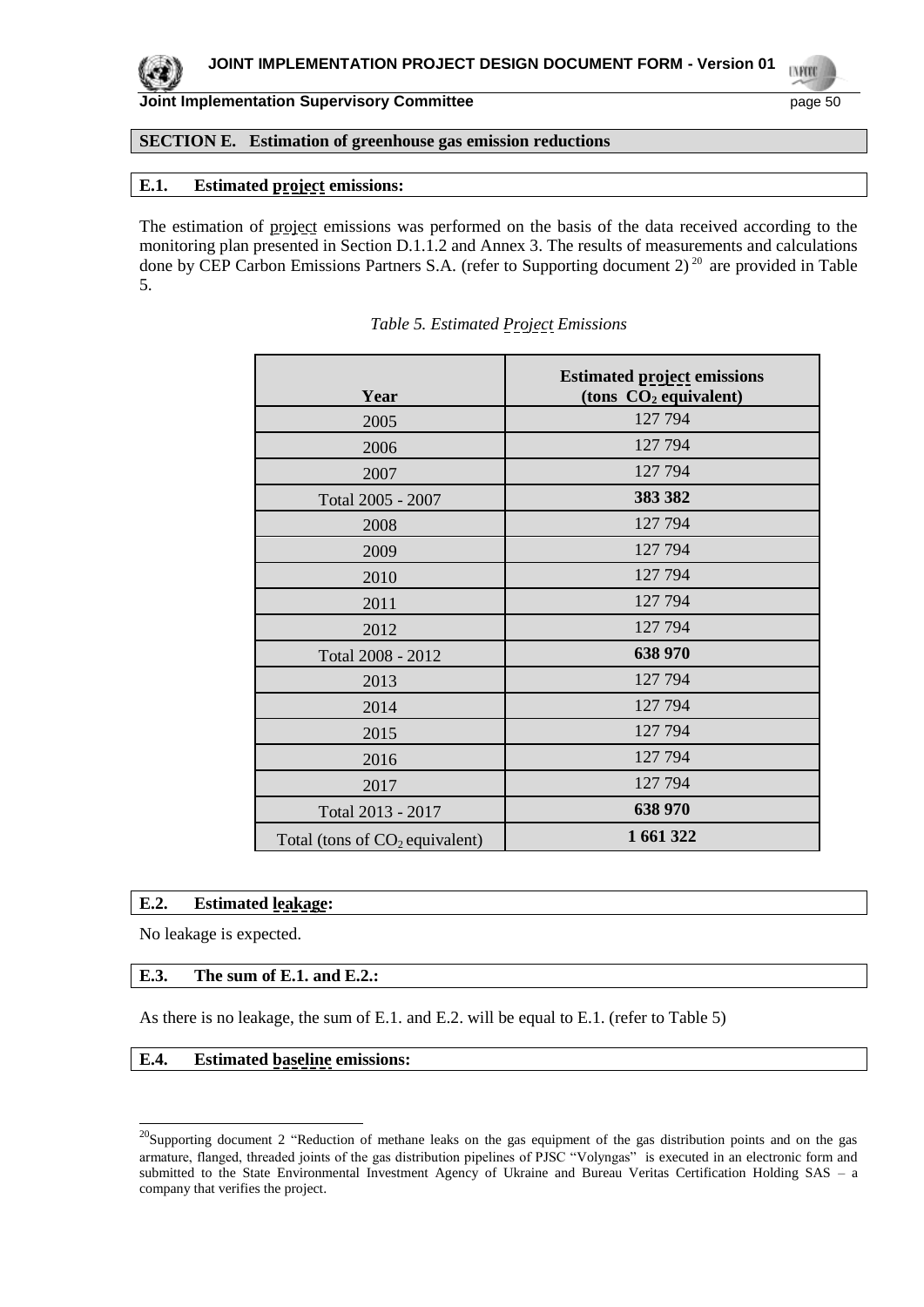

**UNFOR** 

#### **SECTION E. Estimation of greenhouse gas emission reductions**

#### **E.1. Estimated project emissions:**

The estimation of project emissions was performed on the basis of the data received according to the monitoring plan presented in Section D.1.1.2 and Annex 3. The results of measurements and calculations done by CEP Carbon Emissions Partners S.A. (refer to Supporting document 2)<sup>20</sup> are provided in Table 5.

| Year                             | <b>Estimated project emissions</b><br>(tons $CO2$ equivalent) |
|----------------------------------|---------------------------------------------------------------|
| 2005                             | 127 794                                                       |
| 2006                             | 127 794                                                       |
| 2007                             | 127 794                                                       |
| Total 2005 - 2007                | 383 382                                                       |
| 2008                             | 127 794                                                       |
| 2009                             | 127 794                                                       |
| 2010                             | 127 794                                                       |
| 2011                             | 127 794                                                       |
| 2012                             | 127 794                                                       |
| Total 2008 - 2012                | 638 970                                                       |
| 2013                             | 127 794                                                       |
| 2014                             | 127 794                                                       |
| 2015                             | 127 794                                                       |
| 2016                             | 127 794                                                       |
| 2017                             | 127 794                                                       |
| Total 2013 - 2017                | 638 970                                                       |
| Total (tons of $CO2$ equivalent) | 1 661 322                                                     |

#### *Table 5. Estimated Project Emissions*

## **E.2. Estimated leakage:**

No leakage is expected.

l

#### **E.3. The sum of E.1. and E.2.:**

As there is no leakage, the sum of E.1. and E.2. will be equal to E.1. (refer to Table 5)

#### **E.4. Estimated baseline emissions:**

<sup>&</sup>lt;sup>20</sup>Supporting document 2 "Reduction of methane leaks on the gas equipment of the gas distribution points and on the gas armature, flanged, threaded joints of the gas distribution pipelines of PJSC "Volyngas" is executed in an electronic form and submitted to the State Environmental Investment Agency of Ukraine and Bureau Veritas Certification Holding SAS – a company that verifies the project.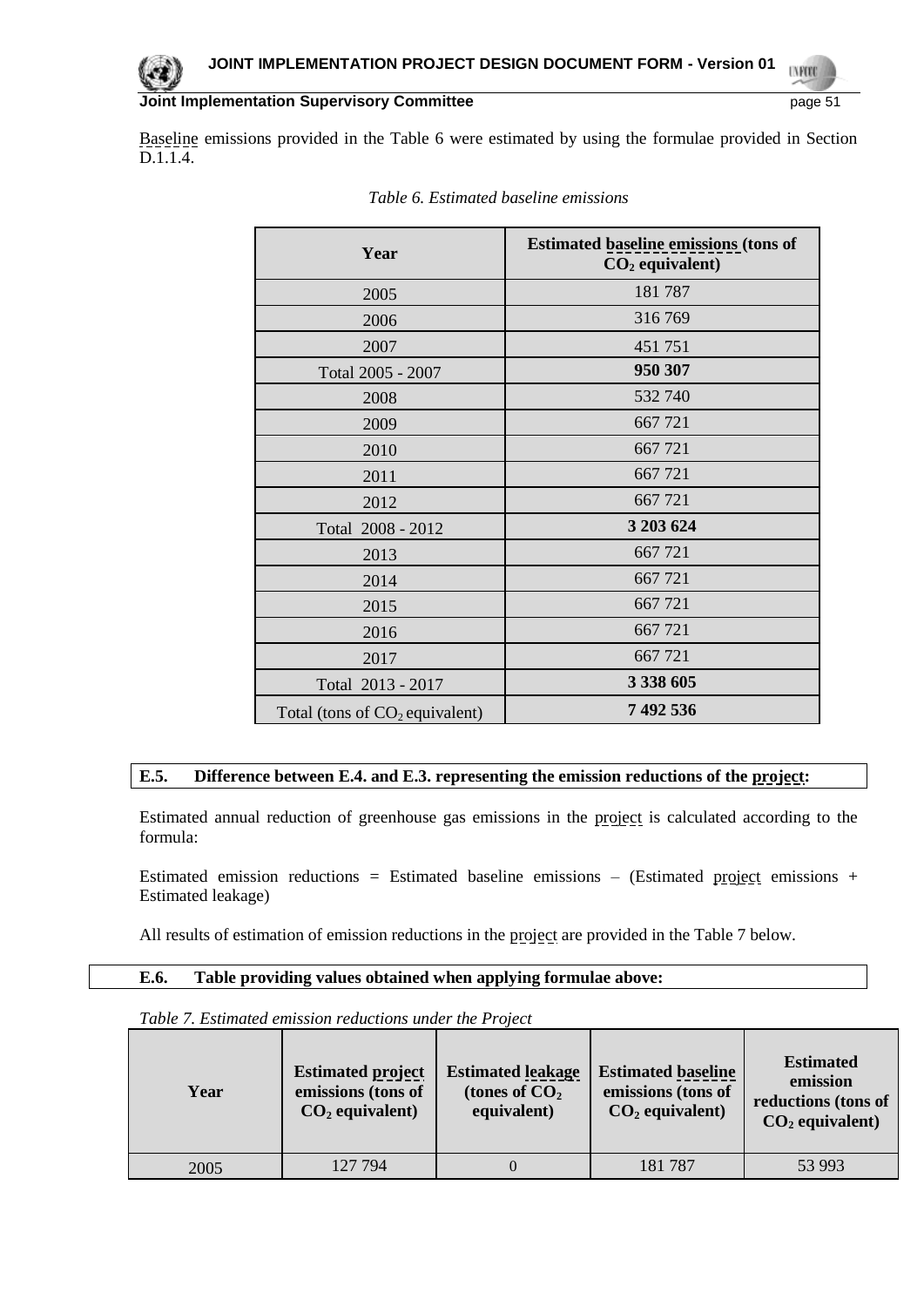Baseline emissions provided in the Table 6 were estimated by using the formulae provided in Section D.1.1.4.

| Year                             | <b>Estimated baseline emissions (tons of</b><br>$CO2$ equivalent) |
|----------------------------------|-------------------------------------------------------------------|
| 2005                             | 181787                                                            |
| 2006                             | 316769                                                            |
| 2007                             | 451 751                                                           |
| Total 2005 - 2007                | 950 307                                                           |
| 2008                             | 532 740                                                           |
| 2009                             | 667 721                                                           |
| 2010                             | 667 721                                                           |
| 2011                             | 667 721                                                           |
| 2012                             | 667 721                                                           |
| Total 2008 - 2012                | 3 203 624                                                         |
| 2013                             | 667 721                                                           |
| 2014                             | 667 721                                                           |
| 2015                             | 667721                                                            |
| 2016                             | 667 721                                                           |
| 2017                             | 667 721                                                           |
| Total 2013 - 2017                | 3 338 605                                                         |
| Total (tons of $CO2$ equivalent) | 7 492 536                                                         |

|  | Table 6. Estimated baseline emissions |  |  |
|--|---------------------------------------|--|--|
|--|---------------------------------------|--|--|

## **E.5. Difference between E.4. and E.3. representing the emission reductions of the project:**

Estimated annual reduction of greenhouse gas emissions in the project is calculated according to the formula:

Estimated emission reductions = Estimated baseline emissions – (Estimated project emissions + Estimated leakage)

All results of estimation of emission reductions in the project are provided in the Table 7 below.

#### **E.6. Table providing values obtained when applying formulae above:**

| Year | <b>Estimated project</b><br>emissions (tons of<br>$CO2$ equivalent) | <b>Estimated</b> leakage<br>(tones of $CO2$<br>equivalent) | <b>Estimated baseline</b><br>emissions (tons of<br>$CO2$ equivalent) | <b>Estimated</b><br>emission<br>reductions (tons of<br>$CO2$ equivalent) |
|------|---------------------------------------------------------------------|------------------------------------------------------------|----------------------------------------------------------------------|--------------------------------------------------------------------------|
| 2005 | 127 794                                                             |                                                            | 181787                                                               | 53 993                                                                   |

*Table 7. Estimated emission reductions under the Project*

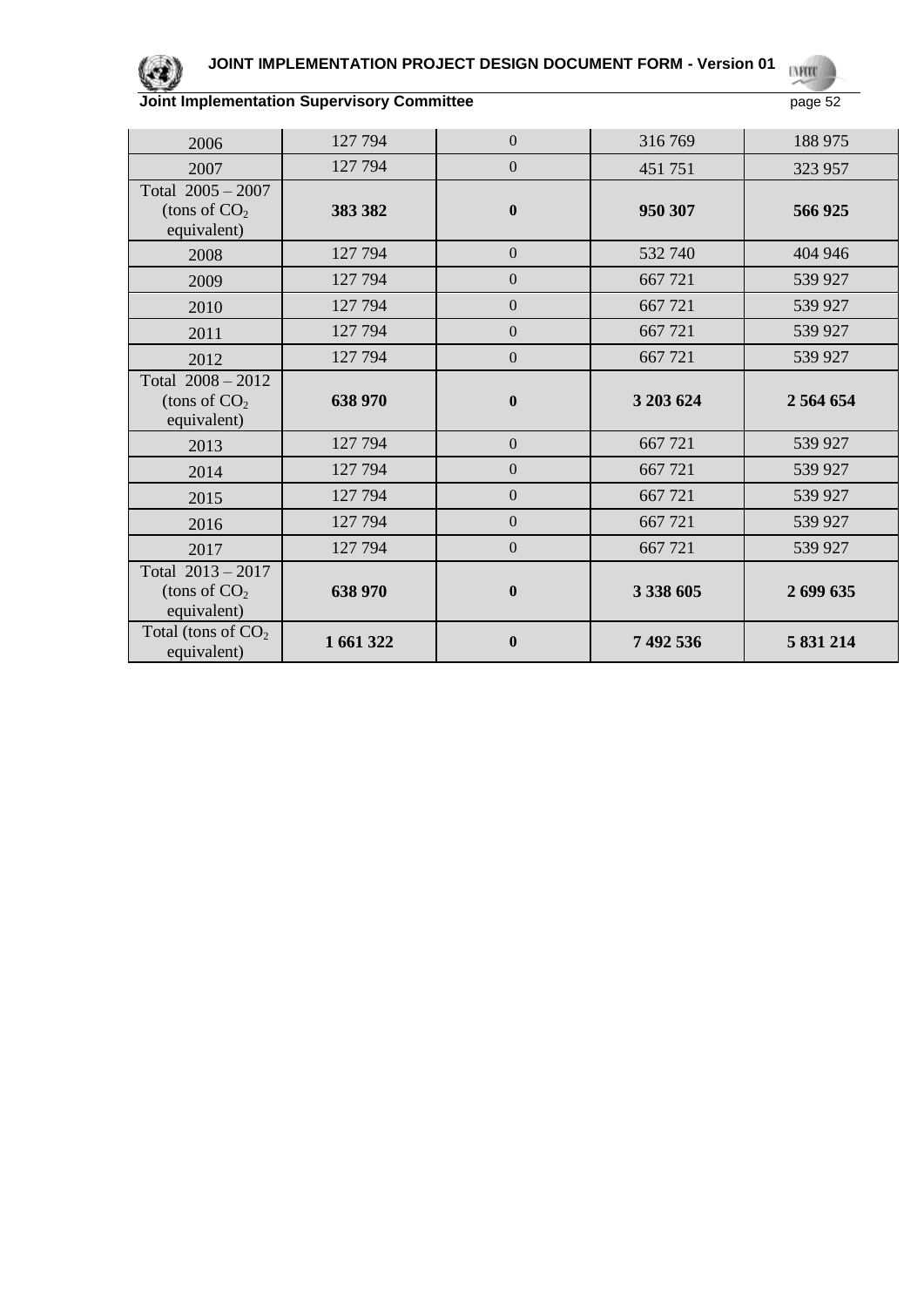

#### **JOINT IMPLEMENTATION PROJECT DESIGN DOCUMENT FORM - Version 01 UNFORD**

| 2006                                                 | 127 794 | $\theta$         | 316769    | 188 975       |
|------------------------------------------------------|---------|------------------|-----------|---------------|
| 2007                                                 | 127 794 | $\overline{0}$   | 451 751   | 323 957       |
| Total $2005 - 2007$<br>(tons of $CO2$<br>equivalent) | 383 382 | $\boldsymbol{0}$ | 950 307   | 566 925       |
| 2008                                                 | 127 794 | $\Omega$         | 532 740   | 404 946       |
| 2009                                                 | 127 794 | $\theta$         | 667 721   | 539 927       |
| 2010                                                 | 127 794 | $\mathbf{0}$     | 667 721   | 539 927       |
| 2011                                                 | 127 794 | $\Omega$         | 667 721   | 539 927       |
| 2012                                                 | 127 794 | $\mathbf{0}$     | 667721    | 539 927       |
| Total $2008 - 2012$<br>(tons of $CO2$                | 638 970 | $\boldsymbol{0}$ | 3 203 624 | 2 5 6 4 6 5 4 |
| equivalent)                                          |         |                  |           |               |
| 2013                                                 | 127 794 | $\mathbf{0}$     | 667 721   | 539 927       |
| 2014                                                 | 127 794 | $\mathbf{0}$     | 667 721   | 539 927       |
| 2015                                                 | 127 794 | $\overline{0}$   | 667 721   | 539 927       |
| 2016                                                 | 127 794 | $\mathbf{0}$     | 667 721   | 539 927       |
| 2017                                                 | 127 794 | $\boldsymbol{0}$ | 667 721   | 539 927       |
| Total 2013 - 2017<br>(tons of $CO2$<br>equivalent)   | 638 970 | $\bf{0}$         | 3 338 605 | 2 699 635     |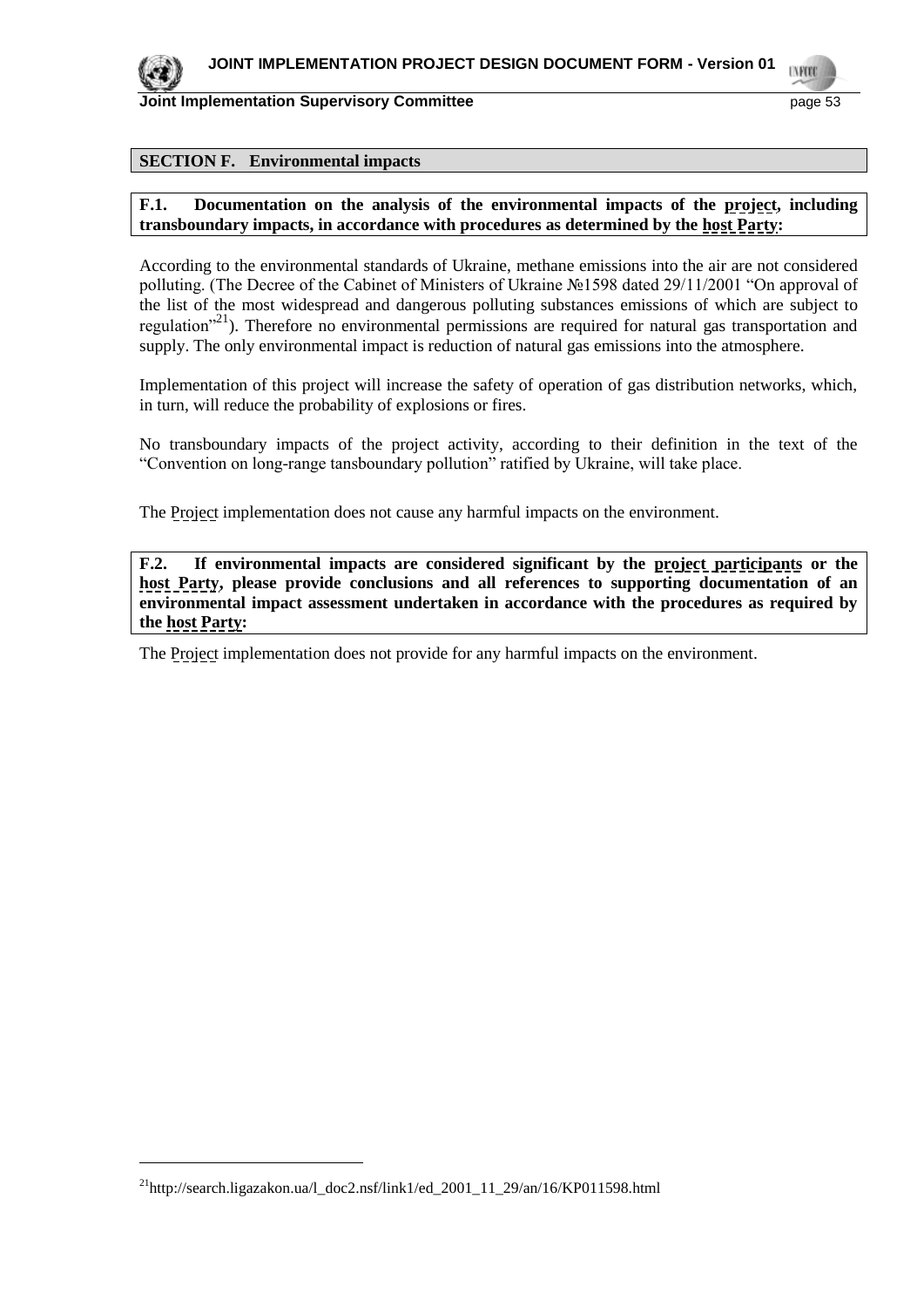

l

**Joint Implementation Supervisory Committee** page 53

#### **SECTION F. Environmental impacts**

#### **F.1. Documentation on the analysis of the environmental impacts of the project, including transboundary impacts, in accordance with procedures as determined by the host Party:**

According to the environmental standards of Ukraine, methane emissions into the air are not considered polluting. (The Decree of the Cabinet of Ministers of Ukraine №1598 dated 29/11/2001 "On approval of the list of the most widespread and dangerous polluting substances emissions of which are subject to regulation<sup>"21</sup>). Therefore no environmental permissions are required for natural gas transportation and supply. The only environmental impact is reduction of natural gas emissions into the atmosphere.

Implementation of this project will increase the safety of operation of gas distribution networks, which, in turn, will reduce the probability of explosions or fires.

No transboundary impacts of the project activity, according to their definition in the text of the "Convention on long-range tansboundary pollution" ratified by Ukraine, will take place.

The Project implementation does not cause any harmful impacts on the environment.

**F.2. If environmental impacts are considered significant by the project participants or the host Party, please provide conclusions and all references to supporting documentation of an environmental impact assessment undertaken in accordance with the procedures as required by the host Party:**

The Project implementation does not provide for any harmful impacts on the environment.

<sup>21</sup>http://search.ligazakon.ua/l\_doc2.nsf/link1/ed\_2001\_11\_29/an/16/KP011598.html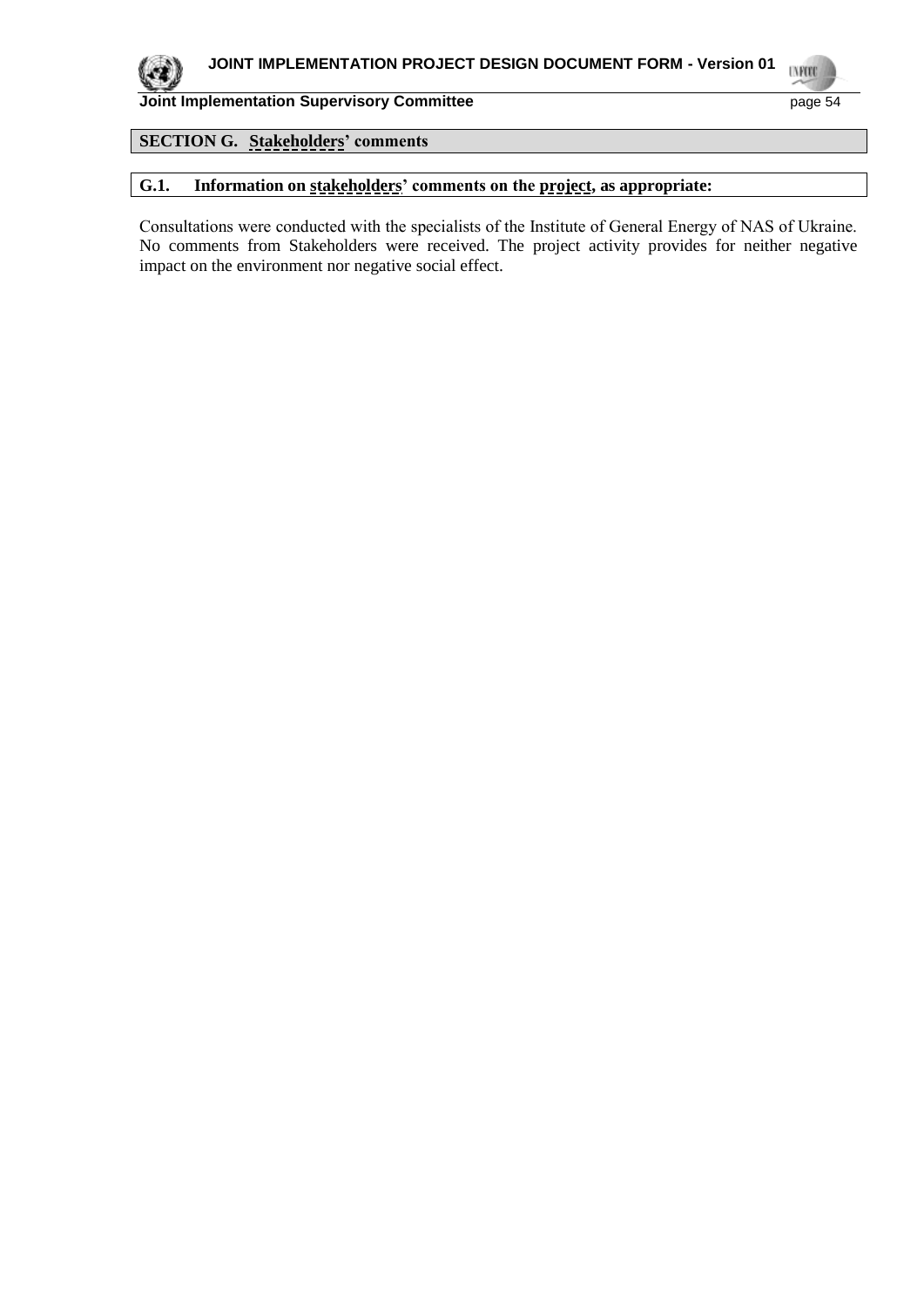

**UVFORD** 

#### **Joint Implementation Supervisory Committee** page 54

## **SECTION G. Stakeholders' comments**

## **G.1. Information on stakeholders' comments on the project, as appropriate:**

Consultations were conducted with the specialists of the Institute of General Energy of NАS of Ukraine. No comments from Stakeholders were received. The project activity provides for neither negative impact on the environment nor negative social effect.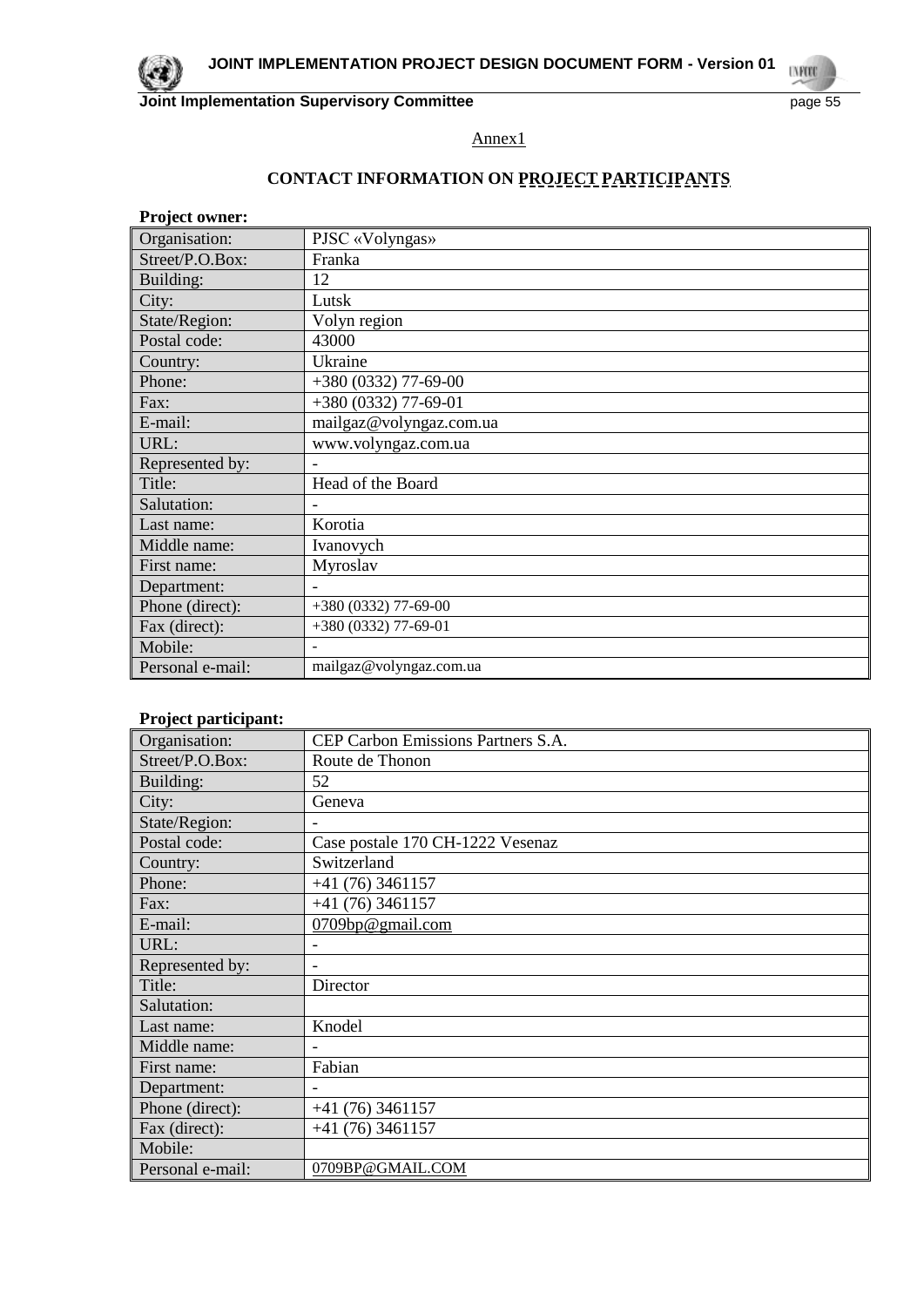Annex1

## **CONTACT INFORMATION ON PROJECT PARTICIPANTS**

| <b>Project owner:</b> |                          |
|-----------------------|--------------------------|
| Organisation:         | PJSC «Volyngas»          |
| Street/P.O.Box:       | Franka                   |
| Building:             | 12                       |
| City:                 | Lutsk                    |
| State/Region:         | Volyn region             |
| Postal code:          | 43000                    |
| Country:              | Ukraine                  |
| Phone:                | +380 (0332) 77-69-00     |
| Fax:                  | $+380(0332)$ 77-69-01    |
| E-mail:               | mailgaz@volyngaz.com.ua  |
| URL:                  | www.volyngaz.com.ua      |
| Represented by:       |                          |
| Title:                | Head of the Board        |
| Salutation:           |                          |
| Last name:            | Korotia                  |
| Middle name:          | Ivanovych                |
| First name:           | Myroslav                 |
| Department:           | $\overline{\phantom{a}}$ |
| Phone (direct):       | +380 (0332) 77-69-00     |
| Fax (direct):         | +380 (0332) 77-69-01     |
| Mobile:               |                          |
| Personal e-mail:      | mailgaz@volyngaz.com.ua  |

#### **Project participant:**

| Organisation:    | CEP Carbon Emissions Partners S.A. |
|------------------|------------------------------------|
| Street/P.O.Box:  | Route de Thonon                    |
| Building:        | 52                                 |
| City:            | Geneva                             |
| State/Region:    |                                    |
| Postal code:     | Case postale 170 CH-1222 Vesenaz   |
| Country:         | Switzerland                        |
| Phone:           | $+41(76)3461157$                   |
| Fax:             | $+41(76)3461157$                   |
| E-mail:          | 0709bp@gmail.com                   |
| URL:             |                                    |
| Represented by:  |                                    |
| Title:           | Director                           |
| Salutation:      |                                    |
| Last name:       | Knodel                             |
| Middle name:     |                                    |
| First name:      | Fabian                             |
| Department:      |                                    |
| Phone (direct):  | $+41(76)3461157$                   |
| Fax (direct):    | $+41(76)3461157$                   |
| Mobile:          |                                    |
| Personal e-mail: | 0709BP@GMAIL.COM                   |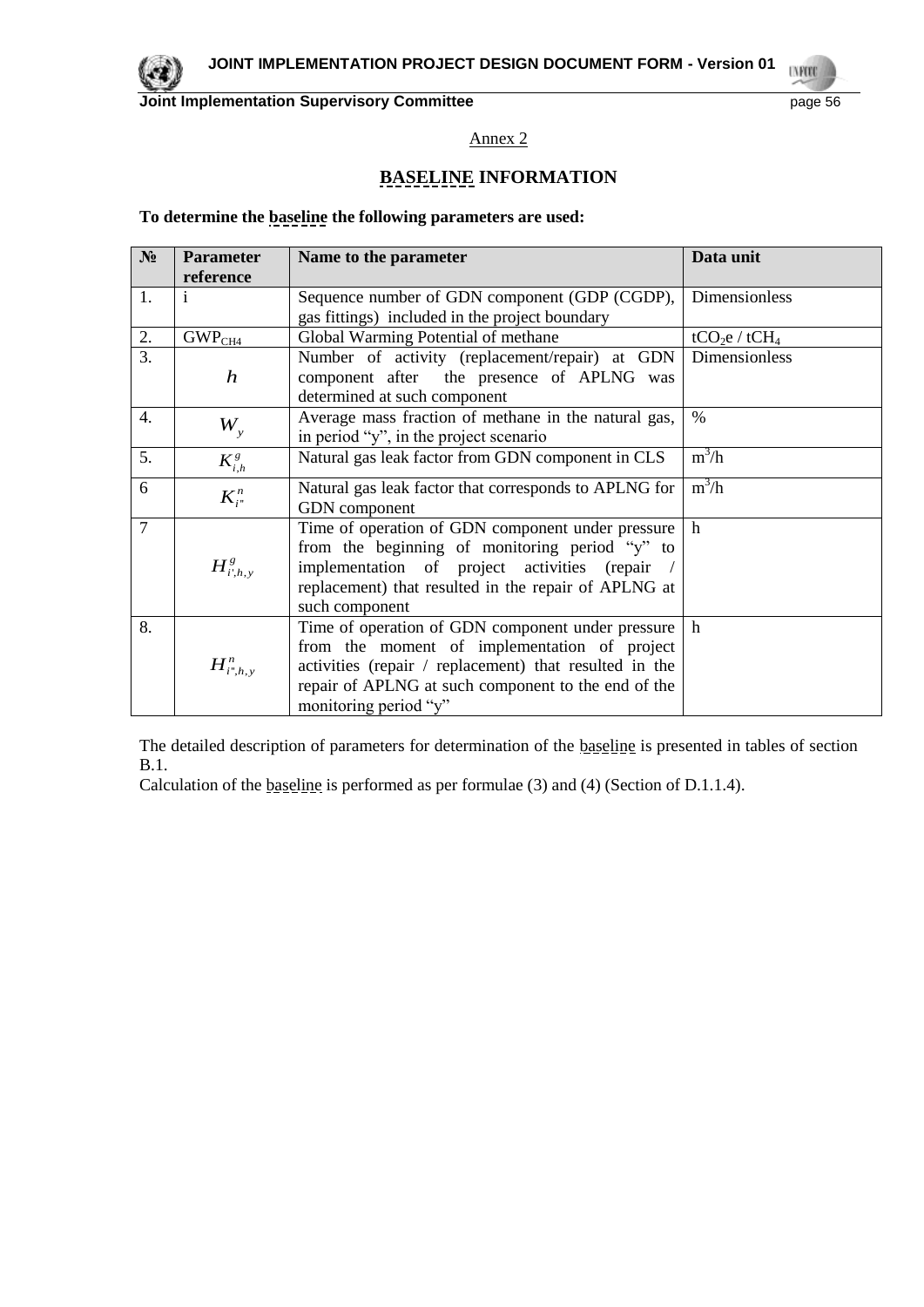

Annex 2

## **BASELINE INFORMATION**

#### **To determine the baseline the following parameters are used:**

| $N_2$          | <b>Parameter</b>     | Name to the parameter                                  | Data unit                             |
|----------------|----------------------|--------------------------------------------------------|---------------------------------------|
|                | reference            |                                                        |                                       |
| 1.             | $\mathbf{1}$         | Sequence number of GDN component (GDP (CGDP),          | Dimensionless                         |
|                |                      | gas fittings) included in the project boundary         |                                       |
| 2.             | GWP <sub>CH4</sub>   | Global Warming Potential of methane                    | tCO <sub>2</sub> e / tCH <sub>4</sub> |
| 3.             |                      | Number of activity (replacement/repair) at GDN         | <b>Dimensionless</b>                  |
|                | $\boldsymbol{h}$     | component after the presence of APLNG was              |                                       |
|                |                      | determined at such component                           |                                       |
| 4.             |                      | Average mass fraction of methane in the natural gas,   | $\frac{0}{0}$                         |
|                | $W_{\rm v}$          | in period "y", in the project scenario                 |                                       |
| 5.             | $K_{i,h}^g$          | Natural gas leak factor from GDN component in CLS      | $m^3/h$                               |
| 6              | $K_{i^*}^n$          | Natural gas leak factor that corresponds to APLNG for  | $m^3/h$                               |
|                |                      | GDN component                                          |                                       |
| $\overline{7}$ |                      | Time of operation of GDN component under pressure      | $\mathbf h$                           |
|                |                      | from the beginning of monitoring period "y" to         |                                       |
|                | $H^g_{i^\prime,h,y}$ | implementation of project activities (repair /         |                                       |
|                |                      | replacement) that resulted in the repair of APLNG at   |                                       |
|                |                      | such component                                         |                                       |
| 8.             |                      | Time of operation of GDN component under pressure      | h                                     |
|                |                      | from the moment of implementation of project           |                                       |
|                | $H^n_{i",h,y}$       | activities (repair / replacement) that resulted in the |                                       |
|                |                      | repair of APLNG at such component to the end of the    |                                       |
|                |                      | monitoring period "y"                                  |                                       |

The detailed description of parameters for determination of the baseline is presented in tables of section B.1.

Calculation of the baseline is performed as per formulae (3) and (4) (Section of D.1.1.4).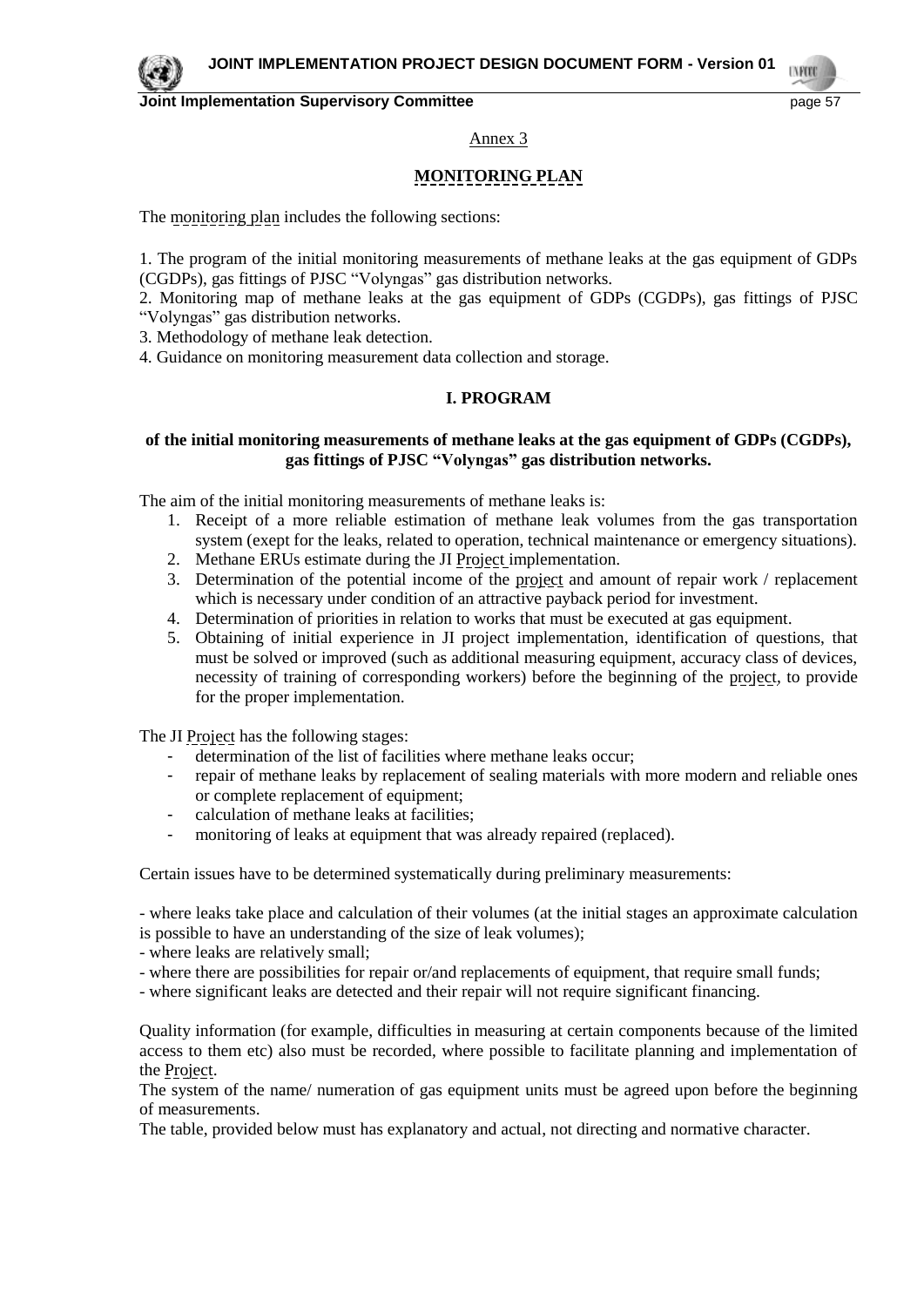

**TVPO** 

#### Annex 3

## **MONITORING PLAN**

The monitoring plan includes the following sections:

1. The program of the initial monitoring measurements of methane leaks at the gas equipment of GDPs (CGDPs), gas fittings of PJSC "Volyngas" gas distribution networks.

2. Monitoring map of methane leaks at the gas equipment of GDPs (CGDPs), gas fittings of PJSC "Volyngas" gas distribution networks.

3. Methodology of methane leak detection.

4. Guidance on monitoring measurement data collection and storage.

#### **I. PROGRAM**

#### **of the initial monitoring measurements of methane leaks at the gas equipment of GDPs (CGDPs), gas fittings of PJSC "Volyngas" gas distribution networks.**

The aim of the initial monitoring measurements of methane leaks is:

- 1. Receipt of a more reliable estimation of methane leak volumes from the gas transportation system (exept for the leaks, related to operation, technical maintenance or emergency situations).
- 2. Methane ERUs estimate during the JI Project implementation.
- 3. Determination of the potential income of the project and amount of repair work / replacement which is necessary under condition of an attractive payback period for investment.
- 4. Determination of priorities in relation to works that must be executed at gas equipment.
- 5. Obtaining of initial experience in JI project implementation, identification of questions, that must be solved or improved (such as additional measuring equipment, accuracy class of devices, necessity of training of corresponding workers) before the beginning of the project, to provide for the proper implementation.

The JI Project has the following stages:

- determination of the list of facilities where methane leaks occur;
- repair of methane leaks by replacement of sealing materials with more modern and reliable ones or complete replacement of equipment;
- calculation of methane leaks at facilities;
- monitoring of leaks at equipment that was already repaired (replaced).

Certain issues have to be determined systematically during preliminary measurements:

- where leaks take place and calculation of their volumes (at the initial stages an approximate calculation is possible to have an understanding of the size of leak volumes);

- where leaks are relatively small;
- where there are possibilities for repair or/and replacements of equipment, that require small funds;
- where significant leaks are detected and their repair will not require significant financing.

Quality information (for example, difficulties in measuring at certain components because of the limited access to them etc) also must be recorded, where possible to facilitate planning and implementation of the Project.

The system of the name/ numeration of gas equipment units must be agreed upon before the beginning of measurements.

The table, provided below must has explanatory and actual, not directing and normative character.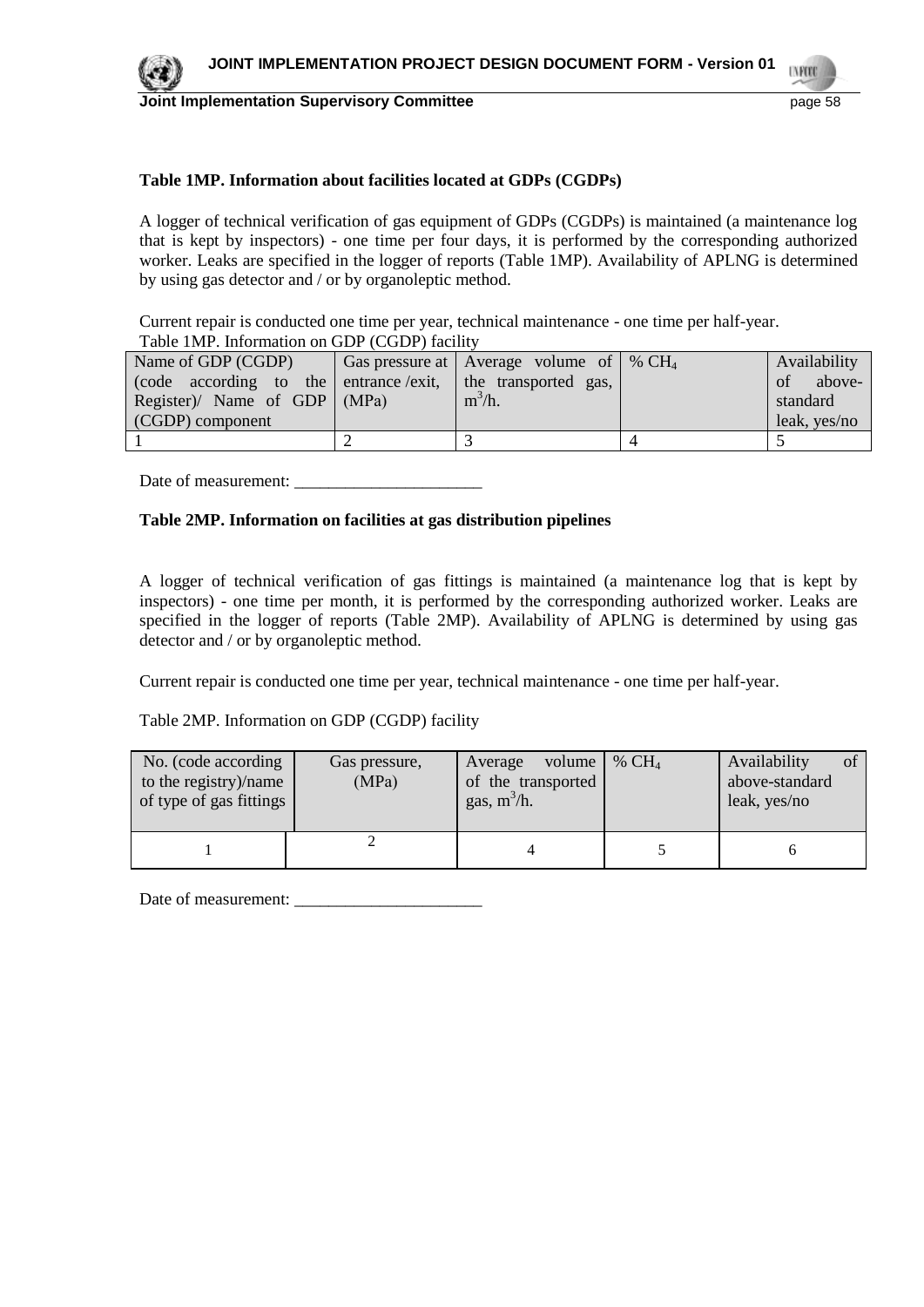

#### **Table 1MP. Information about facilities located at GDPs (CGDPs)**

A logger of technical verification of gas equipment of GDPs (CGDPs) is maintained (a maintenance log that is kept by inspectors) - one time per four days, it is performed by the corresponding authorized worker. Leaks are specified in the logger of reports (Table 1MP). Availability of APLNG is determined by using gas detector and / or by organoleptic method.

Current repair is conducted one time per year, technical maintenance - one time per half-year. Table 1MP. Information on GDP (CGDP) facility

| Name of GDP (CGDP)                                          | Gas pressure at   Average volume of   % $CH_4$ | Availability                                  |
|-------------------------------------------------------------|------------------------------------------------|-----------------------------------------------|
| (code according to the entrance /exit, the transported gas, |                                                | above-<br>$\cdot$ of $\overline{\phantom{0}}$ |
| Register)/ Name of GDP $ (MPa)$                             | $m^3/h$ .                                      | standard                                      |
| (CGDP) component                                            |                                                | leak, yes/no                                  |
|                                                             |                                                |                                               |

Date of measurement: \_\_\_\_\_\_\_\_\_\_\_\_\_\_\_\_\_\_\_\_\_\_

#### **Table 2MP. Information on facilities at gas distribution pipelines**

A logger of technical verification of gas fittings is maintained (a maintenance log that is kept by inspectors) - one time per month, it is performed by the corresponding authorized worker. Leaks are specified in the logger of reports (Table 2MP). Availability of APLNG is determined by using gas detector and / or by organoleptic method.

Current repair is conducted one time per year, technical maintenance - one time per half-year.

Table 2MP. Information on GDP (CGDP) facility

| No. (code according<br>to the registry)/name<br>of type of gas fittings | Gas pressure,<br>(MPa) | volume<br>Average<br>of the transported<br>gas, $m^3/h$ . | % $CH4$ | Availability<br>Ωt<br>above-standard<br>leak, yes/no |
|-------------------------------------------------------------------------|------------------------|-----------------------------------------------------------|---------|------------------------------------------------------|
|                                                                         |                        |                                                           |         |                                                      |

Date of measurement: \_\_\_\_\_\_\_\_\_\_\_\_\_\_\_\_\_\_\_\_\_\_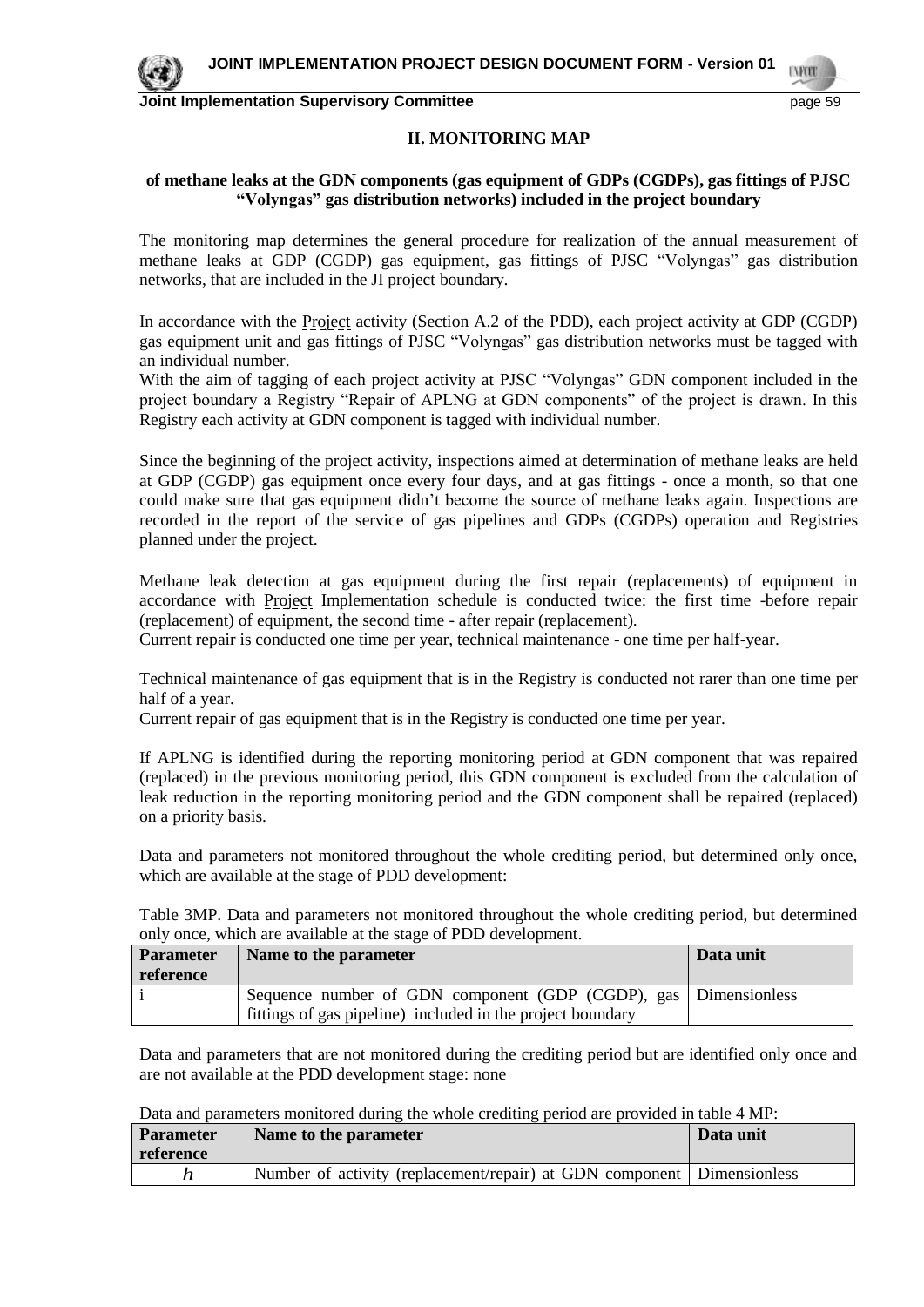

#### **II. MONITORING MAP**

#### **of methane leaks at the GDN components (gas equipment of GDPs (CGDPs), gas fittings of PJSC "Volyngas" gas distribution networks) included in the project boundary**

The monitoring map determines the general procedure for realization of the annual measurement of methane leaks at GDP (CGDP) gas equipment, gas fittings of PJSC "Volyngas" gas distribution networks, that are included in the JI project boundary.

In accordance with the Project activity (Section A.2 of the PDD), each project activity at GDP (CGDP) gas equipment unit and gas fittings of PJSC "Volyngas" gas distribution networks must be tagged with an individual number.

With the aim of tagging of each project activity at PJSC "Volyngas" GDN component included in the project boundary a Registry "Repair of APLNG at GDN components" of the project is drawn. In this Registry each activity at GDN component is tagged with individual number.

Since the beginning of the project activity, inspections aimed at determination of methane leaks are held at GDP (CGDP) gas equipment once every four days, and at gas fittings - once a month, so that one could make sure that gas equipment didn't become the source of methane leaks again. Inspections are recorded in the report of the service of gas pipelines and GDPs (CGDPs) operation and Registries planned under the project.

Methane leak detection at gas equipment during the first repair (replacements) of equipment in accordance with Project Implementation schedule is conducted twice: the first time -before repair (replacement) of equipment, the second time - after repair (replacement).

Current repair is conducted one time per year, technical maintenance - one time per half-year.

Technical maintenance of gas equipment that is in the Registry is conducted not rarer than one time per half of a year.

Current repair of gas equipment that is in the Registry is conducted one time per year.

If APLNG is identified during the reporting monitoring period at GDN component that was repaired (replaced) in the previous monitoring period, this GDN component is excluded from the calculation of leak reduction in the reporting monitoring period and the GDN component shall be repaired (replaced) on a priority basis.

Data and parameters not monitored throughout the whole crediting period, but determined only once, which are available at the stage of PDD development:

Table 3MP. Data and parameters not monitored throughout the whole crediting period, but determined only once, which are available at the stage of PDD development.

| <b>Parameter</b> | Name to the parameter                                           | Data unit |
|------------------|-----------------------------------------------------------------|-----------|
| reference        |                                                                 |           |
|                  | Sequence number of GDN component (GDP (CGDP), gas Dimensionless |           |
|                  | fittings of gas pipeline) included in the project boundary      |           |

Data and parameters that are not monitored during the crediting period but are identified only once and are not available at the PDD development stage: none

Data and parameters monitored during the whole crediting period are provided in table 4 MP:

| <b>Parameter</b> | Name to the parameter                                                    | Data unit |
|------------------|--------------------------------------------------------------------------|-----------|
| reference        |                                                                          |           |
|                  | Number of activity (replacement/repair) at GDN component   Dimensionless |           |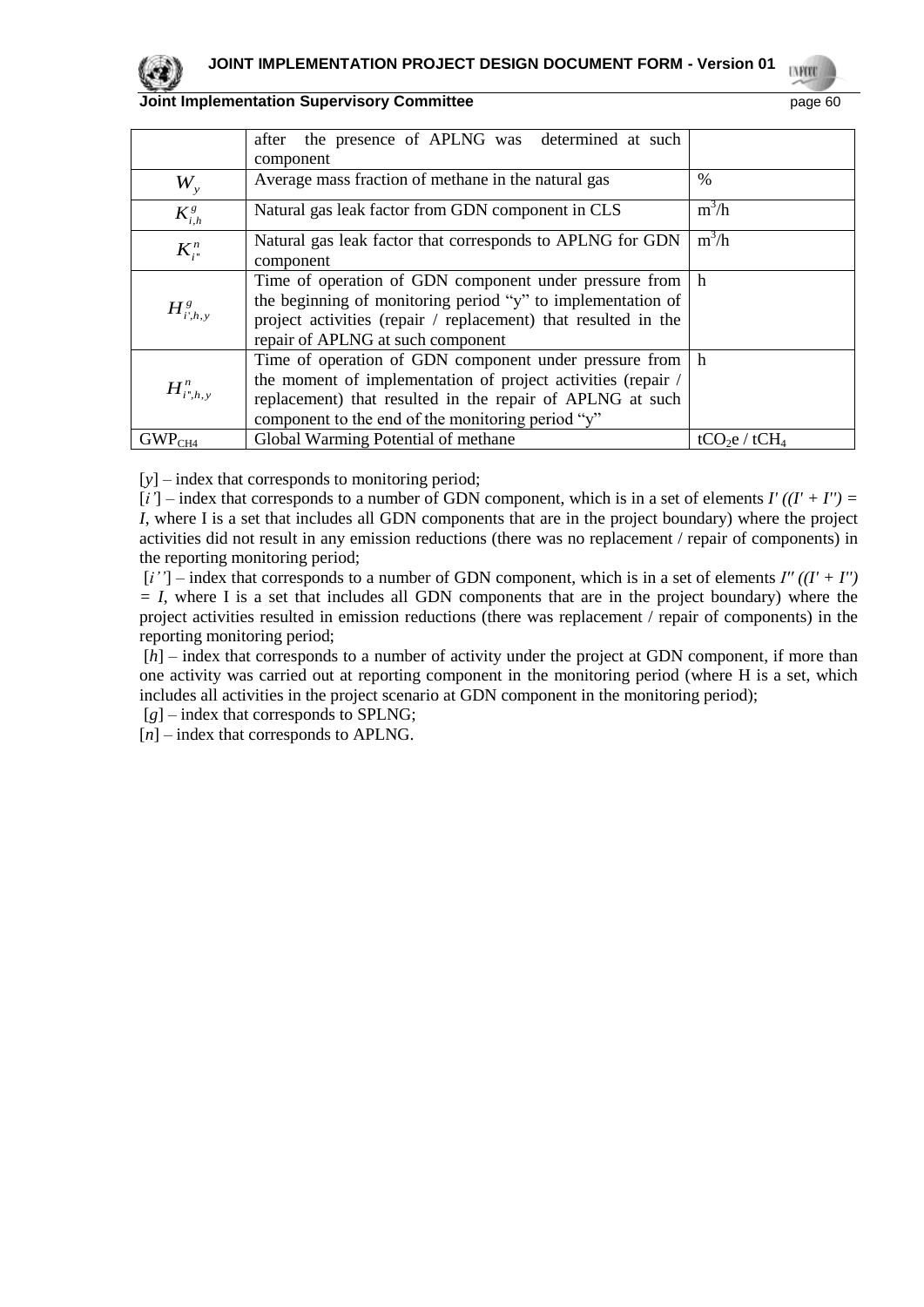

**UNFOR** 

|                    | the presence of APLNG was determined at such<br>after<br>component                                                                                                                                                                         |                                       |
|--------------------|--------------------------------------------------------------------------------------------------------------------------------------------------------------------------------------------------------------------------------------------|---------------------------------------|
| $W_{\rm v}$        | Average mass fraction of methane in the natural gas                                                                                                                                                                                        | $\%$                                  |
| $K_{i,h}^g$        | Natural gas leak factor from GDN component in CLS                                                                                                                                                                                          | $m^3/h$                               |
| $K_{i}^{n}$        | Natural gas leak factor that corresponds to APLNG for GDN<br>component                                                                                                                                                                     | $m^3/h$                               |
| $H^s_{i',h,v}$     | Time of operation of GDN component under pressure from h<br>the beginning of monitoring period "y" to implementation of<br>project activities (repair / replacement) that resulted in the<br>repair of APLNG at such component             |                                       |
| $H^n_{i^*,h,\nu}$  | Time of operation of GDN component under pressure from h<br>the moment of implementation of project activities (repair /<br>replacement) that resulted in the repair of APLNG at such<br>component to the end of the monitoring period "y" |                                       |
| GWP <sub>CH4</sub> | Global Warming Potential of methane                                                                                                                                                                                                        | tCO <sub>2</sub> e / tCH <sub>4</sub> |

[*y*] – index that corresponds to monitoring period;

 $[i']$  – index that corresponds to a number of GDN component, which is in a set of elements  $I'$   $((I' + I'') =$ *I*, where I is a set that includes all GDN components that are in the project boundary) where the project activities did not result in any emission reductions (there was no replacement / repair of components) in the reporting monitoring period;

 $[i'']$  – index that corresponds to a number of GDN component, which is in a set of elements  $I''((I' + I'')')$ *= I*, where I is a set that includes all GDN components that are in the project boundary) where the project activities resulted in emission reductions (there was replacement / repair of components) in the reporting monitoring period;

[*h*] – index that corresponds to a number of activity under the project at GDN component, if more than one activity was carried out at reporting component in the monitoring period (where H is a set, which includes all activities in the project scenario at GDN component in the monitoring period);

[*g*] – index that corresponds to SPLNG;

[*n*] – index that corresponds to APLNG.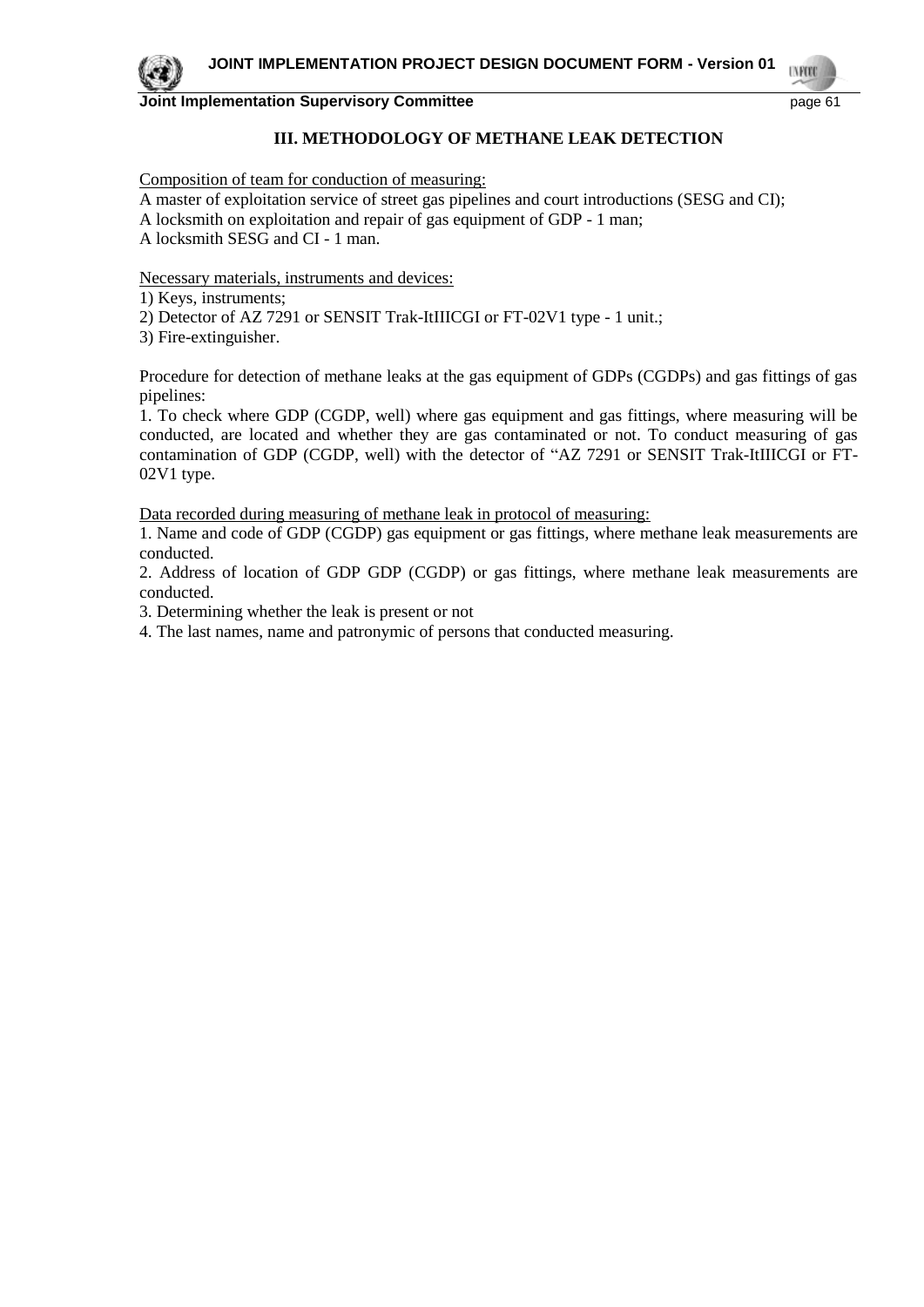## **III. METHODOLOGY OF METHANE LEAK DETECTION**

Composition of team for conduction of measuring:

A master of exploitation service of street gas pipelines and court introductions (SESG and CI);

A locksmith on exploitation and repair of gas equipment of GDP - 1 man;

A locksmith SESG and CI - 1 man.

Necessary materials, instruments and devices:

1) Keys, instruments;

2) Detector of AZ 7291 or SENSIT Trak-ItIIICGI or FT-02V1 type - 1 unit.;

3) Fire-extinguisher.

Procedure for detection of methane leaks at the gas equipment of GDPs (CGDPs) and gas fittings of gas pipelines:

1. To check where GDP (CGDP, well) where gas equipment and gas fittings, where measuring will be conducted, are located and whether they are gas contaminated or not. To conduct measuring of gas contamination of GDP (CGDP, well) with the detector of "AZ 7291 or SENSIT Trak-ItIIICGI or FT-02V1 type.

Data recorded during measuring of methane leak in protocol of measuring:

1. Name and code of GDP (CGDP) gas equipment or gas fittings, where methane leak measurements are conducted.

2. Address of location of GDP GDP (CGDP) or gas fittings, where methane leak measurements are conducted.

3. Determining whether the leak is present or not

4. The last names, name and patronymic of persons that conducted measuring.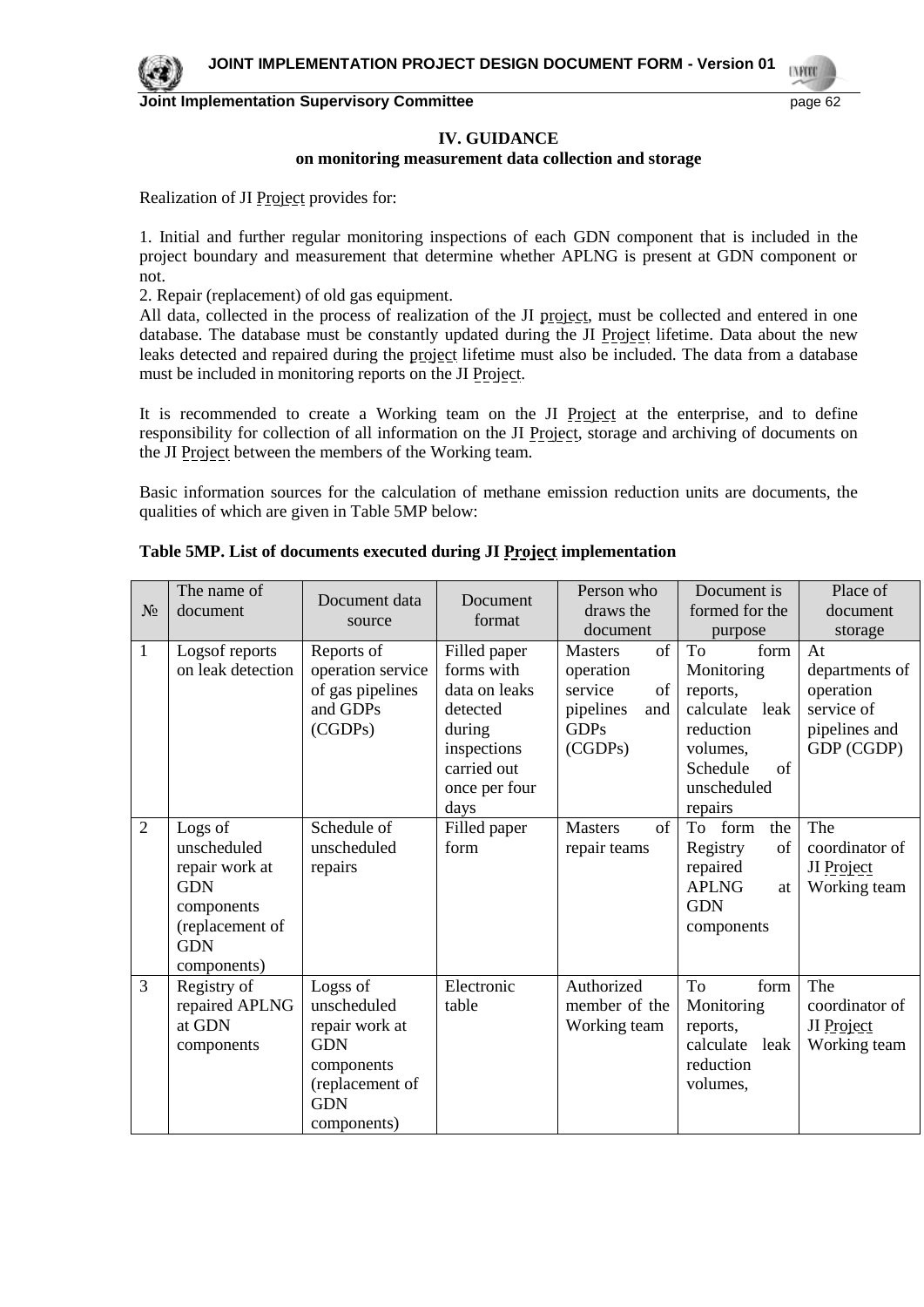

#### **IV. GUIDANCE on monitoring measurement data collection and storage**

Realization of JI Project provides for:

1. Initial and further regular monitoring inspections of each GDN component that is included in the project boundary and measurement that determine whether APLNG is present at GDN component or not.

2. Repair (replacement) of old gas equipment.

All data, collected in the process of realization of the JI project, must be collected and entered in one database. The database must be constantly updated during the JI Project lifetime. Data about the new leaks detected and repaired during the project lifetime must also be included. The data from a database must be included in monitoring reports on the JI Project.

It is recommended to create a Working team on the JI Project at the enterprise, and to define responsibility for collection of all information on the JI Project, storage and archiving of documents on the JI Project between the members of the Working team.

Basic information sources for the calculation of methane emission reduction units are documents, the qualities of which are given in Table 5MP below:

| $N_2$          | The name of<br>document                                                                                              | Document data<br>source                                                                                               | Document<br>format                                                                                                       | Person who<br>draws the                                                                          | Document is<br>formed for the                                                                                               | Place of<br>document                                                           |
|----------------|----------------------------------------------------------------------------------------------------------------------|-----------------------------------------------------------------------------------------------------------------------|--------------------------------------------------------------------------------------------------------------------------|--------------------------------------------------------------------------------------------------|-----------------------------------------------------------------------------------------------------------------------------|--------------------------------------------------------------------------------|
|                |                                                                                                                      |                                                                                                                       |                                                                                                                          | document                                                                                         | purpose                                                                                                                     | storage                                                                        |
| $\mathbf{1}$   | Logsof reports<br>on leak detection                                                                                  | Reports of<br>operation service<br>of gas pipelines<br>and GDPs<br>(CGDPs)                                            | Filled paper<br>forms with<br>data on leaks<br>detected<br>during<br>inspections<br>carried out<br>once per four<br>days | of<br><b>Masters</b><br>operation<br>service<br>of<br>pipelines<br>and<br><b>GDPs</b><br>(CGDPs) | To<br>form<br>Monitoring<br>reports,<br>calculate leak<br>reduction<br>volumes.<br>of<br>Schedule<br>unscheduled<br>repairs | At<br>departments of<br>operation<br>service of<br>pipelines and<br>GDP (CGDP) |
| 2              | Logs of<br>unscheduled<br>repair work at<br><b>GDN</b><br>components<br>(replacement of<br><b>GDN</b><br>components) | Schedule of<br>unscheduled<br>repairs                                                                                 | Filled paper<br>form                                                                                                     | of<br><b>Masters</b><br>repair teams                                                             | To form<br>the<br>of<br>Registry<br>repaired<br><b>APLNG</b><br>at<br><b>GDN</b><br>components                              | The<br>coordinator of<br>JI Project<br>Working team                            |
| $\overline{3}$ | Registry of<br>repaired APLNG<br>at GDN<br>components                                                                | Logss of<br>unscheduled<br>repair work at<br><b>GDN</b><br>components<br>(replacement of<br><b>GDN</b><br>components) | Electronic<br>table                                                                                                      | Authorized<br>member of the<br>Working team                                                      | To<br>form<br>Monitoring<br>reports,<br>calculate leak<br>reduction<br>volumes,                                             | The<br>coordinator of<br>JI Project<br>Working team                            |

## **Table 5MP. List of documents executed during JI Project implementation**